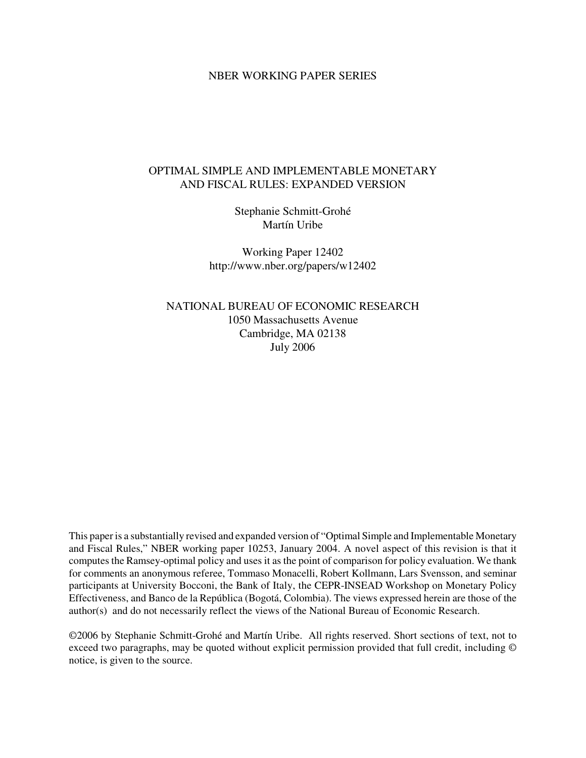#### NBER WORKING PAPER SERIES

### OPTIMAL SIMPLE AND IMPLEMENTABLE MONETARY AND FISCAL RULES: EXPANDED VERSION

Stephanie Schmitt-Grohé Martín Uribe

Working Paper 12402 http://www.nber.org/papers/w12402

NATIONAL BUREAU OF ECONOMIC RESEARCH 1050 Massachusetts Avenue Cambridge, MA 02138 July 2006

This paper is a substantially revised and expanded version of "Optimal Simple and Implementable Monetary and Fiscal Rules," NBER working paper 10253, January 2004. A novel aspect of this revision is that it computes the Ramsey-optimal policy and uses it as the point of comparison for policy evaluation. We thank for comments an anonymous referee, Tommaso Monacelli, Robert Kollmann, Lars Svensson, and seminar participants at University Bocconi, the Bank of Italy, the CEPR-INSEAD Workshop on Monetary Policy Effectiveness, and Banco de la República (Bogotá, Colombia). The views expressed herein are those of the author(s) and do not necessarily reflect the views of the National Bureau of Economic Research.

©2006 by Stephanie Schmitt-Grohé and Martín Uribe. All rights reserved. Short sections of text, not to exceed two paragraphs, may be quoted without explicit permission provided that full credit, including © notice, is given to the source.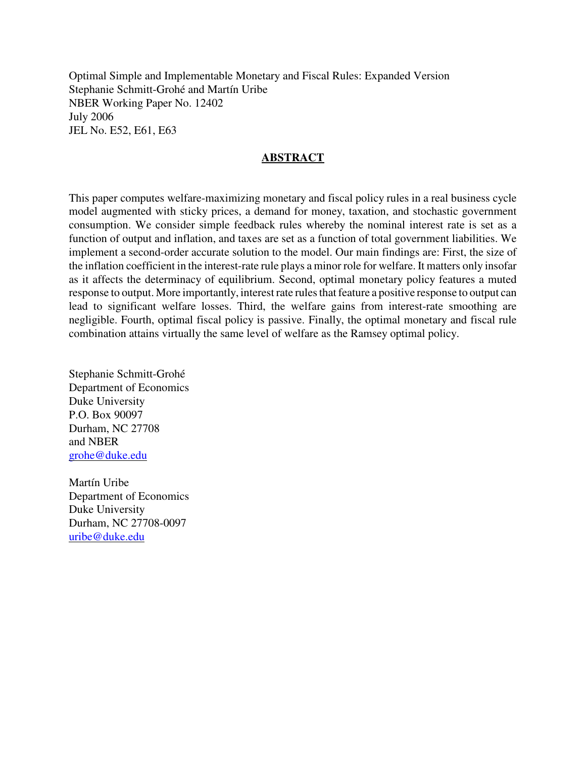Optimal Simple and Implementable Monetary and Fiscal Rules: Expanded Version Stephanie Schmitt-Grohé and Martín Uribe NBER Working Paper No. 12402 July 2006 JEL No. E52, E61, E63

### **ABSTRACT**

This paper computes welfare-maximizing monetary and fiscal policy rules in a real business cycle model augmented with sticky prices, a demand for money, taxation, and stochastic government consumption. We consider simple feedback rules whereby the nominal interest rate is set as a function of output and inflation, and taxes are set as a function of total government liabilities. We implement a second-order accurate solution to the model. Our main findings are: First, the size of the inflation coefficient in the interest-rate rule plays a minor role for welfare. It matters only insofar as it affects the determinacy of equilibrium. Second, optimal monetary policy features a muted response to output. More importantly, interest rate rules that feature a positive response to output can lead to significant welfare losses. Third, the welfare gains from interest-rate smoothing are negligible. Fourth, optimal fiscal policy is passive. Finally, the optimal monetary and fiscal rule combination attains virtually the same level of welfare as the Ramsey optimal policy.

Stephanie Schmitt-Grohé Department of Economics Duke University P.O. Box 90097 Durham, NC 27708 and NBER grohe@duke.edu

Martín Uribe Department of Economics Duke University Durham, NC 27708-0097 uribe@duke.edu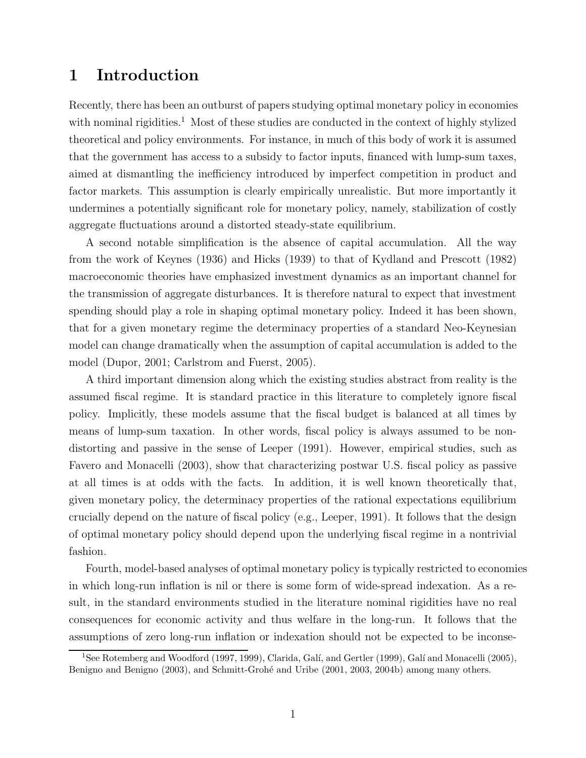### **1 Introduction**

Recently, there has been an outburst of papers studying optimal monetary policy in economies with nominal rigidities.<sup>1</sup> Most of these studies are conducted in the context of highly stylized theoretical and policy environments. For instance, in much of this body of work it is assumed that the government has access to a subsidy to factor inputs, financed with lump-sum taxes, aimed at dismantling the inefficiency introduced by imperfect competition in product and factor markets. This assumption is clearly empirically unrealistic. But more importantly it undermines a potentially significant role for monetary policy, namely, stabilization of costly aggregate fluctuations around a distorted steady-state equilibrium.

A second notable simplification is the absence of capital accumulation. All the way from the work of Keynes (1936) and Hicks (1939) to that of Kydland and Prescott (1982) macroeconomic theories have emphasized investment dynamics as an important channel for the transmission of aggregate disturbances. It is therefore natural to expect that investment spending should play a role in shaping optimal monetary policy. Indeed it has been shown, that for a given monetary regime the determinacy properties of a standard Neo-Keynesian model can change dramatically when the assumption of capital accumulation is added to the model (Dupor, 2001; Carlstrom and Fuerst, 2005).

A third important dimension along which the existing studies abstract from reality is the assumed fiscal regime. It is standard practice in this literature to completely ignore fiscal policy. Implicitly, these models assume that the fiscal budget is balanced at all times by means of lump-sum taxation. In other words, fiscal policy is always assumed to be nondistorting and passive in the sense of Leeper (1991). However, empirical studies, such as Favero and Monacelli (2003), show that characterizing postwar U.S. fiscal policy as passive at all times is at odds with the facts. In addition, it is well known theoretically that, given monetary policy, the determinacy properties of the rational expectations equilibrium crucially depend on the nature of fiscal policy (e.g., Leeper, 1991). It follows that the design of optimal monetary policy should depend upon the underlying fiscal regime in a nontrivial fashion.

Fourth, model-based analyses of optimal monetary policy is typically restricted to economies in which long-run inflation is nil or there is some form of wide-spread indexation. As a result, in the standard environments studied in the literature nominal rigidities have no real consequences for economic activity and thus welfare in the long-run. It follows that the assumptions of zero long-run inflation or indexation should not be expected to be inconse-

<sup>&</sup>lt;sup>1</sup>See Rotemberg and Woodford (1997, 1999), Clarida, Galí, and Gertler (1999), Galí and Monacelli (2005), Benigno and Benigno (2003), and Schmitt-Grohé and Uribe (2001, 2003, 2004b) among many others.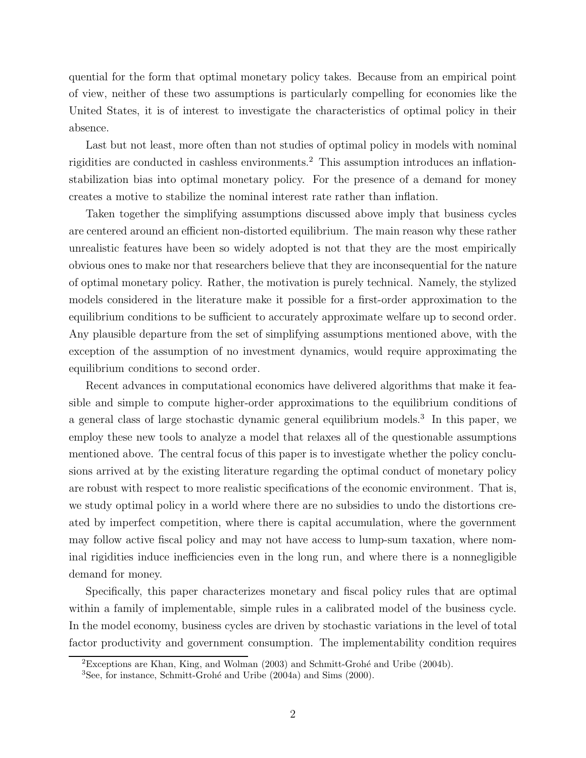quential for the form that optimal monetary policy takes. Because from an empirical point of view, neither of these two assumptions is particularly compelling for economies like the United States, it is of interest to investigate the characteristics of optimal policy in their absence.

Last but not least, more often than not studies of optimal policy in models with nominal rigidities are conducted in cashless environments.<sup>2</sup> This assumption introduces an inflationstabilization bias into optimal monetary policy. For the presence of a demand for money creates a motive to stabilize the nominal interest rate rather than inflation.

Taken together the simplifying assumptions discussed above imply that business cycles are centered around an efficient non-distorted equilibrium. The main reason why these rather unrealistic features have been so widely adopted is not that they are the most empirically obvious ones to make nor that researchers believe that they are inconsequential for the nature of optimal monetary policy. Rather, the motivation is purely technical. Namely, the stylized models considered in the literature make it possible for a first-order approximation to the equilibrium conditions to be sufficient to accurately approximate welfare up to second order. Any plausible departure from the set of simplifying assumptions mentioned above, with the exception of the assumption of no investment dynamics, would require approximating the equilibrium conditions to second order.

Recent advances in computational economics have delivered algorithms that make it feasible and simple to compute higher-order approximations to the equilibrium conditions of a general class of large stochastic dynamic general equilibrium models.<sup>3</sup> In this paper, we employ these new tools to analyze a model that relaxes all of the questionable assumptions mentioned above. The central focus of this paper is to investigate whether the policy conclusions arrived at by the existing literature regarding the optimal conduct of monetary policy are robust with respect to more realistic specifications of the economic environment. That is, we study optimal policy in a world where there are no subsidies to undo the distortions created by imperfect competition, where there is capital accumulation, where the government may follow active fiscal policy and may not have access to lump-sum taxation, where nominal rigidities induce inefficiencies even in the long run, and where there is a nonnegligible demand for money.

Specifically, this paper characterizes monetary and fiscal policy rules that are optimal within a family of implementable, simple rules in a calibrated model of the business cycle. In the model economy, business cycles are driven by stochastic variations in the level of total factor productivity and government consumption. The implementability condition requires

 ${}^{2}$ Exceptions are Khan, King, and Wolman (2003) and Schmitt-Grohé and Uribe (2004b).

 ${}^{3}$ See, for instance, Schmitt-Grohé and Uribe (2004a) and Sims (2000).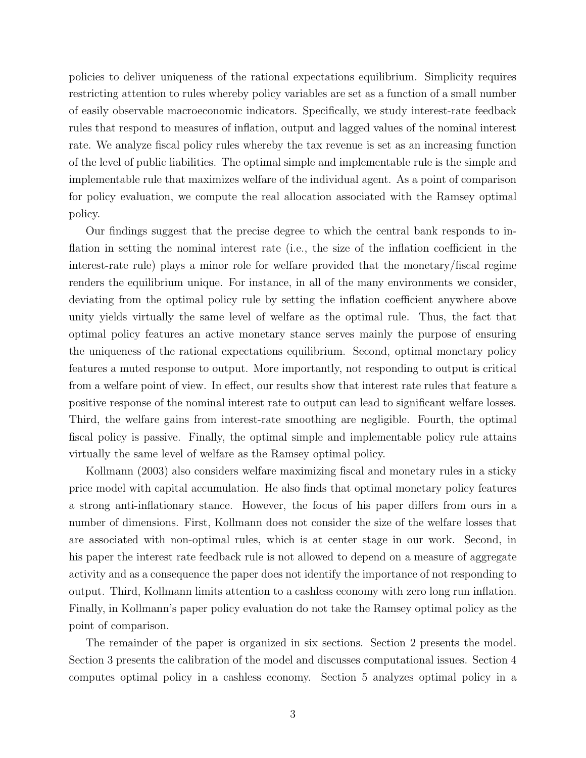policies to deliver uniqueness of the rational expectations equilibrium. Simplicity requires restricting attention to rules whereby policy variables are set as a function of a small number of easily observable macroeconomic indicators. Specifically, we study interest-rate feedback rules that respond to measures of inflation, output and lagged values of the nominal interest rate. We analyze fiscal policy rules whereby the tax revenue is set as an increasing function of the level of public liabilities. The optimal simple and implementable rule is the simple and implementable rule that maximizes welfare of the individual agent. As a point of comparison for policy evaluation, we compute the real allocation associated with the Ramsey optimal policy.

Our findings suggest that the precise degree to which the central bank responds to inflation in setting the nominal interest rate (i.e., the size of the inflation coefficient in the interest-rate rule) plays a minor role for welfare provided that the monetary/fiscal regime renders the equilibrium unique. For instance, in all of the many environments we consider, deviating from the optimal policy rule by setting the inflation coefficient anywhere above unity yields virtually the same level of welfare as the optimal rule. Thus, the fact that optimal policy features an active monetary stance serves mainly the purpose of ensuring the uniqueness of the rational expectations equilibrium. Second, optimal monetary policy features a muted response to output. More importantly, not responding to output is critical from a welfare point of view. In effect, our results show that interest rate rules that feature a positive response of the nominal interest rate to output can lead to significant welfare losses. Third, the welfare gains from interest-rate smoothing are negligible. Fourth, the optimal fiscal policy is passive. Finally, the optimal simple and implementable policy rule attains virtually the same level of welfare as the Ramsey optimal policy.

Kollmann (2003) also considers welfare maximizing fiscal and monetary rules in a sticky price model with capital accumulation. He also finds that optimal monetary policy features a strong anti-inflationary stance. However, the focus of his paper differs from ours in a number of dimensions. First, Kollmann does not consider the size of the welfare losses that are associated with non-optimal rules, which is at center stage in our work. Second, in his paper the interest rate feedback rule is not allowed to depend on a measure of aggregate activity and as a consequence the paper does not identify the importance of not responding to output. Third, Kollmann limits attention to a cashless economy with zero long run inflation. Finally, in Kollmann's paper policy evaluation do not take the Ramsey optimal policy as the point of comparison.

The remainder of the paper is organized in six sections. Section 2 presents the model. Section 3 presents the calibration of the model and discusses computational issues. Section 4 computes optimal policy in a cashless economy. Section 5 analyzes optimal policy in a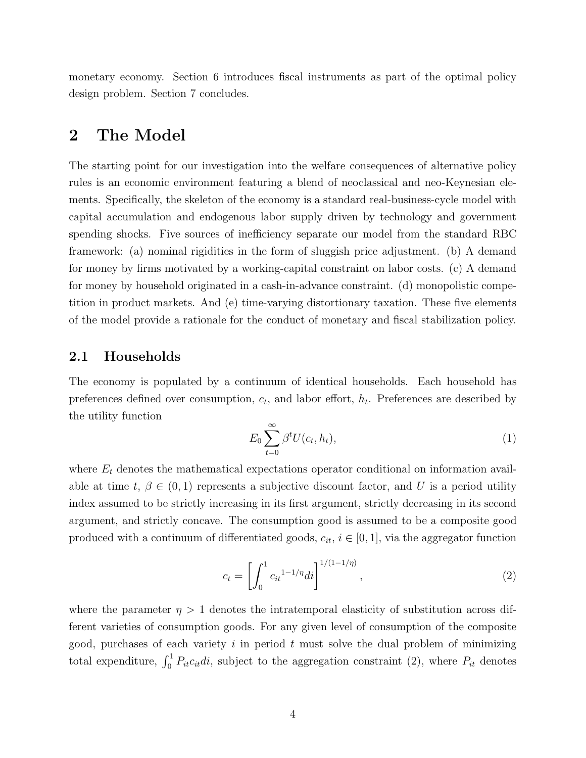monetary economy. Section 6 introduces fiscal instruments as part of the optimal policy design problem. Section 7 concludes.

### **2 The Model**

The starting point for our investigation into the welfare consequences of alternative policy rules is an economic environment featuring a blend of neoclassical and neo-Keynesian elements. Specifically, the skeleton of the economy is a standard real-business-cycle model with capital accumulation and endogenous labor supply driven by technology and government spending shocks. Five sources of inefficiency separate our model from the standard RBC framework: (a) nominal rigidities in the form of sluggish price adjustment. (b) A demand for money by firms motivated by a working-capital constraint on labor costs. (c) A demand for money by household originated in a cash-in-advance constraint. (d) monopolistic competition in product markets. And (e) time-varying distortionary taxation. These five elements of the model provide a rationale for the conduct of monetary and fiscal stabilization policy.

#### **2.1 Households**

The economy is populated by a continuum of identical households. Each household has preferences defined over consumption,  $c_t$ , and labor effort,  $h_t$ . Preferences are described by the utility function

$$
E_0 \sum_{t=0}^{\infty} \beta^t U(c_t, h_t), \tag{1}
$$

where  $E_t$  denotes the mathematical expectations operator conditional on information available at time  $t, \beta \in (0,1)$  represents a subjective discount factor, and U is a period utility index assumed to be strictly increasing in its first argument, strictly decreasing in its second argument, and strictly concave. The consumption good is assumed to be a composite good produced with a continuum of differentiated goods,  $c_{it}$ ,  $i \in [0, 1]$ , via the aggregator function

$$
c_t = \left[ \int_0^1 c_{it}^{1-1/\eta} di \right]^{1/(1-1/\eta)}, \qquad (2)
$$

where the parameter  $\eta > 1$  denotes the intratemporal elasticity of substitution across different varieties of consumption goods. For any given level of consumption of the composite good, purchases of each variety *i* in period *t* must solve the dual problem of minimizing total expenditure,  $\int_0^1 P_{it}c_{it}di$ , subject to the aggregation constraint (2), where  $P_{it}$  denotes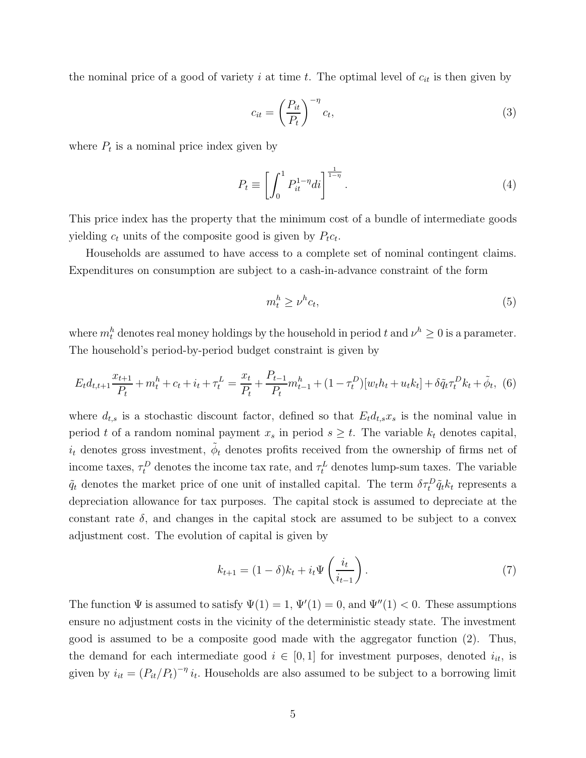the nominal price of a good of variety  $i$  at time  $t$ . The optimal level of  $c_{it}$  is then given by

$$
c_{it} = \left(\frac{P_{it}}{P_t}\right)^{-\eta} c_t,\tag{3}
$$

where  $P_t$  is a nominal price index given by

$$
P_t \equiv \left[ \int_0^1 P_{it}^{1-\eta} di \right]^{\frac{1}{1-\eta}}.
$$
\n
$$
(4)
$$

This price index has the property that the minimum cost of a bundle of intermediate goods yielding  $c_t$  units of the composite good is given by  $P_t c_t$ .

Households are assumed to have access to a complete set of nominal contingent claims. Expenditures on consumption are subject to a cash-in-advance constraint of the form

$$
m_t^h \ge \nu^h c_t,\tag{5}
$$

where  $m_t^h$  denotes real money holdings by the household in period *t* and  $\nu^h \geq 0$  is a parameter. The household's period-by-period budget constraint is given by

$$
E_t d_{t,t+1} \frac{x_{t+1}}{P_t} + m_t^h + c_t + i_t + \tau_t^L = \frac{x_t}{P_t} + \frac{P_{t-1}}{P_t} m_{t-1}^h + (1 - \tau_t^D) [w_t h_t + u_t k_t] + \delta \tilde{q}_t \tau_t^D k_t + \tilde{\phi}_t, \tag{6}
$$

where  $d_{t,s}$  is a stochastic discount factor, defined so that  $E_t d_{t,s} x_s$  is the nominal value in period *t* of a random nominal payment  $x_s$  in period  $s \geq t$ . The variable  $k_t$  denotes capital,  $i_t$  denotes gross investment,  $\phi_t$  denotes profits received from the ownership of firms net of income taxes,  $\tau_t^D$  denotes the income tax rate, and  $\tau_t^L$  denotes lump-sum taxes. The variable  $\tilde{q}_t$  denotes the market price of one unit of installed capital. The term  $\delta \tau_t^D \tilde{q}_t k_t$  represents a depreciation allowance for tax purposes. The capital stock is assumed to depreciate at the constant rate  $\delta$ , and changes in the capital stock are assumed to be subject to a convex adjustment cost. The evolution of capital is given by

$$
k_{t+1} = (1 - \delta)k_t + i_t \Psi\left(\frac{i_t}{i_{t-1}}\right). \tag{7}
$$

The function  $\Psi$  is assumed to satisfy  $\Psi(1) = 1$ ,  $\Psi'(1) = 0$ , and  $\Psi''(1) < 0$ . These assumptions ensure no adjustment costs in the vicinity of the deterministic steady state. The investment good is assumed to be a composite good made with the aggregator function (2). Thus, the demand for each intermediate good  $i \in [0,1]$  for investment purposes, denoted  $i_{it}$ , is given by  $i_{it} = (P_{it}/P_t)^{-\eta} i_t$ . Households are also assumed to be subject to a borrowing limit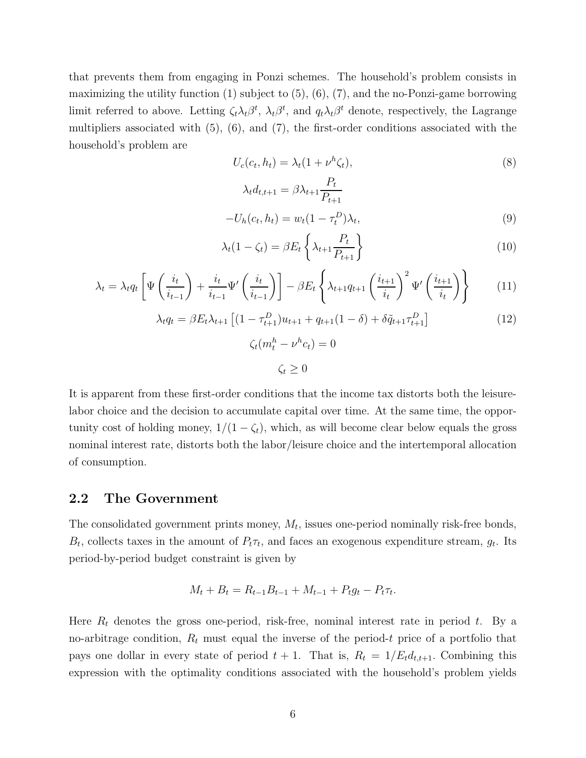that prevents them from engaging in Ponzi schemes. The household's problem consists in maximizing the utility function  $(1)$  subject to  $(5)$ ,  $(6)$ ,  $(7)$ , and the no-Ponzi-game borrowing limit referred to above. Letting  $\zeta_t \lambda_t \beta^t$ ,  $\lambda_t \beta^t$ , and  $q_t \lambda_t \beta^t$  denote, respectively, the Lagrange multipliers associated with (5), (6), and (7), the first-order conditions associated with the household's problem are

$$
U_c(c_t, h_t) = \lambda_t (1 + \nu^h \zeta_t),
$$
  
\n
$$
\lambda_t d_{t,t+1} = \beta \lambda_{t+1} \frac{P_t}{P_t}
$$
\n(8)

$$
-U_h(c_t, h_t) = w_t(1 - \tau_t^D)\lambda_t,
$$
\n(9)

$$
\lambda_t (1 - \zeta_t) = \beta E_t \left\{ \lambda_{t+1} \frac{P_t}{P_{t+1}} \right\} \tag{10}
$$

$$
\lambda_t = \lambda_t q_t \left[ \Psi \left( \frac{i_t}{i_{t-1}} \right) + \frac{i_t}{i_{t-1}} \Psi' \left( \frac{i_t}{i_{t-1}} \right) \right] - \beta E_t \left\{ \lambda_{t+1} q_{t+1} \left( \frac{i_{t+1}}{i_t} \right)^2 \Psi' \left( \frac{i_{t+1}}{i_t} \right) \right\} \tag{11}
$$

$$
\lambda_t q_t = \beta E_t \lambda_{t+1} \left[ (1 - \tau_{t+1}^D) u_{t+1} + q_{t+1} (1 - \delta) + \delta \tilde{q}_{t+1} \tau_{t+1}^D \right] \tag{12}
$$

$$
\zeta_t(m_t^h - \nu^h c_t) = 0
$$
  

$$
\zeta_t \ge 0
$$

It is apparent from these first-order conditions that the income tax distorts both the leisurelabor choice and the decision to accumulate capital over time. At the same time, the opportunity cost of holding money,  $1/(1 - \zeta_t)$ , which, as will become clear below equals the gross nominal interest rate, distorts both the labor/leisure choice and the intertemporal allocation of consumption.

#### **2.2 The Government**

The consolidated government prints money,  $M_t$ , issues one-period nominally risk-free bonds,  $B_t$ , collects taxes in the amount of  $P_t\tau_t$ , and faces an exogenous expenditure stream,  $g_t$ . Its period-by-period budget constraint is given by

$$
M_t + B_t = R_{t-1}B_{t-1} + M_{t-1} + P_t g_t - P_t \tau_t.
$$

Here  $R_t$  denotes the gross one-period, risk-free, nominal interest rate in period  $t$ . By a no-arbitrage condition,  $R_t$  must equal the inverse of the period-t price of a portfolio that pays one dollar in every state of period  $t + 1$ . That is,  $R_t = 1/E_t d_{t,t+1}$ . Combining this expression with the optimality conditions associated with the household's problem yields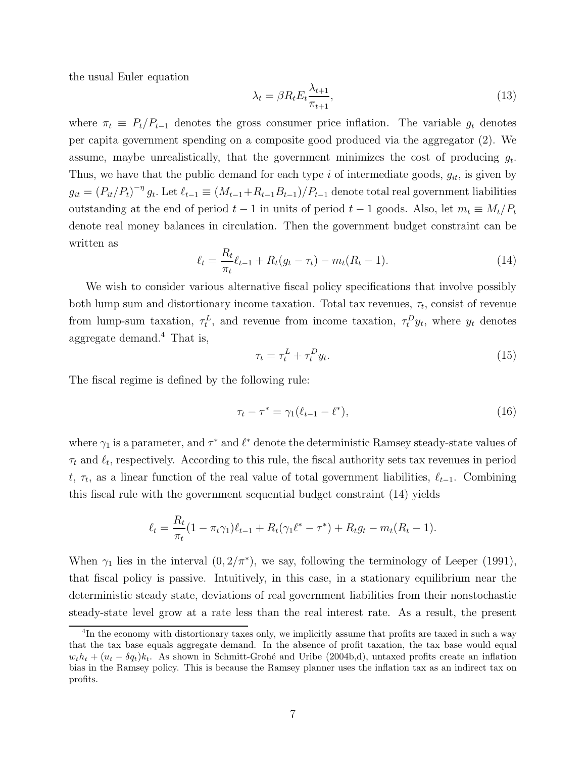the usual Euler equation

$$
\lambda_t = \beta R_t E_t \frac{\lambda_{t+1}}{\pi_{t+1}},\tag{13}
$$

where  $\pi_t \equiv P_t/P_{t-1}$  denotes the gross consumer price inflation. The variable  $g_t$  denotes per capita government spending on a composite good produced via the aggregator (2). We assume, maybe unrealistically, that the government minimizes the cost of producing  $g_t$ . Thus, we have that the public demand for each type *i* of intermediate goods,  $g_{it}$ , is given by  $g_{it} = (P_{it}/P_t)^{-\eta} g_t$ . Let  $\ell_{t-1} \equiv (M_{t-1} + R_{t-1}B_{t-1})/P_{t-1}$  denote total real government liabilities outstanding at the end of period  $t-1$  in units of period  $t-1$  goods. Also, let  $m_t \equiv M_t/P_t$ denote real money balances in circulation. Then the government budget constraint can be written as

$$
\ell_t = \frac{R_t}{\pi_t} \ell_{t-1} + R_t (g_t - \tau_t) - m_t (R_t - 1).
$$
\n(14)

We wish to consider various alternative fiscal policy specifications that involve possibly both lump sum and distortionary income taxation. Total tax revenues,  $\tau_t$ , consist of revenue from lump-sum taxation,  $\tau_t^L$ , and revenue from income taxation,  $\tau_t^D y_t$ , where  $y_t$  denotes aggregate demand.<sup>4</sup> That is,

$$
\tau_t = \tau_t^L + \tau_t^D y_t. \tag{15}
$$

The fiscal regime is defined by the following rule:

$$
\tau_t - \tau^* = \gamma_1(\ell_{t-1} - \ell^*), \tag{16}
$$

where  $\gamma_1$  is a parameter, and  $\tau^*$  and  $\ell^*$  denote the deterministic Ramsey steady-state values of  $\tau_t$  and  $\ell_t$ , respectively. According to this rule, the fiscal authority sets tax revenues in period *t*,  $\tau_t$ , as a linear function of the real value of total government liabilities,  $\ell_{t-1}$ . Combining this fiscal rule with the government sequential budget constraint (14) yields

$$
\ell_t = \frac{R_t}{\pi_t} (1 - \pi_t \gamma_1) \ell_{t-1} + R_t (\gamma_1 \ell^* - \tau^*) + R_t g_t - m_t (R_t - 1).
$$

When  $\gamma_1$  lies in the interval  $(0, 2/\pi^*)$ , we say, following the terminology of Leeper (1991), that fiscal policy is passive. Intuitively, in this case, in a stationary equilibrium near the deterministic steady state, deviations of real government liabilities from their nonstochastic steady-state level grow at a rate less than the real interest rate. As a result, the present

<sup>&</sup>lt;sup>4</sup>In the economy with distortionary taxes only, we implicitly assume that profits are taxed in such a way that the tax base equals aggregate demand. In the absence of profit taxation, the tax base would equal  $w_t h_t + (u_t - \delta q_t) k_t$ . As shown in Schmitt-Grohé and Uribe (2004b,d), untaxed profits create an inflation bias in the Ramsey policy. This is because the Ramsey planner uses the inflation tax as an indirect tax on profits.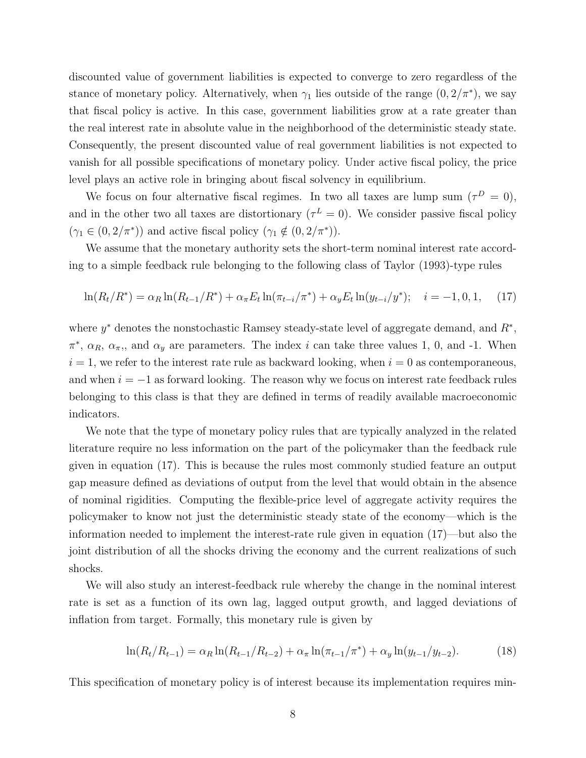discounted value of government liabilities is expected to converge to zero regardless of the stance of monetary policy. Alternatively, when  $\gamma_1$  lies outside of the range  $(0, 2/\pi^*)$ , we say that fiscal policy is active. In this case, government liabilities grow at a rate greater than the real interest rate in absolute value in the neighborhood of the deterministic steady state. Consequently, the present discounted value of real government liabilities is not expected to vanish for all possible specifications of monetary policy. Under active fiscal policy, the price level plays an active role in bringing about fiscal solvency in equilibrium.

We focus on four alternative fiscal regimes. In two all taxes are lump sum ( $\tau^D = 0$ ), and in the other two all taxes are distortionary ( $\tau^L = 0$ ). We consider passive fiscal policy  $(\gamma_1 \in (0, 2/\pi^*))$  and active fiscal policy  $(\gamma_1 \notin (0, 2/\pi^*))$ .

We assume that the monetary authority sets the short-term nominal interest rate according to a simple feedback rule belonging to the following class of Taylor (1993)-type rules

$$
\ln(R_t/R^*) = \alpha_R \ln(R_{t-1}/R^*) + \alpha_\pi E_t \ln(\pi_{t-i}/\pi^*) + \alpha_y E_t \ln(y_{t-i}/y^*); \quad i = -1, 0, 1, \quad (17)
$$

where *y*<sup>∗</sup> denotes the nonstochastic Ramsey steady-state level of aggregate demand, and *R*∗,  $\pi^*$ ,  $\alpha_R$ ,  $\alpha_{\pi}$ ,, and  $\alpha_y$  are parameters. The index *i* can take three values 1, 0, and -1. When  $i = 1$ , we refer to the interest rate rule as backward looking, when  $i = 0$  as contemporaneous, and when  $i = -1$  as forward looking. The reason why we focus on interest rate feedback rules belonging to this class is that they are defined in terms of readily available macroeconomic indicators.

We note that the type of monetary policy rules that are typically analyzed in the related literature require no less information on the part of the policymaker than the feedback rule given in equation (17). This is because the rules most commonly studied feature an output gap measure defined as deviations of output from the level that would obtain in the absence of nominal rigidities. Computing the flexible-price level of aggregate activity requires the policymaker to know not just the deterministic steady state of the economy—which is the information needed to implement the interest-rate rule given in equation (17)—but also the joint distribution of all the shocks driving the economy and the current realizations of such shocks.

We will also study an interest-feedback rule whereby the change in the nominal interest rate is set as a function of its own lag, lagged output growth, and lagged deviations of inflation from target. Formally, this monetary rule is given by

$$
\ln(R_t/R_{t-1}) = \alpha_R \ln(R_{t-1}/R_{t-2}) + \alpha_\pi \ln(\pi_{t-1}/\pi^*) + \alpha_y \ln(y_{t-1}/y_{t-2}).
$$
\n(18)

This specification of monetary policy is of interest because its implementation requires min-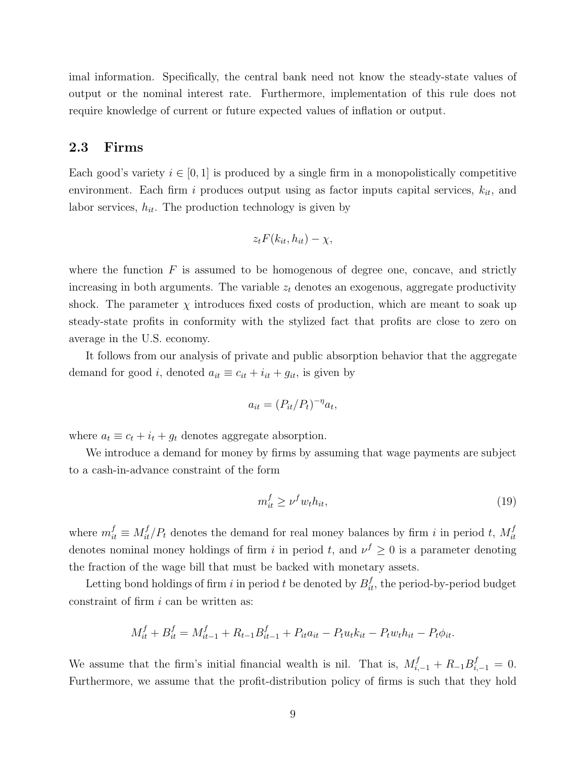imal information. Specifically, the central bank need not know the steady-state values of output or the nominal interest rate. Furthermore, implementation of this rule does not require knowledge of current or future expected values of inflation or output.

#### **2.3 Firms**

Each good's variety  $i \in [0, 1]$  is produced by a single firm in a monopolistically competitive environment. Each firm  $i$  produces output using as factor inputs capital services,  $k_{it}$ , and labor services,  $h_{it}$ . The production technology is given by

$$
z_t F(k_{it}, h_{it}) - \chi,
$$

where the function  $F$  is assumed to be homogenous of degree one, concave, and strictly increasing in both arguments. The variable  $z_t$  denotes an exogenous, aggregate productivity shock. The parameter  $\chi$  introduces fixed costs of production, which are meant to soak up steady-state profits in conformity with the stylized fact that profits are close to zero on average in the U.S. economy.

It follows from our analysis of private and public absorption behavior that the aggregate demand for good *i*, denoted  $a_{it} \equiv c_{it} + i_{it} + g_{it}$ , is given by

$$
a_{it} = (P_{it}/P_t)^{-\eta} a_t,
$$

where  $a_t \equiv c_t + i_t + g_t$  denotes aggregate absorption.

We introduce a demand for money by firms by assuming that wage payments are subject to a cash-in-advance constraint of the form

$$
m_{it}^f \ge \nu^f w_t h_{it},\tag{19}
$$

where  $m_{it}^f \equiv M_{it}^f/P_t$  denotes the demand for real money balances by firm *i* in period *t*,  $M_{it}^f$ denotes nominal money holdings of firm *i* in period *t*, and  $\nu^f \geq 0$  is a parameter denoting the fraction of the wage bill that must be backed with monetary assets.

Letting bond holdings of firm *i* in period *t* be denoted by  $B_{it}^f$ , the period-by-period budget constraint of firm *i* can be written as:

$$
M_{it}^f + B_{it}^f = M_{it-1}^f + R_{t-1}B_{it-1}^f + P_{it}a_{it} - P_t u_t k_{it} - P_t w_t h_{it} - P_t \phi_{it}.
$$

We assume that the firm's initial financial wealth is nil. That is,  $M_{i,-1}^f + R_{-1}B_{i,-1}^f = 0$ . Furthermore, we assume that the profit-distribution policy of firms is such that they hold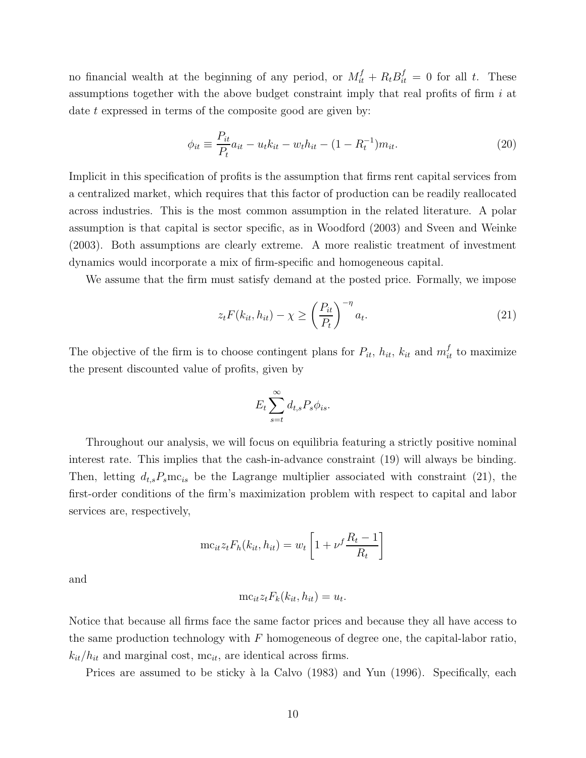no financial wealth at the beginning of any period, or  $M_{it}^f + R_t B_{it}^f = 0$  for all *t*. These assumptions together with the above budget constraint imply that real profits of firm *i* at date *t* expressed in terms of the composite good are given by:

$$
\phi_{it} \equiv \frac{P_{it}}{P_t} a_{it} - u_t k_{it} - w_t h_{it} - (1 - R_t^{-1}) m_{it}.
$$
\n(20)

Implicit in this specification of profits is the assumption that firms rent capital services from a centralized market, which requires that this factor of production can be readily reallocated across industries. This is the most common assumption in the related literature. A polar assumption is that capital is sector specific, as in Woodford (2003) and Sveen and Weinke (2003). Both assumptions are clearly extreme. A more realistic treatment of investment dynamics would incorporate a mix of firm-specific and homogeneous capital.

We assume that the firm must satisfy demand at the posted price. Formally, we impose

$$
z_t F(k_{it}, h_{it}) - \chi \ge \left(\frac{P_{it}}{P_t}\right)^{-\eta} a_t.
$$
\n(21)

The objective of the firm is to choose contingent plans for  $P_{it}$ ,  $h_{it}$ ,  $k_{it}$  and  $m_{it}^f$  to maximize the present discounted value of profits, given by

$$
E_t \sum_{s=t}^{\infty} d_{t,s} P_s \phi_{is}.
$$

Throughout our analysis, we will focus on equilibria featuring a strictly positive nominal interest rate. This implies that the cash-in-advance constraint (19) will always be binding. Then, letting  $d_{t,s}P_smc_{is}$  be the Lagrange multiplier associated with constraint (21), the first-order conditions of the firm's maximization problem with respect to capital and labor services are, respectively,

$$
\mathrm{mc}_{it}z_t F_h(k_{it}, h_{it}) = w_t \left[ 1 + \nu^f \frac{R_t - 1}{R_t} \right]
$$

and

$$
\mathrm{mc}_{it}z_t F_k(k_{it}, h_{it}) = u_t.
$$

Notice that because all firms face the same factor prices and because they all have access to the same production technology with *F* homogeneous of degree one, the capital-labor ratio,  $k_{it}/h_{it}$  and marginal cost, mc<sub>it</sub>, are identical across firms.

Prices are assumed to be sticky à la Calvo (1983) and Yun (1996). Specifically, each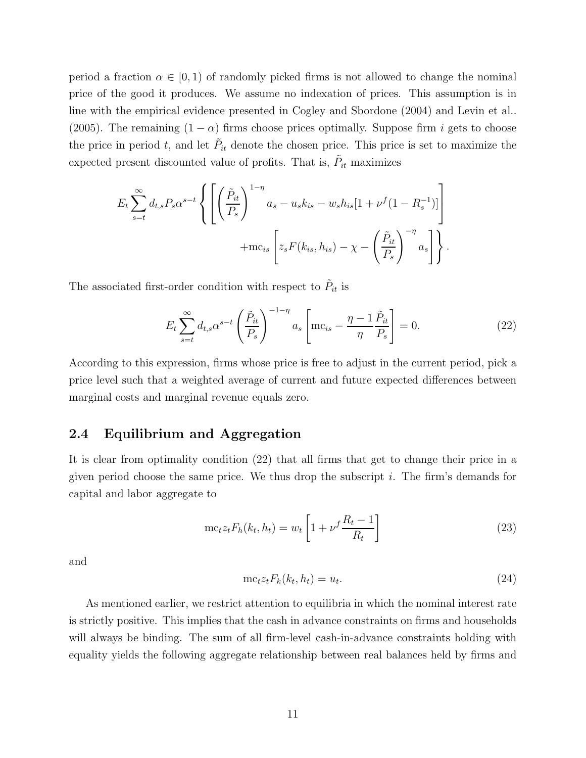period a fraction  $\alpha \in (0, 1)$  of randomly picked firms is not allowed to change the nominal price of the good it produces. We assume no indexation of prices. This assumption is in line with the empirical evidence presented in Cogley and Sbordone (2004) and Levin et al.. (2005). The remaining  $(1 - \alpha)$  firms choose prices optimally. Suppose firm *i* gets to choose the price in period *t*, and let  $P_{it}$  denote the chosen price. This price is set to maximize the expected present discounted value of profits. That is,  $\ddot{P}_{it}$  maximizes

$$
E_t \sum_{s=t}^{\infty} d_{t,s} P_s \alpha^{s-t} \left\{ \left[ \left( \frac{\tilde{P}_{it}}{P_s} \right)^{1-\eta} a_s - u_s k_{is} - w_s h_{is} [1 + \nu^f (1 - R_s^{-1})] \right] + \text{mc}_{is} \left[ z_s F(k_{is}, h_{is}) - \chi - \left( \frac{\tilde{P}_{it}}{P_s} \right)^{-\eta} a_s \right] \right\}.
$$

The associated first-order condition with respect to  $\tilde{P}_{it}$  is

$$
E_t \sum_{s=t}^{\infty} d_{t,s} \alpha^{s-t} \left(\frac{\tilde{P}_{it}}{P_s}\right)^{-1-\eta} a_s \left[\text{mc}_{is} - \frac{\eta - 1}{\eta} \frac{\tilde{P}_{it}}{P_s}\right] = 0. \tag{22}
$$

According to this expression, firms whose price is free to adjust in the current period, pick a price level such that a weighted average of current and future expected differences between marginal costs and marginal revenue equals zero.

### **2.4 Equilibrium and Aggregation**

It is clear from optimality condition (22) that all firms that get to change their price in a given period choose the same price. We thus drop the subscript *i*. The firm's demands for capital and labor aggregate to

$$
\mathrm{mc}_t z_t F_h(k_t, h_t) = w_t \left[ 1 + \nu^f \frac{R_t - 1}{R_t} \right] \tag{23}
$$

and

$$
\mathrm{mc}_t z_t F_k(k_t, h_t) = u_t. \tag{24}
$$

As mentioned earlier, we restrict attention to equilibria in which the nominal interest rate is strictly positive. This implies that the cash in advance constraints on firms and households will always be binding. The sum of all firm-level cash-in-advance constraints holding with equality yields the following aggregate relationship between real balances held by firms and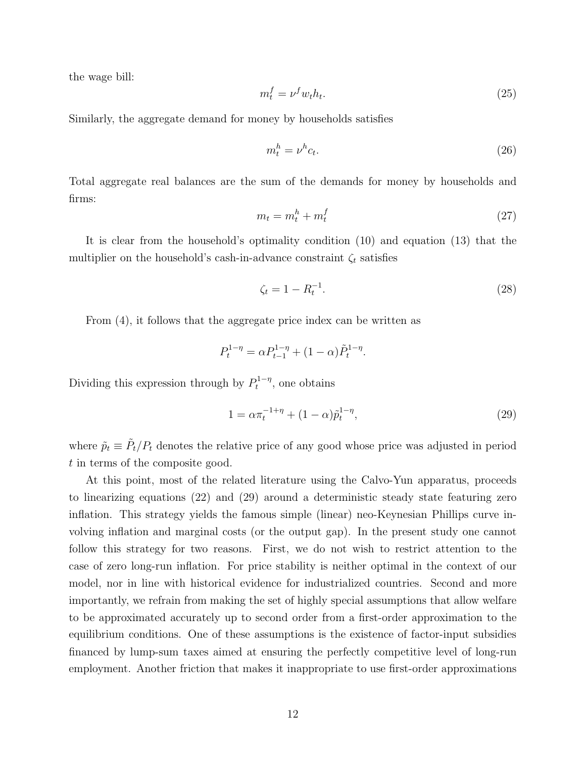the wage bill:

$$
m_t^f = \nu^f w_t h_t. \tag{25}
$$

Similarly, the aggregate demand for money by households satisfies

$$
m_t^h = \nu^h c_t. \tag{26}
$$

Total aggregate real balances are the sum of the demands for money by households and firms:

$$
m_t = m_t^h + m_t^f \tag{27}
$$

It is clear from the household's optimality condition (10) and equation (13) that the multiplier on the household's cash-in-advance constraint  $\zeta_t$  satisfies

$$
\zeta_t = 1 - R_t^{-1}.\tag{28}
$$

From (4), it follows that the aggregate price index can be written as

$$
P_t^{1-\eta} = \alpha P_{t-1}^{1-\eta} + (1-\alpha)\tilde{P}_t^{1-\eta}.
$$

Dividing this expression through by  $P_t^{1-\eta}$ , one obtains

$$
1 = \alpha \pi_t^{-1+\eta} + (1-\alpha)\tilde{p}_t^{1-\eta},
$$
\n(29)

where  $\tilde{p}_t \equiv \tilde{P}_t / P_t$  denotes the relative price of any good whose price was adjusted in period *t* in terms of the composite good.

At this point, most of the related literature using the Calvo-Yun apparatus, proceeds to linearizing equations (22) and (29) around a deterministic steady state featuring zero inflation. This strategy yields the famous simple (linear) neo-Keynesian Phillips curve involving inflation and marginal costs (or the output gap). In the present study one cannot follow this strategy for two reasons. First, we do not wish to restrict attention to the case of zero long-run inflation. For price stability is neither optimal in the context of our model, nor in line with historical evidence for industrialized countries. Second and more importantly, we refrain from making the set of highly special assumptions that allow welfare to be approximated accurately up to second order from a first-order approximation to the equilibrium conditions. One of these assumptions is the existence of factor-input subsidies financed by lump-sum taxes aimed at ensuring the perfectly competitive level of long-run employment. Another friction that makes it inappropriate to use first-order approximations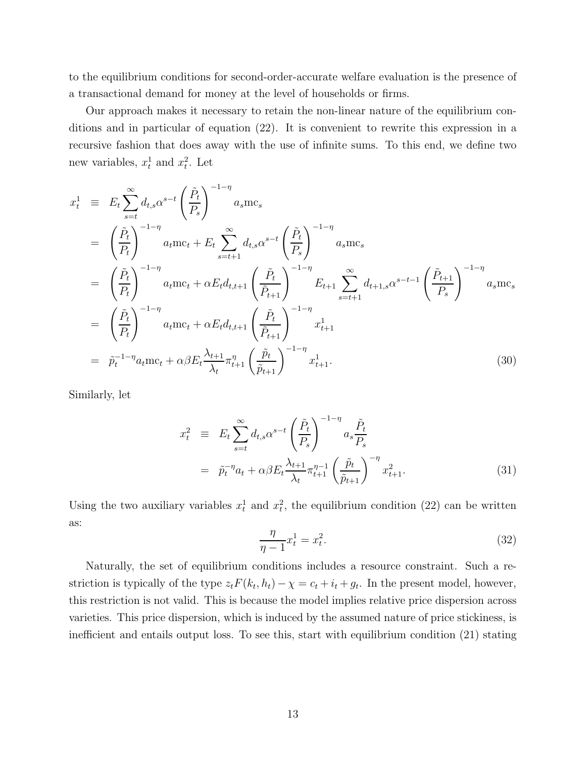to the equilibrium conditions for second-order-accurate welfare evaluation is the presence of a transactional demand for money at the level of households or firms.

Our approach makes it necessary to retain the non-linear nature of the equilibrium conditions and in particular of equation (22). It is convenient to rewrite this expression in a recursive fashion that does away with the use of infinite sums. To this end, we define two new variables,  $x_t^1$  and  $x_t^2$ . Let

$$
x_{t}^{1} \equiv E_{t} \sum_{s=t}^{\infty} d_{t,s} \alpha^{s-t} \left(\frac{\tilde{P}_{t}}{P_{s}}\right)^{-1-\eta} a_{s} \text{mc}_{s}
$$
  
\n
$$
= \left(\frac{\tilde{P}_{t}}{P_{t}}\right)^{-1-\eta} a_{t} \text{mc}_{t} + E_{t} \sum_{s=t+1}^{\infty} d_{t,s} \alpha^{s-t} \left(\frac{\tilde{P}_{t}}{P_{s}}\right)^{-1-\eta} a_{s} \text{mc}_{s}
$$
  
\n
$$
= \left(\frac{\tilde{P}_{t}}{P_{t}}\right)^{-1-\eta} a_{t} \text{mc}_{t} + \alpha E_{t} d_{t,t+1} \left(\frac{\tilde{P}_{t}}{\tilde{P}_{t+1}}\right)^{-1-\eta} E_{t+1} \sum_{s=t+1}^{\infty} d_{t+1,s} \alpha^{s-t-1} \left(\frac{\tilde{P}_{t+1}}{P_{s}}\right)^{-1-\eta} a_{s} \text{mc}_{s}
$$
  
\n
$$
= \left(\frac{\tilde{P}_{t}}{P_{t}}\right)^{-1-\eta} a_{t} \text{mc}_{t} + \alpha E_{t} d_{t,t+1} \left(\frac{\tilde{P}_{t}}{\tilde{P}_{t+1}}\right)^{-1-\eta} x_{t+1}^{1}
$$
  
\n
$$
= \tilde{p}_{t}^{-1-\eta} a_{t} \text{mc}_{t} + \alpha \beta E_{t} \frac{\lambda_{t+1}}{\lambda_{t}} \pi_{t+1}^{\eta} \left(\frac{\tilde{p}_{t}}{\tilde{p}_{t+1}}\right)^{-1-\eta} x_{t+1}^{1}.
$$
  
\n(30)

Similarly, let

$$
x_t^2 \equiv E_t \sum_{s=t}^{\infty} d_{t,s} \alpha^{s-t} \left(\frac{\tilde{P}_t}{P_s}\right)^{-1-\eta} a_s \frac{\tilde{P}_t}{P_s}
$$
  

$$
= \tilde{p}_t^{-\eta} a_t + \alpha \beta E_t \frac{\lambda_{t+1}}{\lambda_t} \pi_{t+1}^{\eta-1} \left(\frac{\tilde{p}_t}{\tilde{p}_{t+1}}\right)^{-\eta} x_{t+1}^2.
$$
 (31)

Using the two auxiliary variables  $x_t^1$  and  $x_t^2$ , the equilibrium condition (22) can be written as:

$$
\frac{\eta}{\eta - 1} x_t^1 = x_t^2. \tag{32}
$$

Naturally, the set of equilibrium conditions includes a resource constraint. Such a restriction is typically of the type  $z_t F(k_t, h_t) - \chi = c_t + i_t + g_t$ . In the present model, however, this restriction is not valid. This is because the model implies relative price dispersion across varieties. This price dispersion, which is induced by the assumed nature of price stickiness, is inefficient and entails output loss. To see this, start with equilibrium condition (21) stating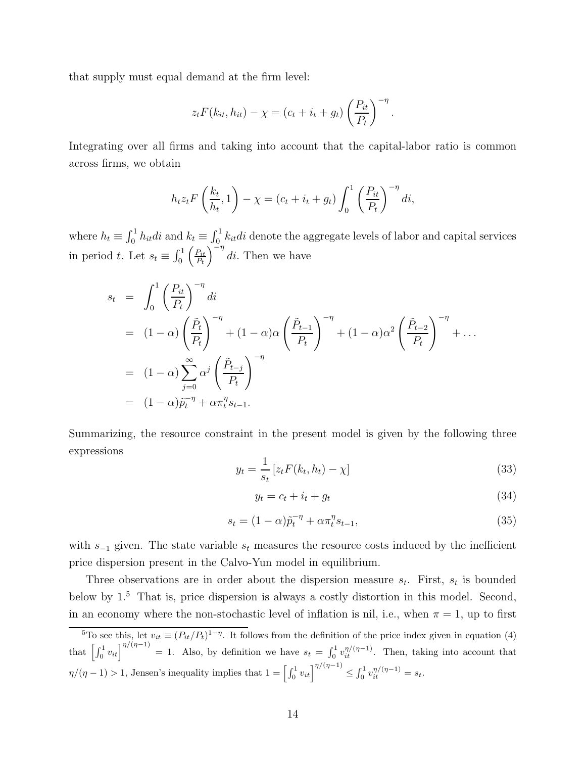that supply must equal demand at the firm level:

$$
z_t F(k_{it}, h_{it}) - \chi = (c_t + i_t + g_t) \left(\frac{P_{it}}{P_t}\right)^{-\eta}.
$$

Integrating over all firms and taking into account that the capital-labor ratio is common across firms, we obtain

$$
h_t z_t F\left(\frac{k_t}{h_t}, 1\right) - \chi = (c_t + i_t + g_t) \int_0^1 \left(\frac{P_{it}}{P_t}\right)^{-\eta} dt,
$$

where  $h_t \equiv \int_0^1 h_{it}di$  and  $k_t \equiv \int_0^1 k_{it}di$  denote the aggregate levels of labor and capital services in period *t*. Let  $s_t \equiv \int_0^1$  $\left(P_{it}\right)$  $P_t$  $\int_{0}^{\infty} dt$ . Then we have

$$
s_t = \int_0^1 \left(\frac{P_{it}}{P_t}\right)^{-\eta} di
$$
  
\n
$$
= (1 - \alpha) \left(\frac{\tilde{P}_t}{P_t}\right)^{-\eta} + (1 - \alpha) \alpha \left(\frac{\tilde{P}_{t-1}}{P_t}\right)^{-\eta} + (1 - \alpha) \alpha^2 \left(\frac{\tilde{P}_{t-2}}{P_t}\right)^{-\eta} + \dots
$$
  
\n
$$
= (1 - \alpha) \sum_{j=0}^\infty \alpha^j \left(\frac{\tilde{P}_{t-j}}{P_t}\right)^{-\eta}
$$
  
\n
$$
= (1 - \alpha) \tilde{p}_t^{-\eta} + \alpha \pi_t^{\eta} s_{t-1}.
$$

Summarizing, the resource constraint in the present model is given by the following three expressions

$$
y_t = \frac{1}{s_t} \left[ z_t F(k_t, h_t) - \chi \right] \tag{33}
$$

$$
y_t = c_t + i_t + g_t \tag{34}
$$

$$
s_t = (1 - \alpha)\tilde{p}_t^{-\eta} + \alpha \pi_t^{\eta} s_{t-1},
$$
\n(35)

with  $s_{-1}$  given. The state variable  $s_t$  measures the resource costs induced by the inefficient price dispersion present in the Calvo-Yun model in equilibrium.

Three observations are in order about the dispersion measure  $s_t$ . First,  $s_t$  is bounded below by  $1<sup>5</sup>$  That is, price dispersion is always a costly distortion in this model. Second, in an economy where the non-stochastic level of inflation is nil, i.e., when  $\pi = 1$ , up to first

<sup>&</sup>lt;sup>5</sup>To see this, let  $v_{it} \equiv (P_{it}/P_t)^{1-\eta}$ . It follows from the definition of the price index given in equation (4) that  $\left[\int_0^1 v_{it}\right]^{n/(n-1)} = 1$ . Also, by definition we have  $s_t = \int_0^1 v_{it}^{n/(n-1)}$ . Then, taking into account that  $\eta/(\eta-1) > 1$ , Jensen's inequality implies that  $1 = \left[\int_0^1 v_{it}\right]^{\eta/(\eta-1)} \leq \int_0^1 v_{it}^{\eta/(\eta-1)} = s_t$ .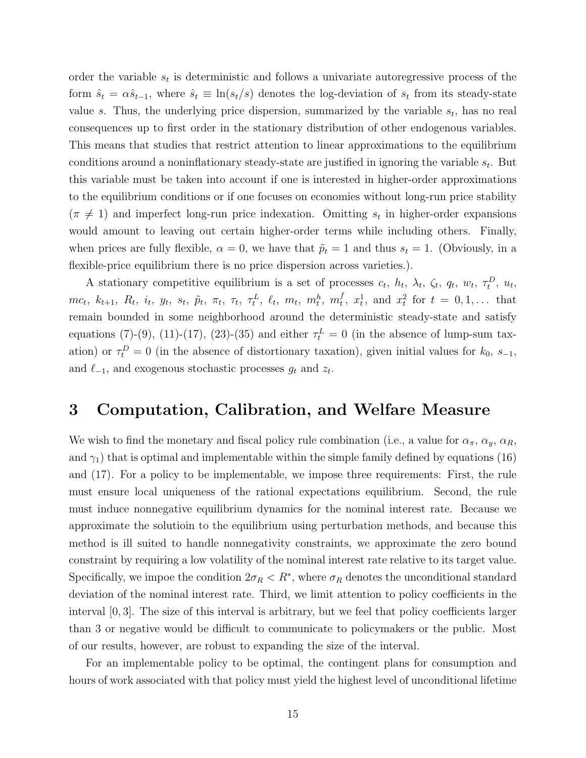order the variable  $s_t$  is deterministic and follows a univariate autoregressive process of the form  $\hat{s}_t = \alpha \hat{s}_{t-1}$ , where  $\hat{s}_t \equiv \ln(s_t/s)$  denotes the log-deviation of  $s_t$  from its steady-state value *s*. Thus, the underlying price dispersion, summarized by the variable  $s_t$ , has no real consequences up to first order in the stationary distribution of other endogenous variables. This means that studies that restrict attention to linear approximations to the equilibrium conditions around a noninflationary steady-state are justified in ignoring the variable  $s_t$ . But this variable must be taken into account if one is interested in higher-order approximations to the equilibrium conditions or if one focuses on economies without long-run price stability  $(\pi \neq 1)$  and imperfect long-run price indexation. Omitting  $s_t$  in higher-order expansions would amount to leaving out certain higher-order terms while including others. Finally, when prices are fully flexible,  $\alpha = 0$ , we have that  $\tilde{p}_t = 1$  and thus  $s_t = 1$ . (Obviously, in a flexible-price equilibrium there is no price dispersion across varieties.).

A stationary competitive equilibrium is a set of processes  $c_t$ ,  $h_t$ ,  $\lambda_t$ ,  $\zeta_t$ ,  $q_t$ ,  $w_t$ ,  $\tau_t^D$ ,  $u_t$ ,  $mc_t$ ,  $k_{t+1}$ ,  $R_t$ ,  $i_t$ ,  $y_t$ ,  $s_t$ ,  $\tilde{p}_t$ ,  $\pi_t$ ,  $\tau_t$ ,  $\tau_t^L$ ,  $\ell_t$ ,  $m_t$ ,  $m_t^h$ ,  $m_t^f$ ,  $x_t^1$ , and  $x_t^2$  for  $t = 0, 1, \ldots$  that remain bounded in some neighborhood around the deterministic steady-state and satisfy equations (7)-(9), (11)-(17), (23)-(35) and either  $\tau_t^L = 0$  (in the absence of lump-sum taxation) or  $\tau_t^D = 0$  (in the absence of distortionary taxation), given initial values for  $k_0$ ,  $s_{-1}$ , and  $\ell_{-1}$ , and exogenous stochastic processes  $g_t$  and  $z_t$ .

### **3 Computation, Calibration, and Welfare Measure**

We wish to find the monetary and fiscal policy rule combination (i.e., a value for  $\alpha_{\pi}$ ,  $\alpha_{y}$ ,  $\alpha_{R}$ , and  $\gamma_1$ ) that is optimal and implementable within the simple family defined by equations (16) and (17). For a policy to be implementable, we impose three requirements: First, the rule must ensure local uniqueness of the rational expectations equilibrium. Second, the rule must induce nonnegative equilibrium dynamics for the nominal interest rate. Because we approximate the solutioin to the equilibrium using perturbation methods, and because this method is ill suited to handle nonnegativity constraints, we approximate the zero bound constraint by requiring a low volatility of the nominal interest rate relative to its target value. Specifically, we impoe the condition  $2\sigma_R < R^*$ , where  $\sigma_R$  denotes the unconditional standard deviation of the nominal interest rate. Third, we limit attention to policy coefficients in the interval [0*,* 3]. The size of this interval is arbitrary, but we feel that policy coefficients larger than 3 or negative would be difficult to communicate to policymakers or the public. Most of our results, however, are robust to expanding the size of the interval.

For an implementable policy to be optimal, the contingent plans for consumption and hours of work associated with that policy must yield the highest level of unconditional lifetime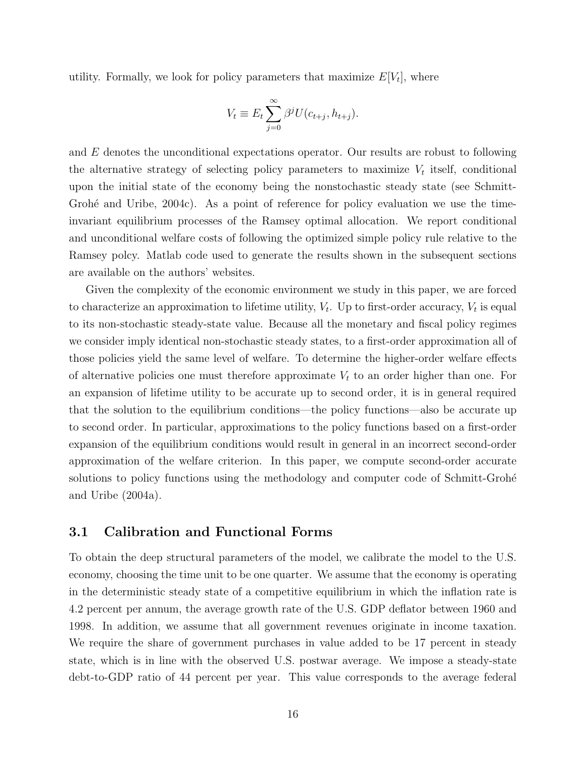utility. Formally, we look for policy parameters that maximize  $E[V_t]$ , where

$$
V_t \equiv E_t \sum_{j=0}^{\infty} \beta^j U(c_{t+j}, h_{t+j}).
$$

and *E* denotes the unconditional expectations operator. Our results are robust to following the alternative strategy of selecting policy parameters to maximize  $V_t$  itself, conditional upon the initial state of the economy being the nonstochastic steady state (see Schmitt-Grohé and Uribe,  $2004c$ . As a point of reference for policy evaluation we use the timeinvariant equilibrium processes of the Ramsey optimal allocation. We report conditional and unconditional welfare costs of following the optimized simple policy rule relative to the Ramsey polcy. Matlab code used to generate the results shown in the subsequent sections are available on the authors' websites.

Given the complexity of the economic environment we study in this paper, we are forced to characterize an approximation to lifetime utility,  $V_t$ . Up to first-order accuracy,  $V_t$  is equal to its non-stochastic steady-state value. Because all the monetary and fiscal policy regimes we consider imply identical non-stochastic steady states, to a first-order approximation all of those policies yield the same level of welfare. To determine the higher-order welfare effects of alternative policies one must therefore approximate  $V_t$  to an order higher than one. For an expansion of lifetime utility to be accurate up to second order, it is in general required that the solution to the equilibrium conditions—the policy functions—also be accurate up to second order. In particular, approximations to the policy functions based on a first-order expansion of the equilibrium conditions would result in general in an incorrect second-order approximation of the welfare criterion. In this paper, we compute second-order accurate solutions to policy functions using the methodology and computer code of Schmitt-Grohé and Uribe (2004a).

#### **3.1 Calibration and Functional Forms**

To obtain the deep structural parameters of the model, we calibrate the model to the U.S. economy, choosing the time unit to be one quarter. We assume that the economy is operating in the deterministic steady state of a competitive equilibrium in which the inflation rate is 4.2 percent per annum, the average growth rate of the U.S. GDP deflator between 1960 and 1998. In addition, we assume that all government revenues originate in income taxation. We require the share of government purchases in value added to be 17 percent in steady state, which is in line with the observed U.S. postwar average. We impose a steady-state debt-to-GDP ratio of 44 percent per year. This value corresponds to the average federal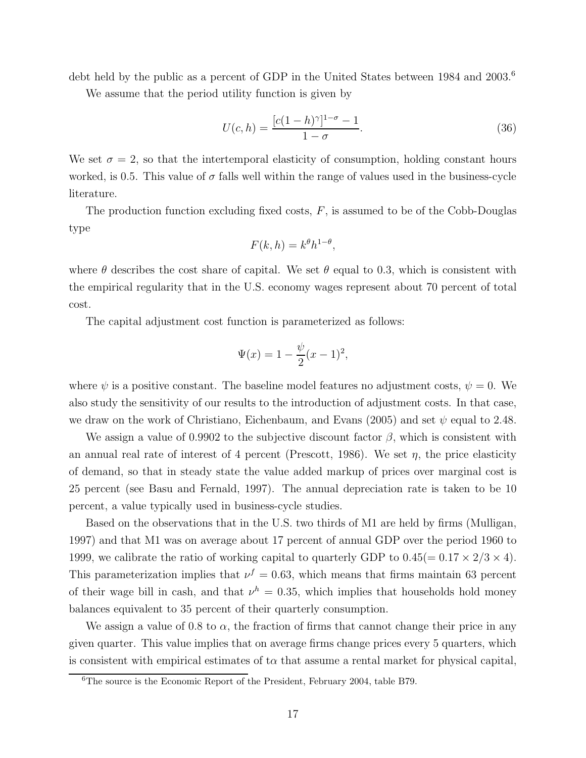debt held by the public as a percent of GDP in the United States between 1984 and 2003.<sup>6</sup>

We assume that the period utility function is given by

$$
U(c, h) = \frac{[c(1-h)^{\gamma}]^{1-\sigma} - 1}{1-\sigma}.
$$
\n(36)

We set  $\sigma = 2$ , so that the intertemporal elasticity of consumption, holding constant hours worked, is 0.5. This value of  $\sigma$  falls well within the range of values used in the business-cycle literature.

The production function excluding fixed costs, *F*, is assumed to be of the Cobb-Douglas type

$$
F(k, h) = k^{\theta} h^{1-\theta},
$$

where  $\theta$  describes the cost share of capital. We set  $\theta$  equal to 0.3, which is consistent with the empirical regularity that in the U.S. economy wages represent about 70 percent of total cost.

The capital adjustment cost function is parameterized as follows:

$$
\Psi(x) = 1 - \frac{\psi}{2}(x - 1)^2,
$$

where  $\psi$  is a positive constant. The baseline model features no adjustment costs,  $\psi = 0$ . We also study the sensitivity of our results to the introduction of adjustment costs. In that case, we draw on the work of Christiano, Eichenbaum, and Evans (2005) and set *ψ* equal to 2.48.

We assign a value of 0.9902 to the subjective discount factor  $\beta$ , which is consistent with an annual real rate of interest of 4 percent (Prescott, 1986). We set  $\eta$ , the price elasticity of demand, so that in steady state the value added markup of prices over marginal cost is 25 percent (see Basu and Fernald, 1997). The annual depreciation rate is taken to be 10 percent, a value typically used in business-cycle studies.

Based on the observations that in the U.S. two thirds of M1 are held by firms (Mulligan, 1997) and that M1 was on average about 17 percent of annual GDP over the period 1960 to 1999, we calibrate the ratio of working capital to quarterly GDP to  $0.45(=0.17 \times 2/3 \times 4)$ . This parameterization implies that  $\nu^f = 0.63$ , which means that firms maintain 63 percent of their wage bill in cash, and that  $\nu^h = 0.35$ , which implies that households hold money balances equivalent to 35 percent of their quarterly consumption.

We assign a value of 0.8 to  $\alpha$ , the fraction of firms that cannot change their price in any given quarter. This value implies that on average firms change prices every 5 quarters, which is consistent with empirical estimates of  $t\alpha$  that assume a rental market for physical capital,

 $6$ The source is the Economic Report of the President, February 2004, table B79.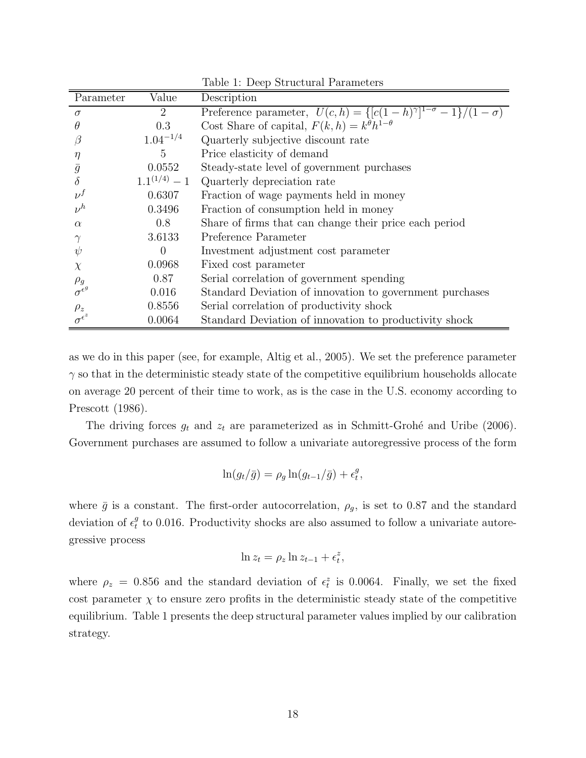| Parameter                            | Value             | Description                                                                                                              |
|--------------------------------------|-------------------|--------------------------------------------------------------------------------------------------------------------------|
| $\sigma$                             | $\overline{2}$    | Preference parameter, $U(c, h) = \left\{ \left[ c(1-h)^{\overline{\gamma}} \right]^{1-\sigma} - 1 \right\} / (1-\sigma)$ |
| $\theta$                             | 0.3               | Cost Share of capital, $F(k, h) = k^{\theta}h^{1-\theta}$                                                                |
|                                      | $1.04^{-1/4}$     | Quarterly subjective discount rate                                                                                       |
| $\eta$                               | 5                 | Price elasticity of demand                                                                                               |
| $\bar{g}$                            | 0.0552            | Steady-state level of government purchases                                                                               |
|                                      | $1.1^{(1/4)} - 1$ | Quarterly depreciation rate                                                                                              |
|                                      | 0.6307            | Fraction of wage payments held in money                                                                                  |
| $\nu^h$                              | 0.3496            | Fraction of consumption held in money                                                                                    |
| $\alpha$                             | 0.8               | Share of firms that can change their price each period                                                                   |
| $\gamma$                             | 3.6133            | Preference Parameter                                                                                                     |
| V                                    | 0                 | Investment adjustment cost parameter                                                                                     |
| $\chi$                               | 0.0968            | Fixed cost parameter                                                                                                     |
|                                      | 0.87              | Serial correlation of government spending                                                                                |
| $\frac{\rho_g}{\sigma^{\epsilon^g}}$ | 0.016             | Standard Deviation of innovation to government purchases                                                                 |
| $\rho_z$                             | 0.8556            | Serial correlation of productivity shock                                                                                 |
|                                      | 0.0064            | Standard Deviation of innovation to productivity shock                                                                   |

Table 1: Deep Structural Parameters

as we do in this paper (see, for example, Altig et al., 2005). We set the preference parameter  $\gamma$  so that in the deterministic steady state of the competitive equilibrium households allocate on average 20 percent of their time to work, as is the case in the U.S. economy according to Prescott (1986).

The driving forces  $g_t$  and  $z_t$  are parameterized as in Schmitt-Grohé and Uribe (2006). Government purchases are assumed to follow a univariate autoregressive process of the form

$$
\ln(g_t/\bar{g}) = \rho_g \ln(g_{t-1}/\bar{g}) + \epsilon_t^g,
$$

where  $\bar{g}$  is a constant. The first-order autocorrelation,  $\rho_g$ , is set to 0.87 and the standard deviation of  $\epsilon_t^g$  to 0.016. Productivity shocks are also assumed to follow a univariate autoregressive process

$$
\ln z_t = \rho_z \ln z_{t-1} + \epsilon_t^z,
$$

where  $\rho_z = 0.856$  and the standard deviation of  $\epsilon_t^z$  is 0.0064. Finally, we set the fixed cost parameter  $\chi$  to ensure zero profits in the deterministic steady state of the competitive equilibrium. Table 1 presents the deep structural parameter values implied by our calibration strategy.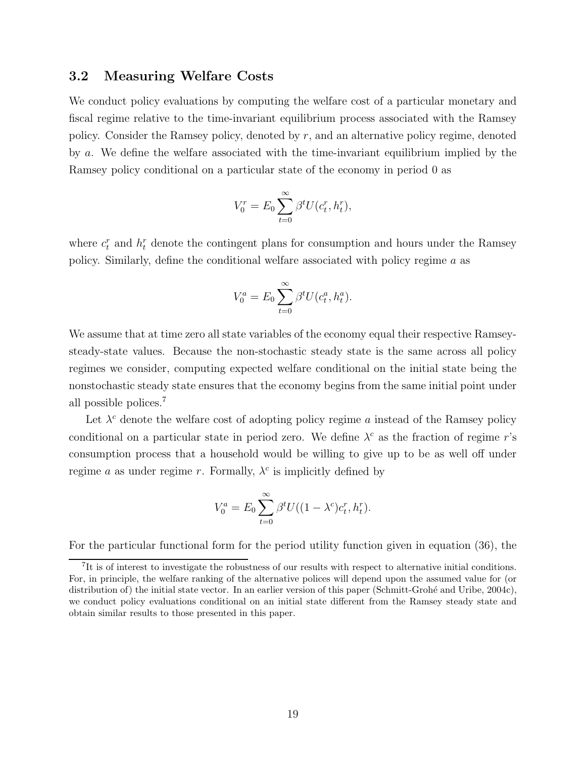### **3.2 Measuring Welfare Costs**

We conduct policy evaluations by computing the welfare cost of a particular monetary and fiscal regime relative to the time-invariant equilibrium process associated with the Ramsey policy. Consider the Ramsey policy, denoted by *r*, and an alternative policy regime, denoted by *a*. We define the welfare associated with the time-invariant equilibrium implied by the Ramsey policy conditional on a particular state of the economy in period 0 as

$$
V_0^r = E_0 \sum_{t=0}^{\infty} \beta^t U(c_t^r, h_t^r),
$$

where  $c_t^r$  and  $h_t^r$  denote the contingent plans for consumption and hours under the Ramsey policy. Similarly, define the conditional welfare associated with policy regime *a* as

$$
V_0^a = E_0 \sum_{t=0}^{\infty} \beta^t U(c_t^a, h_t^a).
$$

We assume that at time zero all state variables of the economy equal their respective Ramseysteady-state values. Because the non-stochastic steady state is the same across all policy regimes we consider, computing expected welfare conditional on the initial state being the nonstochastic steady state ensures that the economy begins from the same initial point under all possible polices.<sup>7</sup>

Let  $\lambda^c$  denote the welfare cost of adopting policy regime *a* instead of the Ramsey policy conditional on a particular state in period zero. We define  $\lambda^c$  as the fraction of regime r's consumption process that a household would be willing to give up to be as well off under regime *a* as under regime *r*. Formally,  $\lambda^c$  is implicitly defined by

$$
V_0^a = E_0 \sum_{t=0}^{\infty} \beta^t U((1 - \lambda^c) c_t^r, h_t^r).
$$

For the particular functional form for the period utility function given in equation (36), the

<sup>7</sup>It is of interest to investigate the robustness of our results with respect to alternative initial conditions. For, in principle, the welfare ranking of the alternative polices will depend upon the assumed value for (or distribution of) the initial state vector. In an earlier version of this paper (Schmitt-Grohé and Uribe, 2004c), we conduct policy evaluations conditional on an initial state different from the Ramsey steady state and obtain similar results to those presented in this paper.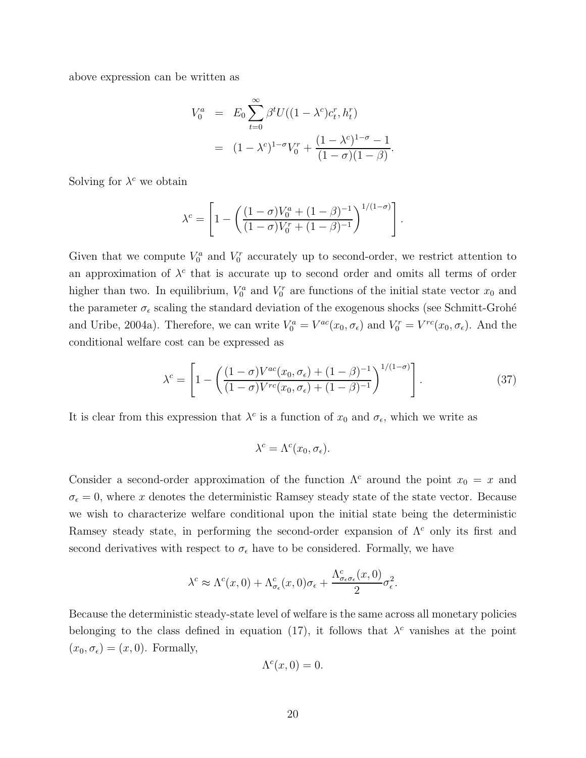above expression can be written as

$$
V_0^a = E_0 \sum_{t=0}^{\infty} \beta^t U((1 - \lambda^c) c_t^r, h_t^r)
$$
  
= 
$$
(1 - \lambda^c)^{1 - \sigma} V_0^r + \frac{(1 - \lambda^c)^{1 - \sigma} - 1}{(1 - \sigma)(1 - \beta)}
$$

Solving for  $\lambda^c$  we obtain

$$
\lambda^{c} = \left[1 - \left(\frac{(1-\sigma)V_0^{a} + (1-\beta)^{-1}}{(1-\sigma)V_0^{r} + (1-\beta)^{-1}}\right)^{1/(1-\sigma)}\right].
$$

Given that we compute  $V_0^a$  and  $V_0^r$  accurately up to second-order, we restrict attention to an approximation of  $\lambda^c$  that is accurate up to second order and omits all terms of order higher than two. In equilibrium,  $V_0^a$  and  $V_0^r$  are functions of the initial state vector  $x_0$  and the parameter  $\sigma_{\epsilon}$  scaling the standard deviation of the exogenous shocks (see Schmitt-Grohé and Uribe, 2004a). Therefore, we can write  $V_0^a = V^{ac}(x_0, \sigma_{\epsilon})$  and  $V_0^r = V^{rc}(x_0, \sigma_{\epsilon})$ . And the conditional welfare cost can be expressed as

$$
\lambda^{c} = \left[1 - \left(\frac{(1-\sigma)V^{ac}(x_0, \sigma_{\epsilon}) + (1-\beta)^{-1}}{(1-\sigma)V^{rc}(x_0, \sigma_{\epsilon}) + (1-\beta)^{-1}}\right)^{1/(1-\sigma)}\right].
$$
\n(37)

*.*

It is clear from this expression that  $\lambda^c$  is a function of  $x_0$  and  $\sigma_{\epsilon}$ , which we write as

$$
\lambda^c = \Lambda^c(x_0, \sigma_{\epsilon}).
$$

Consider a second-order approximation of the function  $\Lambda^c$  around the point  $x_0 = x$  and  $\sigma_{\epsilon} = 0$ , where *x* denotes the deterministic Ramsey steady state of the state vector. Because we wish to characterize welfare conditional upon the initial state being the deterministic Ramsey steady state, in performing the second-order expansion of  $\Lambda^c$  only its first and second derivatives with respect to  $\sigma_{\epsilon}$  have to be considered. Formally, we have

$$
\lambda^c \approx \Lambda^c(x,0) + \Lambda^c_{\sigma_{\epsilon}}(x,0)\sigma_{\epsilon} + \frac{\Lambda^c_{\sigma_{\epsilon}\sigma_{\epsilon}}(x,0)}{2}\sigma_{\epsilon}^2.
$$

Because the deterministic steady-state level of welfare is the same across all monetary policies belonging to the class defined in equation (17), it follows that  $\lambda^c$  vanishes at the point  $(x_0, \sigma_{\epsilon})=(x, 0)$ . Formally,

$$
\Lambda^c(x,0) = 0.
$$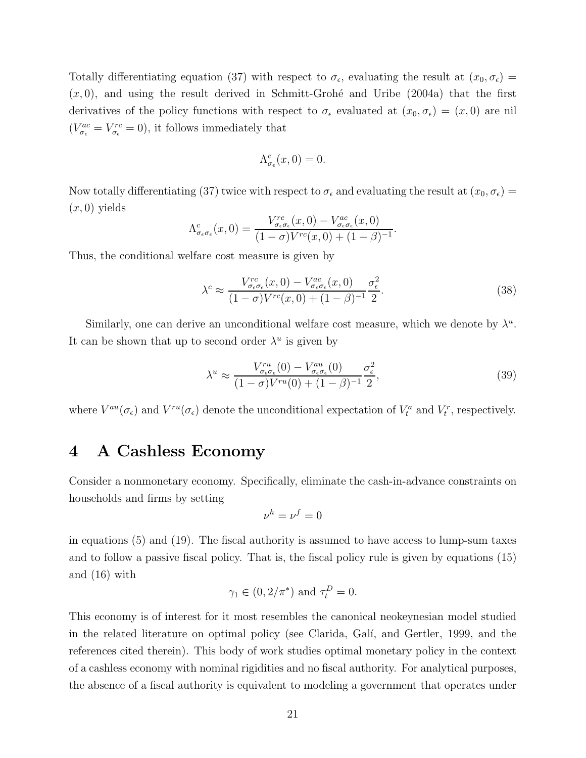Totally differentiating equation (37) with respect to  $\sigma_{\epsilon}$ , evaluating the result at  $(x_0, \sigma_{\epsilon})$  =  $(x, 0)$ , and using the result derived in Schmitt-Grohé and Uribe (2004a) that the first derivatives of the policy functions with respect to  $\sigma_{\epsilon}$  evaluated at  $(x_0, \sigma_{\epsilon}) = (x, 0)$  are nil  $(V_{\sigma_{\epsilon}}^{ac} = V_{\sigma_{\epsilon}}^{rc} = 0)$ , it follows immediately that

$$
\Lambda_{\sigma_{\epsilon}}^{c}(x,0)=0.
$$

Now totally differentiating (37) twice with respect to  $\sigma_{\epsilon}$  and evaluating the result at  $(x_0, \sigma_{\epsilon})$  =  $(x,0)$  yields

$$
\Lambda_{\sigma_{\epsilon}\sigma_{\epsilon}}^{c}(x,0) = \frac{V_{\sigma_{\epsilon}\sigma_{\epsilon}}^{rc}(x,0) - V_{\sigma_{\epsilon}\sigma_{\epsilon}}^{ac}(x,0)}{(1-\sigma)V^{rc}(x,0) + (1-\beta)^{-1}}.
$$

Thus, the conditional welfare cost measure is given by

$$
\lambda^{c} \approx \frac{V_{\sigma_{\epsilon}\sigma_{\epsilon}}^{rc}(x,0) - V_{\sigma_{\epsilon}\sigma_{\epsilon}}^{ac}(x,0)}{(1-\sigma)V^{rc}(x,0) + (1-\beta)^{-1}} \frac{\sigma_{\epsilon}^{2}}{2}.
$$
\n(38)

Similarly, one can derive an unconditional welfare cost measure, which we denote by  $\lambda^u$ . It can be shown that up to second order  $\lambda^u$  is given by

$$
\lambda^u \approx \frac{V_{\sigma_\epsilon \sigma_\epsilon}^{ru}(0) - V_{\sigma_\epsilon \sigma_\epsilon}^{au}(0)}{(1 - \sigma)V^{ru}(0) + (1 - \beta)^{-1}} \frac{\sigma_\epsilon^2}{2},\tag{39}
$$

where  $V^{au}(\sigma_{\epsilon})$  and  $V^{ru}(\sigma_{\epsilon})$  denote the unconditional expectation of  $V_t^a$  and  $V_t^r$ , respectively.

### **4 A Cashless Economy**

Consider a nonmonetary economy. Specifically, eliminate the cash-in-advance constraints on households and firms by setting

$$
\nu^h = \nu^f = 0
$$

in equations (5) and (19). The fiscal authority is assumed to have access to lump-sum taxes and to follow a passive fiscal policy. That is, the fiscal policy rule is given by equations (15) and (16) with

$$
\gamma_1 \in (0, 2/\pi^*)
$$
 and  $\tau_t^D = 0$ .

This economy is of interest for it most resembles the canonical neokeynesian model studied in the related literature on optimal policy (see Clarida, Galí, and Gertler, 1999, and the references cited therein). This body of work studies optimal monetary policy in the context of a cashless economy with nominal rigidities and no fiscal authority. For analytical purposes, the absence of a fiscal authority is equivalent to modeling a government that operates under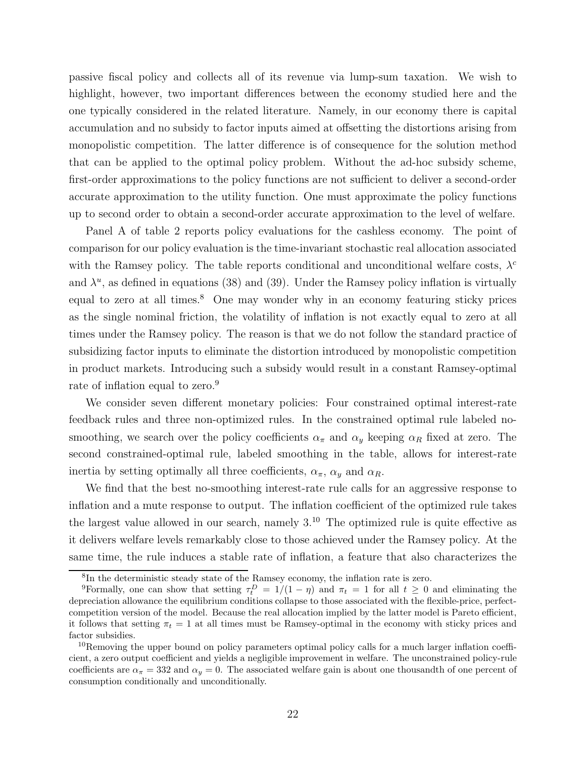passive fiscal policy and collects all of its revenue via lump-sum taxation. We wish to highlight, however, two important differences between the economy studied here and the one typically considered in the related literature. Namely, in our economy there is capital accumulation and no subsidy to factor inputs aimed at offsetting the distortions arising from monopolistic competition. The latter difference is of consequence for the solution method that can be applied to the optimal policy problem. Without the ad-hoc subsidy scheme, first-order approximations to the policy functions are not sufficient to deliver a second-order accurate approximation to the utility function. One must approximate the policy functions up to second order to obtain a second-order accurate approximation to the level of welfare.

Panel A of table 2 reports policy evaluations for the cashless economy. The point of comparison for our policy evaluation is the time-invariant stochastic real allocation associated with the Ramsey policy. The table reports conditional and unconditional welfare costs,  $\lambda^c$ and  $\lambda^u$ , as defined in equations (38) and (39). Under the Ramsey policy inflation is virtually equal to zero at all times.<sup>8</sup> One may wonder why in an economy featuring sticky prices as the single nominal friction, the volatility of inflation is not exactly equal to zero at all times under the Ramsey policy. The reason is that we do not follow the standard practice of subsidizing factor inputs to eliminate the distortion introduced by monopolistic competition in product markets. Introducing such a subsidy would result in a constant Ramsey-optimal rate of inflation equal to zero.<sup>9</sup>

We consider seven different monetary policies: Four constrained optimal interest-rate feedback rules and three non-optimized rules. In the constrained optimal rule labeled nosmoothing, we search over the policy coefficients  $\alpha_{\pi}$  and  $\alpha_{y}$  keeping  $\alpha_{R}$  fixed at zero. The second constrained-optimal rule, labeled smoothing in the table, allows for interest-rate inertia by setting optimally all three coefficients,  $\alpha_{\pi}$ ,  $\alpha_{y}$  and  $\alpha_{R}$ .

We find that the best no-smoothing interest-rate rule calls for an aggressive response to inflation and a mute response to output. The inflation coefficient of the optimized rule takes the largest value allowed in our search, namely  $3^{10}$ . The optimized rule is quite effective as it delivers welfare levels remarkably close to those achieved under the Ramsey policy. At the same time, the rule induces a stable rate of inflation, a feature that also characterizes the

<sup>8</sup>In the deterministic steady state of the Ramsey economy, the inflation rate is zero.

<sup>&</sup>lt;sup>9</sup>Formally, one can show that setting  $\tau_t^D = 1/(1 - \eta)$  and  $\pi_t = 1$  for all  $t \geq 0$  and eliminating the depreciation allowance the equilibrium conditions collapse to those associated with the flexible-price, perfectcompetition version of the model. Because the real allocation implied by the latter model is Pareto efficient, it follows that setting  $\pi_t = 1$  at all times must be Ramsey-optimal in the economy with sticky prices and factor subsidies.

<sup>&</sup>lt;sup>10</sup>Removing the upper bound on policy parameters optimal policy calls for a much larger inflation coefficient, a zero output coefficient and yields a negligible improvement in welfare. The unconstrained policy-rule coefficients are  $\alpha_{\pi} = 332$  and  $\alpha_{y} = 0$ . The associated welfare gain is about one thousandth of one percent of consumption conditionally and unconditionally.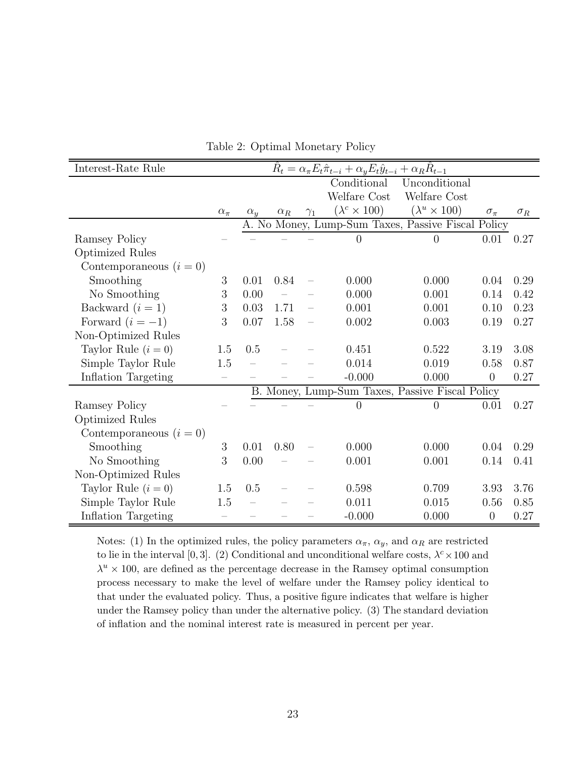| Interest-Rate Rule                                 |                                                 | $\hat{R}_t = \alpha_{\pi} E_t \hat{\pi}_{t-i} + \alpha_y E_t \hat{y}_{t-i} + \alpha_R \hat{R}_{t-1}$ |            |            |                          |                          |                  |            |
|----------------------------------------------------|-------------------------------------------------|------------------------------------------------------------------------------------------------------|------------|------------|--------------------------|--------------------------|------------------|------------|
|                                                    |                                                 |                                                                                                      |            |            | Conditional              | Unconditional            |                  |            |
|                                                    |                                                 |                                                                                                      |            |            | Welfare Cost             | Welfare Cost             |                  |            |
|                                                    | $\alpha_{\pi}$                                  | $\alpha_{u}$                                                                                         | $\alpha_R$ | $\gamma_1$ | $(\lambda^c \times 100)$ | $(\lambda^u \times 100)$ | $\sigma_{\pi}$   | $\sigma_R$ |
| A. No Money, Lump-Sum Taxes, Passive Fiscal Policy |                                                 |                                                                                                      |            |            |                          |                          |                  |            |
| Ramsey Policy                                      |                                                 |                                                                                                      |            |            | $\overline{0}$           | $\overline{0}$           | 0.01             | 0.27       |
| <b>Optimized Rules</b>                             |                                                 |                                                                                                      |            |            |                          |                          |                  |            |
| Contemporaneous $(i = 0)$                          |                                                 |                                                                                                      |            |            |                          |                          |                  |            |
| Smoothing                                          |                                                 | 0.01                                                                                                 | 0.84       |            | 0.000                    | 0.000                    | 0.04             | 0.29       |
| No Smoothing                                       | 3                                               | 0.00                                                                                                 |            |            | 0.000                    | 0.001                    | 0.14             | 0.42       |
| Backward $(i = 1)$                                 | 3                                               | 0.03                                                                                                 | 1.71       |            | 0.001                    | 0.001                    | 0.10             | 0.23       |
| Forward $(i = -1)$                                 | 3                                               | 0.07                                                                                                 | 1.58       | $\equiv$   | 0.002                    | 0.003                    | 0.19             | 0.27       |
| Non-Optimized Rules                                |                                                 |                                                                                                      |            |            |                          |                          |                  |            |
| Taylor Rule $(i = 0)$                              | 1.5                                             | 0.5                                                                                                  |            |            | 0.451                    | 0.522                    | 3.19             | 3.08       |
| Simple Taylor Rule                                 | 1.5                                             |                                                                                                      |            |            | 0.014                    | 0.019                    | 0.58             | 0.87       |
| Inflation Targeting                                |                                                 |                                                                                                      |            |            | $-0.000$                 | 0.000                    | $\overline{0}$   | 0.27       |
|                                                    | B. Money, Lump-Sum Taxes, Passive Fiscal Policy |                                                                                                      |            |            |                          |                          |                  |            |
| Ramsey Policy                                      |                                                 |                                                                                                      |            |            | $\overline{0}$           | $\overline{0}$           | 0.01             | 0.27       |
| Optimized Rules                                    |                                                 |                                                                                                      |            |            |                          |                          |                  |            |
| Contemporaneous $(i = 0)$                          |                                                 |                                                                                                      |            |            |                          |                          |                  |            |
| Smoothing                                          | 3                                               | 0.01                                                                                                 | 0.80       |            | 0.000                    | 0.000                    | 0.04             | 0.29       |
| No Smoothing                                       | 3                                               | 0.00                                                                                                 |            |            | 0.001                    | 0.001                    | 0.14             | 0.41       |
| Non-Optimized Rules                                |                                                 |                                                                                                      |            |            |                          |                          |                  |            |
| Taylor Rule $(i = 0)$                              | 1.5                                             | 0.5                                                                                                  |            |            | 0.598                    | 0.709                    | 3.93             | 3.76       |
| Simple Taylor Rule                                 | 1.5                                             |                                                                                                      |            |            | 0.011                    | 0.015                    | 0.56             | 0.85       |
| Inflation Targeting                                |                                                 |                                                                                                      |            |            | $-0.000$                 | 0.000                    | $\boldsymbol{0}$ | 0.27       |

Table 2: Optimal Monetary Policy

Notes: (1) In the optimized rules, the policy parameters  $\alpha_{\pi}$ ,  $\alpha_{y}$ , and  $\alpha_{R}$  are restricted to lie in the interval [0, 3]. (2) Conditional and unconditional welfare costs,  $\lambda^c \times 100$  and  $\lambda^u \times 100$ , are defined as the percentage decrease in the Ramsey optimal consumption process necessary to make the level of welfare under the Ramsey policy identical to that under the evaluated policy. Thus, a positive figure indicates that welfare is higher under the Ramsey policy than under the alternative policy. (3) The standard deviation of inflation and the nominal interest rate is measured in percent per year.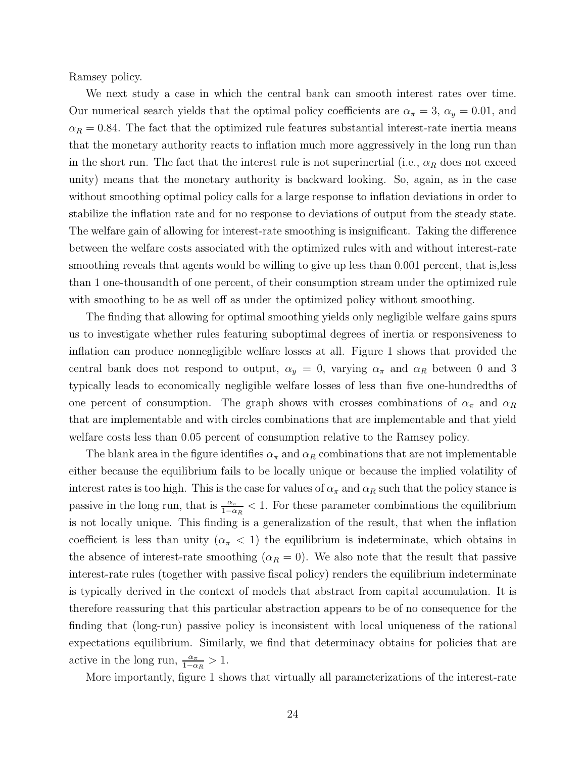Ramsey policy.

We next study a case in which the central bank can smooth interest rates over time. Our numerical search yields that the optimal policy coefficients are  $\alpha_{\pi} = 3$ ,  $\alpha_{y} = 0.01$ , and  $\alpha_R = 0.84$ . The fact that the optimized rule features substantial interest-rate inertia means that the monetary authority reacts to inflation much more aggressively in the long run than in the short run. The fact that the interest rule is not superinertial (i.e.,  $\alpha_R$  does not exceed unity) means that the monetary authority is backward looking. So, again, as in the case without smoothing optimal policy calls for a large response to inflation deviations in order to stabilize the inflation rate and for no response to deviations of output from the steady state. The welfare gain of allowing for interest-rate smoothing is insignificant. Taking the difference between the welfare costs associated with the optimized rules with and without interest-rate smoothing reveals that agents would be willing to give up less than 0.001 percent, that is,less than 1 one-thousandth of one percent, of their consumption stream under the optimized rule with smoothing to be as well off as under the optimized policy without smoothing.

The finding that allowing for optimal smoothing yields only negligible welfare gains spurs us to investigate whether rules featuring suboptimal degrees of inertia or responsiveness to inflation can produce nonnegligible welfare losses at all. Figure 1 shows that provided the central bank does not respond to output,  $\alpha_y = 0$ , varying  $\alpha_\pi$  and  $\alpha_R$  between 0 and 3 typically leads to economically negligible welfare losses of less than five one-hundredths of one percent of consumption. The graph shows with crosses combinations of  $\alpha_{\pi}$  and  $\alpha_{R}$ that are implementable and with circles combinations that are implementable and that yield welfare costs less than 0.05 percent of consumption relative to the Ramsey policy.

The blank area in the figure identifies  $\alpha_{\pi}$  and  $\alpha_{R}$  combinations that are not implementable either because the equilibrium fails to be locally unique or because the implied volatility of interest rates is too high. This is the case for values of  $\alpha_{\pi}$  and  $\alpha_{R}$  such that the policy stance is passive in the long run, that is  $\frac{\alpha_{\pi}}{1-\alpha_R} < 1$ . For these parameter combinations the equilibrium is not locally unique. This finding is a generalization of the result, that when the inflation coefficient is less than unity  $(\alpha_{\pi} < 1)$  the equilibrium is indeterminate, which obtains in the absence of interest-rate smoothing  $(\alpha_R = 0)$ . We also note that the result that passive interest-rate rules (together with passive fiscal policy) renders the equilibrium indeterminate is typically derived in the context of models that abstract from capital accumulation. It is therefore reassuring that this particular abstraction appears to be of no consequence for the finding that (long-run) passive policy is inconsistent with local uniqueness of the rational expectations equilibrium. Similarly, we find that determinacy obtains for policies that are active in the long run,  $\frac{\alpha_{\pi}}{1-\alpha_R} > 1$ .

More importantly, figure 1 shows that virtually all parameterizations of the interest-rate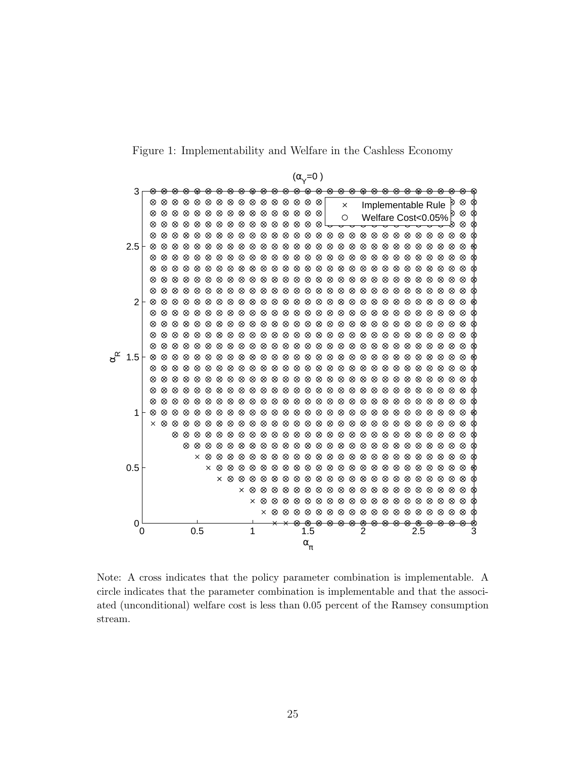

 $(\alpha_{\rm v}=0)$ 3  $\otimes$  $\otimes$  $\otimes$   $\otimes$ ⊗ ⊗ ⊗  $\otimes$  $\otimes$  $\otimes$  $\otimes$  $\otimes$  $\otimes$  $^{\circ}$  $\otimes$ ⊗  $\times$ Implementable Rule  $\otimes$   $\otimes$ ⊗  $\otimes$  $\otimes$  $\otimes$  $\otimes$  $\otimes \otimes \otimes$  $\otimes$   $\otimes$  $\otimes \otimes \otimes$  $\infty$  $\circ$ Welfare Cost<0.05% ⊗  $^{\circ}$  $\otimes$  $\otimes$  $^{\circ}$  $^{\circ}$  $\otimes$  $\otimes$   $\otimes$  $\otimes$  $\otimes$  $\otimes$  $\quad \ \ \otimes \otimes \otimes$ ⊗  $\otimes$  $^{\circ}$  $\infty$  $\infty$  $\otimes$  $\otimes$  $\otimes$  $\otimes$  $\otimes$  $\otimes$  $\otimes$  $\otimes$  $\otimes$  $\otimes$  $\quad \ \ \otimes\,\otimes\,\otimes$  $\otimes \otimes \otimes$  $\otimes$   $\otimes$  $\otimes$  $\otimes$  $\otimes$  $\otimes$  $\otimes$  $\otimes$  $\otimes$  $\otimes$ 2.5  $\infty$  $\otimes$  $\otimes$  $\otimes$  $\otimes$  $\otimes$  $\otimes~\otimes$  $\begin{array}{c} \otimes \otimes \otimes \otimes \end{array}$  $\otimes$  $\otimes$  $\otimes$  $\otimes~\otimes$  $\otimes$  $\otimes$  $\otimes$  $\otimes$  $\otimes$  $\otimes$  $\otimes$  $\otimes$ ⊗ ⊗  $\otimes$  $\otimes$  $\otimes$  $\otimes \otimes \otimes$  $\otimes$   $\otimes$  $\begin{array}{c} \otimes \otimes \otimes \otimes \end{array}$  $\otimes$  $\otimes$  $\otimes$  $\otimes~\otimes$  $\otimes$  $\otimes$  $\otimes$  $\otimes$  $\otimes$  $\otimes$  $\otimes$  $\otimes$  $^{\circ}$  $\otimes$ ⊗  $\otimes$  $\otimes$  $\otimes$  $\begin{array}{l} \otimes \otimes \otimes \otimes \otimes \otimes \otimes \otimes \otimes \otimes \otimes \end{array}$  $\begin{array}{c} \otimes \otimes \otimes \otimes \otimes \end{array}$  $88888$  $\otimes$  $\otimes$   $\otimes$  $\otimes$  $\otimes$  $\otimes$  $\otimes$  $\otimes$  $\otimes \otimes \otimes \otimes$  $\otimes$  $\otimes$  $\begin{array}{l} \otimes \otimes \otimes \otimes \otimes \otimes \otimes \otimes \otimes \otimes \otimes \otimes \end{array}$  $\otimes$  $\begin{array}{c} \otimes \otimes \otimes \otimes \end{array}$  $\otimes$  $\otimes$  $\otimes$  $\otimes$   $\otimes$  $\otimes$  $\otimes$  $\otimes$  $\otimes \otimes \otimes$  $\otimes$  $\otimes$  $\otimes$  $\otimes \otimes \otimes$  $\otimes$   $\otimes$  $\begin{array}{c} \otimes \otimes \otimes \otimes \end{array}$  $\otimes$  $\otimes$  $\otimes$  $\otimes$   $\otimes$  $\otimes$  $\otimes$  $\otimes$  $\otimes$  $\otimes$   $\otimes$  $\otimes$  $\otimes$ 2  $\otimes$ 0000000000000000000  $\otimes$  $\otimes$  $\otimes$  $\begin{array}{c} \otimes \otimes \otimes \otimes \end{array}$  $^{\circ}$  $\otimes$   $\otimes$  $\otimes$   $\otimes$  $\otimes$  $^{\circ}$  $^{\circ}$  $\begin{array}{c} \otimes \otimes \otimes \otimes \end{array}$  $\otimes$   $\otimes$  $\otimes$ 0000000000  $\otimes$  $\otimes$  $\otimes$   $\otimes$  $^{\circ}$  $\otimes$ ⊗  $^{\circ}$  $\otimes \otimes \otimes$ 000000000000000000000  $\otimes$  $\otimes$   $\otimes$  $\otimes$  $\otimes$ ⊗  $\otimes$   $\otimes$  $\otimes$  $\otimes$  $^{\circ}$  $\otimes \otimes \otimes \otimes$  $\otimes$   $\otimes$ 00000000000  $\otimes$  $\otimes$  $\otimes$   $\otimes$  $\otimes$ ⊗  $^{\circ}$  $\otimes$  $\otimes$  $\otimes$  $\otimes$  $\otimes$  $\otimes$   $\otimes$   $\otimes$  $\otimes$  $\otimes$  $\begin{array}{l} \otimes \otimes \otimes \otimes \otimes \otimes \otimes \otimes \otimes \otimes \otimes \otimes \end{array}$  $\otimes$  $\otimes$   $\otimes$  $\otimes$  $\otimes$  $\otimes$  $\otimes$ న్ 1.5  $\otimes$  $\otimes~\otimes~\otimes$  $\otimes$   $\otimes$  $\otimes$  $\otimes$  $\otimes$  $\otimes$  $\otimes$  $\otimes$  $\otimes$  $\otimes$  $\otimes$   $\otimes$  $\otimes$  $\otimes$  $\otimes$  $\otimes$  $\otimes$  $\otimes$  $\otimes$  $\otimes$  $\otimes$  $\otimes$   $\otimes$  $\otimes$  $\otimes$  $\otimes$  $\otimes$  $\otimes$   $\otimes$  $\otimes$  $\otimes$   $\otimes$  $\otimes$  $\otimes \otimes \otimes \otimes$  $\otimes$  $\otimes$  $\otimes$  $\otimes$  $\otimes$  $\otimes$  $^{\circ}$  $\otimes$  $\otimes$  $\otimes$  $\otimes$  $\otimes$ 0000000000000000000  $\otimes$  $\otimes$   $\otimes$  $\otimes$  $\otimes$ 00000000000000000000  $\otimes$  $\otimes$  $\begin{array}{c} \otimes \otimes \otimes \otimes \end{array}$  $\otimes \otimes \otimes$  $\otimes$  $^{\circ}$ 00000000000 0000000000000  $\begin{array}{c} \otimes \otimes \otimes \otimes \end{array}$  $\otimes$  $^{\circ}$  $88888$ 0000000000000000000  $\otimes$  $\otimes$   $\otimes$ ⊗ ⊗ 1  $\times$   $\otimes$   $\otimes$  $\otimes \otimes \otimes$  $\begin{array}{l} \otimes \otimes \otimes \otimes \otimes \otimes \otimes \otimes \end{array}$  $\begin{array}{c} \otimes \otimes \otimes \otimes \otimes \otimes \end{array}$  $\otimes$  $\otimes$  $\otimes \otimes \otimes$ ⊗  $\otimes$   $\otimes$ ⊗ 000000000000  $\begin{array}{c} \otimes \otimes \otimes \otimes \end{array}$  $\begin{array}{c} \otimes \otimes \otimes \otimes \end{array}$  $\otimes$  $^{\circ}$  $\otimes$  $\otimes$   $\otimes$  $^{\circ}$  $\otimes$ 00000000000000000000000  $\otimes$  $\otimes$   $\otimes$  $\infty$  $^{\circ}$  $\times$  & & & & & & & & & & & & & & & &  $\otimes$  $\otimes$  $\otimes$   $\otimes$  $\otimes$  $\otimes$ 0.5  $\otimes$  $\otimes$  $\otimes$   $\otimes$  $\otimes$  $\otimes$  $\begin{array}{c} \otimes \otimes \otimes \otimes \end{array}$  $\otimes$  $\otimes$  $\otimes$  $\times$  8 8 8 8 8 8 8 8 8 8 8 8 8 8 8 8 8  $\otimes$  $\otimes$  $^{0}$ <sup> $^{0}$ </sup> 0 0.5 1 1.5 2 2.5 3  $\alpha_{\pi}$ 

Note: A cross indicates that the policy parameter combination is implementable. A circle indicates that the parameter combination is implementable and that the associated (unconditional) welfare cost is less than 0.05 percent of the Ramsey consumption stream.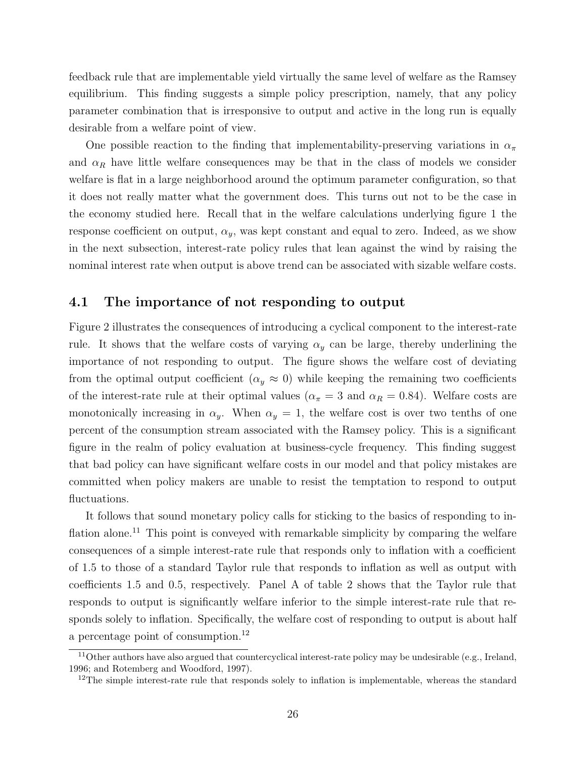feedback rule that are implementable yield virtually the same level of welfare as the Ramsey equilibrium. This finding suggests a simple policy prescription, namely, that any policy parameter combination that is irresponsive to output and active in the long run is equally desirable from a welfare point of view.

One possible reaction to the finding that implementability-preserving variations in  $\alpha_{\pi}$ and  $\alpha_R$  have little welfare consequences may be that in the class of models we consider welfare is flat in a large neighborhood around the optimum parameter configuration, so that it does not really matter what the government does. This turns out not to be the case in the economy studied here. Recall that in the welfare calculations underlying figure 1 the response coefficient on output,  $\alpha_y$ , was kept constant and equal to zero. Indeed, as we show in the next subsection, interest-rate policy rules that lean against the wind by raising the nominal interest rate when output is above trend can be associated with sizable welfare costs.

### **4.1 The importance of not responding to output**

Figure 2 illustrates the consequences of introducing a cyclical component to the interest-rate rule. It shows that the welfare costs of varying  $\alpha_y$  can be large, thereby underlining the importance of not responding to output. The figure shows the welfare cost of deviating from the optimal output coefficient  $(\alpha_y \approx 0)$  while keeping the remaining two coefficients of the interest-rate rule at their optimal values ( $\alpha_{\pi} = 3$  and  $\alpha_R = 0.84$ ). Welfare costs are monotonically increasing in  $\alpha_y$ . When  $\alpha_y = 1$ , the welfare cost is over two tenths of one percent of the consumption stream associated with the Ramsey policy. This is a significant figure in the realm of policy evaluation at business-cycle frequency. This finding suggest that bad policy can have significant welfare costs in our model and that policy mistakes are committed when policy makers are unable to resist the temptation to respond to output fluctuations.

It follows that sound monetary policy calls for sticking to the basics of responding to inflation alone.<sup>11</sup> This point is conveyed with remarkable simplicity by comparing the welfare consequences of a simple interest-rate rule that responds only to inflation with a coefficient of 1.5 to those of a standard Taylor rule that responds to inflation as well as output with coefficients 1.5 and 0.5, respectively. Panel A of table 2 shows that the Taylor rule that responds to output is significantly welfare inferior to the simple interest-rate rule that responds solely to inflation. Specifically, the welfare cost of responding to output is about half a percentage point of consumption.<sup>12</sup>

 $11$ Other authors have also argued that countercyclical interest-rate policy may be undesirable (e.g., Ireland, 1996; and Rotemberg and Woodford, 1997).

<sup>&</sup>lt;sup>12</sup>The simple interest-rate rule that responds solely to inflation is implementable, whereas the standard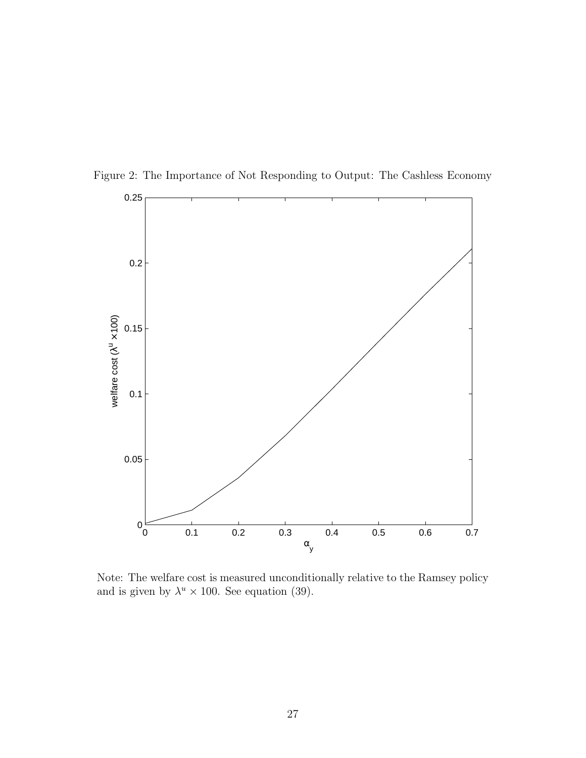

Figure 2: The Importance of Not Responding to Output: The Cashless Economy

Note: The welfare cost is measured unconditionally relative to the Ramsey policy and is given by  $\lambda^u \times 100$ . See equation (39).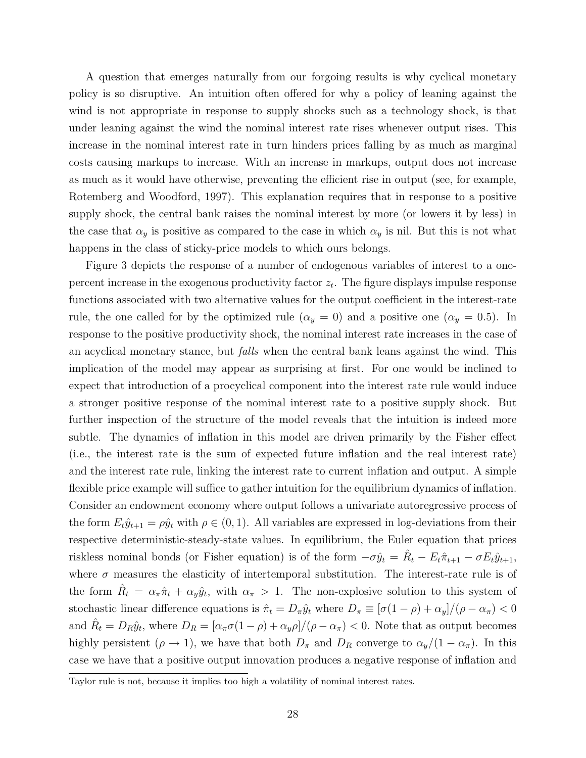A question that emerges naturally from our forgoing results is why cyclical monetary policy is so disruptive. An intuition often offered for why a policy of leaning against the wind is not appropriate in response to supply shocks such as a technology shock, is that under leaning against the wind the nominal interest rate rises whenever output rises. This increase in the nominal interest rate in turn hinders prices falling by as much as marginal costs causing markups to increase. With an increase in markups, output does not increase as much as it would have otherwise, preventing the efficient rise in output (see, for example, Rotemberg and Woodford, 1997). This explanation requires that in response to a positive supply shock, the central bank raises the nominal interest by more (or lowers it by less) in the case that  $\alpha_y$  is positive as compared to the case in which  $\alpha_y$  is nil. But this is not what happens in the class of sticky-price models to which ours belongs.

Figure 3 depicts the response of a number of endogenous variables of interest to a onepercent increase in the exogenous productivity factor  $z_t$ . The figure displays impulse response functions associated with two alternative values for the output coefficient in the interest-rate rule, the one called for by the optimized rule  $(\alpha_y = 0)$  and a positive one  $(\alpha_y = 0.5)$ . In response to the positive productivity shock, the nominal interest rate increases in the case of an acyclical monetary stance, but *falls* when the central bank leans against the wind. This implication of the model may appear as surprising at first. For one would be inclined to expect that introduction of a procyclical component into the interest rate rule would induce a stronger positive response of the nominal interest rate to a positive supply shock. But further inspection of the structure of the model reveals that the intuition is indeed more subtle. The dynamics of inflation in this model are driven primarily by the Fisher effect (i.e., the interest rate is the sum of expected future inflation and the real interest rate) and the interest rate rule, linking the interest rate to current inflation and output. A simple flexible price example will suffice to gather intuition for the equilibrium dynamics of inflation. Consider an endowment economy where output follows a univariate autoregressive process of the form  $E_t\hat{y}_{t+1} = \rho\hat{y}_t$  with  $\rho \in (0, 1)$ . All variables are expressed in log-deviations from their respective deterministic-steady-state values. In equilibrium, the Euler equation that prices riskless nominal bonds (or Fisher equation) is of the form  $-\sigma \hat{y}_t = R_t - E_t \hat{\pi}_{t+1} - \sigma E_t \hat{y}_{t+1}$ , where  $\sigma$  measures the elasticity of intertemporal substitution. The interest-rate rule is of the form  $\hat{R}_t = \alpha_{\pi} \hat{\pi}_t + \alpha_y \hat{y}_t$ , with  $\alpha_{\pi} > 1$ . The non-explosive solution to this system of stochastic linear difference equations is  $\hat{\pi}_t = D_\pi \hat{y}_t$  where  $D_\pi \equiv [\sigma(1-\rho) + \alpha_y]/(\rho - \alpha_\pi) < 0$ and  $\hat{R}_t = D_R \hat{y}_t$ , where  $D_R = [\alpha_\pi \sigma (1 - \rho) + \alpha_y \rho]/(\rho - \alpha_\pi) < 0$ . Note that as output becomes highly persistent ( $\rho \to 1$ ), we have that both  $D_{\pi}$  and  $D_{R}$  converge to  $\alpha_{y}/(1-\alpha_{\pi})$ . In this case we have that a positive output innovation produces a negative response of inflation and

Taylor rule is not, because it implies too high a volatility of nominal interest rates.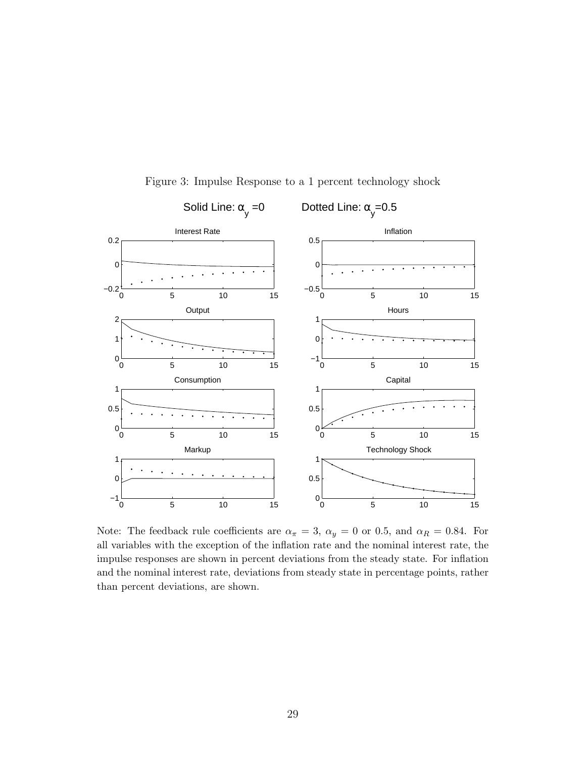

Figure 3: Impulse Response to a 1 percent technology shock

Note: The feedback rule coefficients are  $\alpha_{\pi} = 3$ ,  $\alpha_{y} = 0$  or 0.5, and  $\alpha_{R} = 0.84$ . For all variables with the exception of the inflation rate and the nominal interest rate, the impulse responses are shown in percent deviations from the steady state. For inflation and the nominal interest rate, deviations from steady state in percentage points, rather than percent deviations, are shown.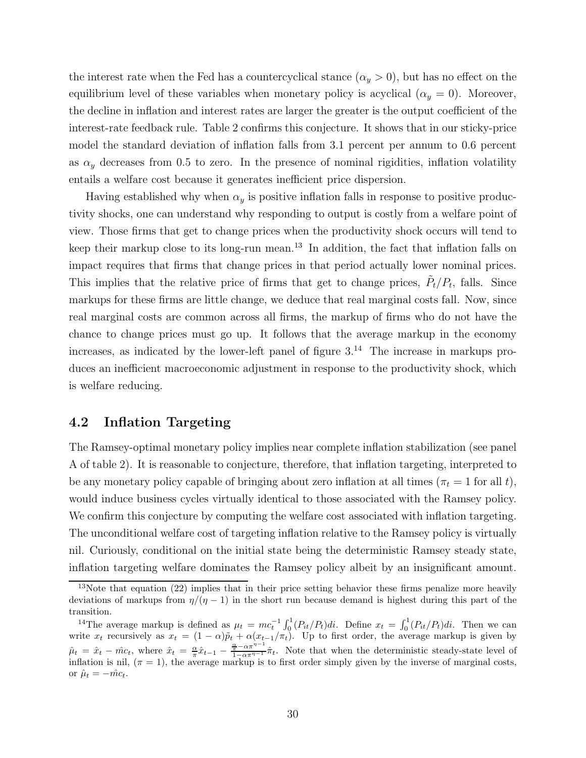the interest rate when the Fed has a countercyclical stance  $(\alpha_y > 0)$ , but has no effect on the equilibrium level of these variables when monetary policy is acyclical  $(\alpha_y = 0)$ . Moreover, the decline in inflation and interest rates are larger the greater is the output coefficient of the interest-rate feedback rule. Table 2 confirms this conjecture. It shows that in our sticky-price model the standard deviation of inflation falls from 3.1 percent per annum to 0.6 percent as  $\alpha_y$  decreases from 0.5 to zero. In the presence of nominal rigidities, inflation volatility entails a welfare cost because it generates inefficient price dispersion.

Having established why when  $\alpha_y$  is positive inflation falls in response to positive productivity shocks, one can understand why responding to output is costly from a welfare point of view. Those firms that get to change prices when the productivity shock occurs will tend to keep their markup close to its long-run mean.<sup>13</sup> In addition, the fact that inflation falls on impact requires that firms that change prices in that period actually lower nominal prices. This implies that the relative price of firms that get to change prices,  $P_t/P_t$ , falls. Since markups for these firms are little change, we deduce that real marginal costs fall. Now, since real marginal costs are common across all firms, the markup of firms who do not have the chance to change prices must go up. It follows that the average markup in the economy increases, as indicated by the lower-left panel of figure  $3^{14}$ . The increase in markups produces an inefficient macroeconomic adjustment in response to the productivity shock, which is welfare reducing.

### **4.2 Inflation Targeting**

The Ramsey-optimal monetary policy implies near complete inflation stabilization (see panel A of table 2). It is reasonable to conjecture, therefore, that inflation targeting, interpreted to be any monetary policy capable of bringing about zero inflation at all times ( $\pi_t = 1$  for all *t*), would induce business cycles virtually identical to those associated with the Ramsey policy. We confirm this conjecture by computing the welfare cost associated with inflation targeting. The unconditional welfare cost of targeting inflation relative to the Ramsey policy is virtually nil. Curiously, conditional on the initial state being the deterministic Ramsey steady state, inflation targeting welfare dominates the Ramsey policy albeit by an insignificant amount.

<sup>&</sup>lt;sup>13</sup>Note that equation (22) implies that in their price setting behavior these firms penalize more heavily deviations of markups from  $\eta/(\eta - 1)$  in the short run because demand is highest during this part of the transition.

<sup>&</sup>lt;sup>14</sup>The average markup is defined as  $\mu_t = mc_t^{-1} \int_0^1 (P_{it}/P_t) dt$ . Define  $x_t = \int_0^1 (P_{it}/P_t) dt$ . Then we can write  $x_t$  recursively as  $x_t = (1 - \alpha)\tilde{p}_t + \alpha(x_{t-1}/\pi_t)$ . Up to first order, the average markup is given by  $\hat{\mu}_t = \hat{x}_t - \hat{m}c_t$ , where  $\hat{x}_t = \frac{\alpha}{\pi}\hat{x}_{t-1} - \frac{\frac{\alpha}{\pi} - \alpha \pi^{\eta-1}}{1 - \alpha \pi^{\eta-1}}\hat{\pi}_t$ . Note that when the deterministic steady-state level of inflation is nil,  $(\pi = 1)$ , the average markup is to first order simply given by the inverse of marginal costs, or  $\hat{\mu}_t = -m c_t$ .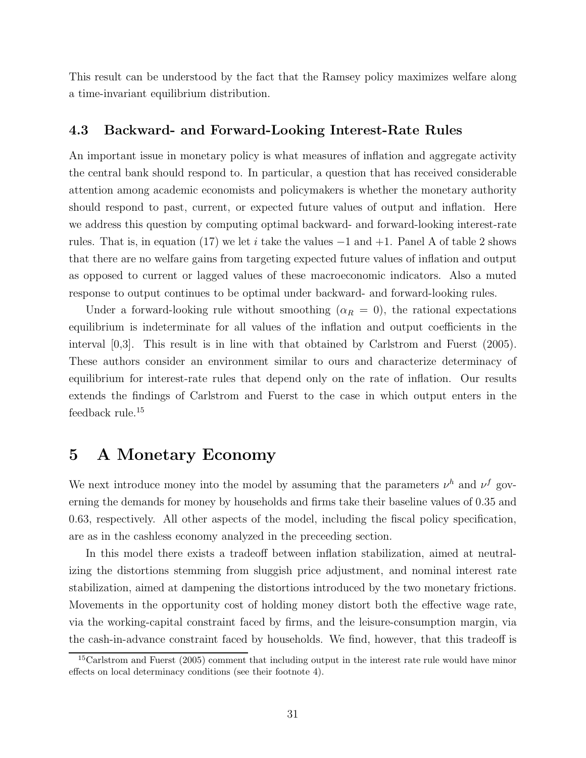This result can be understood by the fact that the Ramsey policy maximizes welfare along a time-invariant equilibrium distribution.

#### **4.3 Backward- and Forward-Looking Interest-Rate Rules**

An important issue in monetary policy is what measures of inflation and aggregate activity the central bank should respond to. In particular, a question that has received considerable attention among academic economists and policymakers is whether the monetary authority should respond to past, current, or expected future values of output and inflation. Here we address this question by computing optimal backward- and forward-looking interest-rate rules. That is, in equation (17) we let *i* take the values −1 and +1. Panel A of table 2 shows that there are no welfare gains from targeting expected future values of inflation and output as opposed to current or lagged values of these macroeconomic indicators. Also a muted response to output continues to be optimal under backward- and forward-looking rules.

Under a forward-looking rule without smoothing  $(\alpha_R = 0)$ , the rational expectations equilibrium is indeterminate for all values of the inflation and output coefficients in the interval [0,3]. This result is in line with that obtained by Carlstrom and Fuerst (2005). These authors consider an environment similar to ours and characterize determinacy of equilibrium for interest-rate rules that depend only on the rate of inflation. Our results extends the findings of Carlstrom and Fuerst to the case in which output enters in the feedback rule.<sup>15</sup>

### **5 A Monetary Economy**

We next introduce money into the model by assuming that the parameters  $\nu^h$  and  $\nu^f$  governing the demands for money by households and firms take their baseline values of 0.35 and 0.63, respectively. All other aspects of the model, including the fiscal policy specification, are as in the cashless economy analyzed in the preceeding section.

In this model there exists a tradeoff between inflation stabilization, aimed at neutralizing the distortions stemming from sluggish price adjustment, and nominal interest rate stabilization, aimed at dampening the distortions introduced by the two monetary frictions. Movements in the opportunity cost of holding money distort both the effective wage rate, via the working-capital constraint faced by firms, and the leisure-consumption margin, via the cash-in-advance constraint faced by households. We find, however, that this tradeoff is

<sup>&</sup>lt;sup>15</sup>Carlstrom and Fuerst (2005) comment that including output in the interest rate rule would have minor effects on local determinacy conditions (see their footnote 4).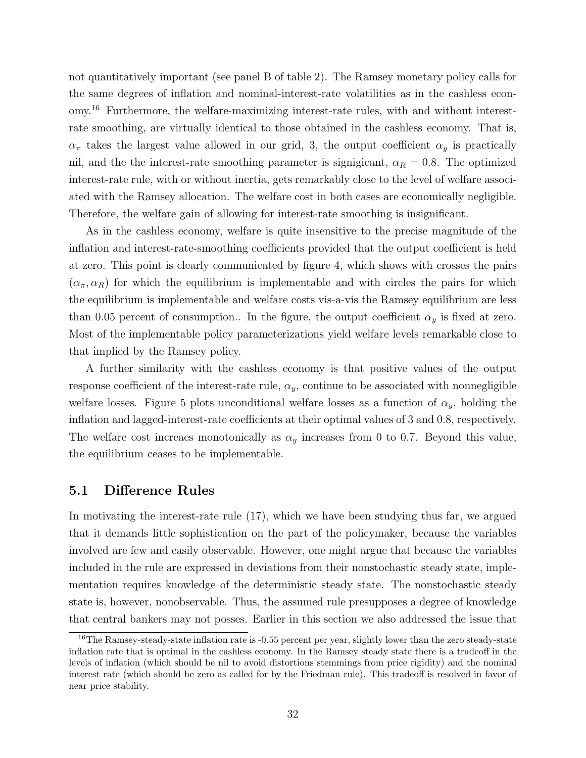not quantitatively important (see panel B of table 2). The Ramsey monetary policy calls for the same degrees of inflation and nominal-interest-rate volatilities as in the cashless economy.<sup>16</sup> Furthermore, the welfare-maximizing interest-rate rules, with and without interestrate smoothing, are virtually identical to those obtained in the cashless economy. That is,  $\alpha_{\pi}$  takes the largest value allowed in our grid, 3, the output coefficient  $\alpha_{y}$  is practically nil, and the the interest-rate smoothing parameter is signigicant,  $\alpha_R = 0.8$ . The optimized interest-rate rule, with or without inertia, gets remarkably close to the level of welfare associated with the Ramsey allocation. The welfare cost in both cases are economically negligible. Therefore, the welfare gain of allowing for interest-rate smoothing is insignificant.

As in the cashless economy, welfare is quite insensitive to the precise magnitude of the inflation and interest-rate-smoothing coefficients provided that the output coefficient is held at zero. This point is clearly communicated by figure 4, which shows with crosses the pairs  $(\alpha_{\pi}, \alpha_{R})$  for which the equilibrium is implementable and with circles the pairs for which the equilibrium is implementable and welfare costs vis-a-vis the Ramsey equilibrium are less than 0.05 percent of consumption.. In the figure, the output coefficient  $\alpha_y$  is fixed at zero. Most of the implementable policy parameterizations yield welfare levels remarkable close to that implied by the Ramsey policy.

A further similarity with the cashless economy is that positive values of the output response coefficient of the interest-rate rule,  $\alpha_y$ , continue to be associated with nonnegligible welfare losses. Figure 5 plots unconditional welfare losses as a function of  $\alpha_y$ , holding the inflation and lagged-interest-rate coefficients at their optimal values of 3 and 0.8, respectively. The welfare cost increases monotonically as  $\alpha_y$  increases from 0 to 0.7. Beyond this value, the equilibrium ceases to be implementable.

#### **5.1 Difference Rules**

In motivating the interest-rate rule (17), which we have been studying thus far, we argued that it demands little sophistication on the part of the policymaker, because the variables involved are few and easily observable. However, one might argue that because the variables included in the rule are expressed in deviations from their nonstochastic steady state, implementation requires knowledge of the deterministic steady state. The nonstochastic steady state is, however, nonobservable. Thus, the assumed rule presupposes a degree of knowledge that central bankers may not posses. Earlier in this section we also addressed the issue that

<sup>&</sup>lt;sup>16</sup>The Ramsey-steady-state inflation rate is -0.55 percent per year, slightly lower than the zero steady-state inflation rate that is optimal in the cashless economy. In the Ramsey steady state there is a tradeoff in the levels of inflation (which should be nil to avoid distortions stemmings from price rigidity) and the nominal interest rate (which should be zero as called for by the Friedman rule). This tradeoff is resolved in favor of near price stability.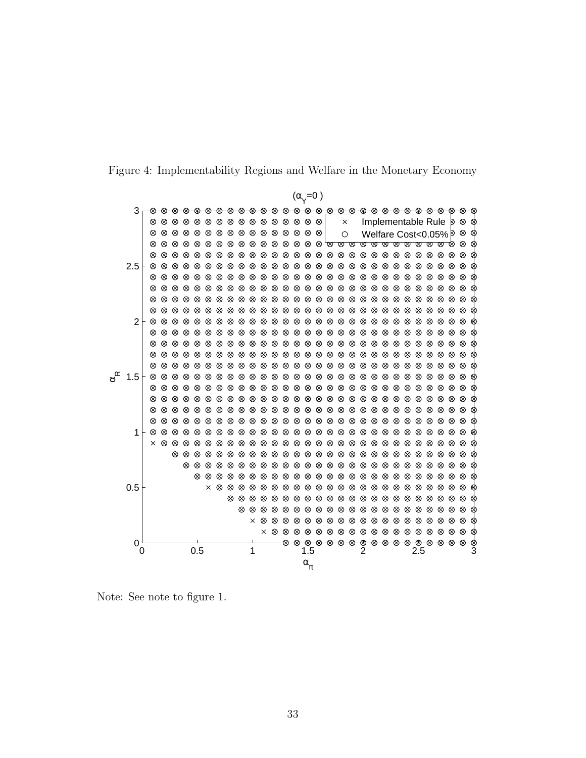

Figure 4: Implementability Regions and Welfare in the Monetary Economy

Note: See note to figure 1.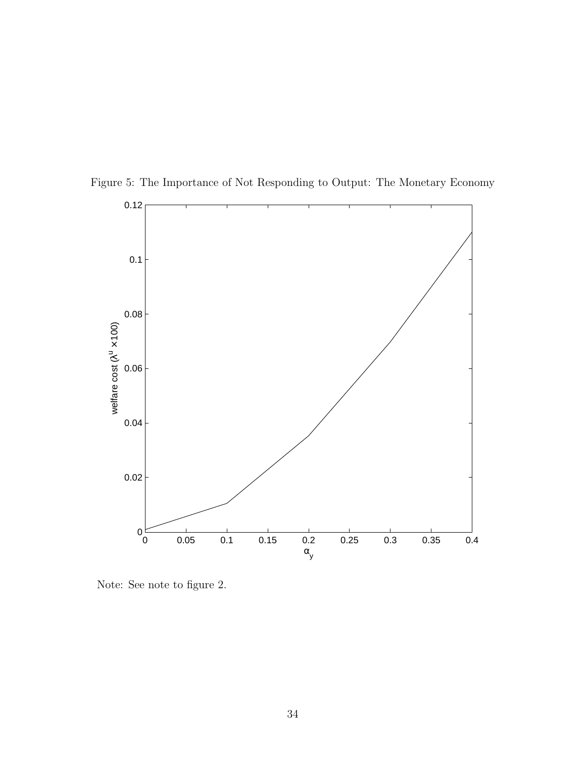

Figure 5: The Importance of Not Responding to Output: The Monetary Economy

Note: See note to figure 2.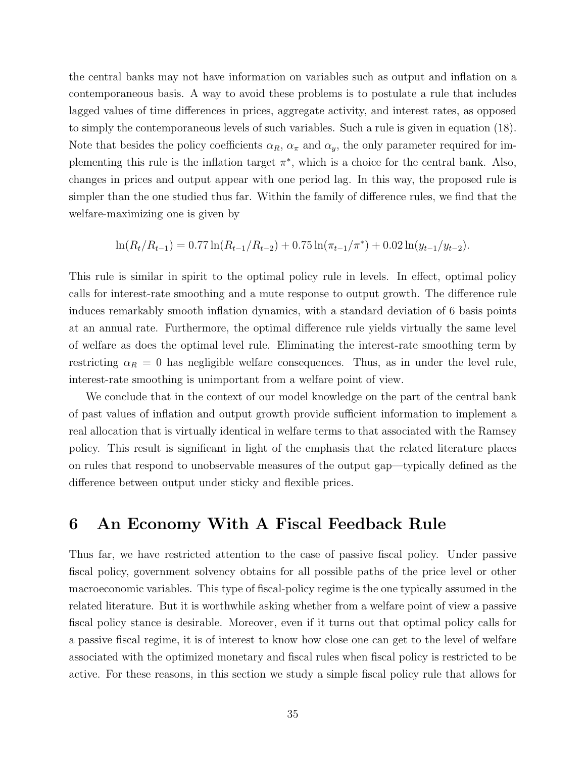the central banks may not have information on variables such as output and inflation on a contemporaneous basis. A way to avoid these problems is to postulate a rule that includes lagged values of time differences in prices, aggregate activity, and interest rates, as opposed to simply the contemporaneous levels of such variables. Such a rule is given in equation (18). Note that besides the policy coefficients  $\alpha_R$ ,  $\alpha_{\pi}$  and  $\alpha_y$ , the only parameter required for implementing this rule is the inflation target  $\pi^*$ , which is a choice for the central bank. Also, changes in prices and output appear with one period lag. In this way, the proposed rule is simpler than the one studied thus far. Within the family of difference rules, we find that the welfare-maximizing one is given by

$$
\ln(R_t/R_{t-1}) = 0.77 \ln(R_{t-1}/R_{t-2}) + 0.75 \ln(\pi_{t-1}/\pi^*) + 0.02 \ln(y_{t-1}/y_{t-2}).
$$

This rule is similar in spirit to the optimal policy rule in levels. In effect, optimal policy calls for interest-rate smoothing and a mute response to output growth. The difference rule induces remarkably smooth inflation dynamics, with a standard deviation of 6 basis points at an annual rate. Furthermore, the optimal difference rule yields virtually the same level of welfare as does the optimal level rule. Eliminating the interest-rate smoothing term by restricting  $\alpha_R = 0$  has negligible welfare consequences. Thus, as in under the level rule, interest-rate smoothing is unimportant from a welfare point of view.

We conclude that in the context of our model knowledge on the part of the central bank of past values of inflation and output growth provide sufficient information to implement a real allocation that is virtually identical in welfare terms to that associated with the Ramsey policy. This result is significant in light of the emphasis that the related literature places on rules that respond to unobservable measures of the output gap—typically defined as the difference between output under sticky and flexible prices.

### **6 An Economy With A Fiscal Feedback Rule**

Thus far, we have restricted attention to the case of passive fiscal policy. Under passive fiscal policy, government solvency obtains for all possible paths of the price level or other macroeconomic variables. This type of fiscal-policy regime is the one typically assumed in the related literature. But it is worthwhile asking whether from a welfare point of view a passive fiscal policy stance is desirable. Moreover, even if it turns out that optimal policy calls for a passive fiscal regime, it is of interest to know how close one can get to the level of welfare associated with the optimized monetary and fiscal rules when fiscal policy is restricted to be active. For these reasons, in this section we study a simple fiscal policy rule that allows for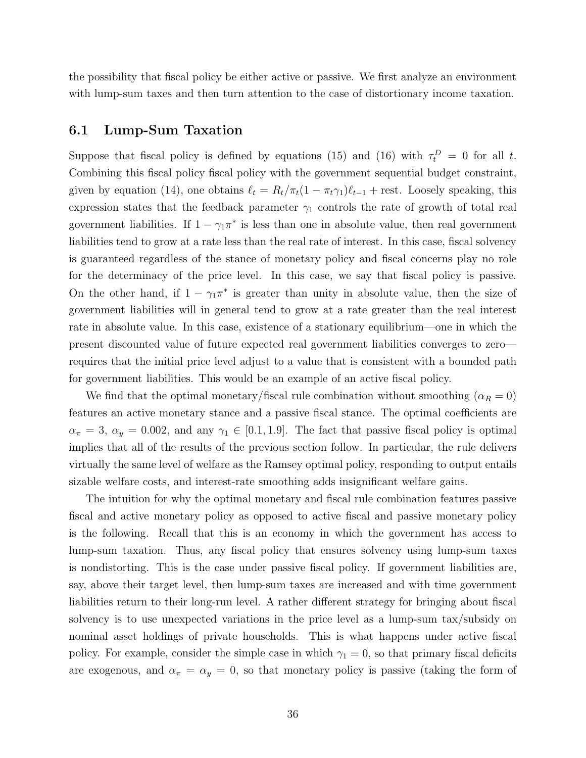the possibility that fiscal policy be either active or passive. We first analyze an environment with lump-sum taxes and then turn attention to the case of distortionary income taxation.

#### **6.1 Lump-Sum Taxation**

Suppose that fiscal policy is defined by equations (15) and (16) with  $\tau_t^D = 0$  for all t. Combining this fiscal policy fiscal policy with the government sequential budget constraint, given by equation (14), one obtains  $\ell_t = R_t / \pi_t (1 - \pi_t \gamma_1) \ell_{t-1} + \text{rest. Loosely speaking, this}$ expression states that the feedback parameter  $\gamma_1$  controls the rate of growth of total real government liabilities. If  $1 - \gamma_1 \pi^*$  is less than one in absolute value, then real government liabilities tend to grow at a rate less than the real rate of interest. In this case, fiscal solvency is guaranteed regardless of the stance of monetary policy and fiscal concerns play no role for the determinacy of the price level. In this case, we say that fiscal policy is passive. On the other hand, if  $1 - \gamma_1 \pi^*$  is greater than unity in absolute value, then the size of government liabilities will in general tend to grow at a rate greater than the real interest rate in absolute value. In this case, existence of a stationary equilibrium—one in which the present discounted value of future expected real government liabilities converges to zero requires that the initial price level adjust to a value that is consistent with a bounded path for government liabilities. This would be an example of an active fiscal policy.

We find that the optimal monetary/fiscal rule combination without smoothing ( $\alpha_R = 0$ ) features an active monetary stance and a passive fiscal stance. The optimal coefficients are  $\alpha_{\pi} = 3$ ,  $\alpha_{y} = 0.002$ , and any  $\gamma_{1} \in [0.1, 1.9]$ . The fact that passive fiscal policy is optimal implies that all of the results of the previous section follow. In particular, the rule delivers virtually the same level of welfare as the Ramsey optimal policy, responding to output entails sizable welfare costs, and interest-rate smoothing adds insignificant welfare gains.

The intuition for why the optimal monetary and fiscal rule combination features passive fiscal and active monetary policy as opposed to active fiscal and passive monetary policy is the following. Recall that this is an economy in which the government has access to lump-sum taxation. Thus, any fiscal policy that ensures solvency using lump-sum taxes is nondistorting. This is the case under passive fiscal policy. If government liabilities are, say, above their target level, then lump-sum taxes are increased and with time government liabilities return to their long-run level. A rather different strategy for bringing about fiscal solvency is to use unexpected variations in the price level as a lump-sum tax/subsidy on nominal asset holdings of private households. This is what happens under active fiscal policy. For example, consider the simple case in which  $\gamma_1 = 0$ , so that primary fiscal deficits are exogenous, and  $\alpha_{\pi} = \alpha_{y} = 0$ , so that monetary policy is passive (taking the form of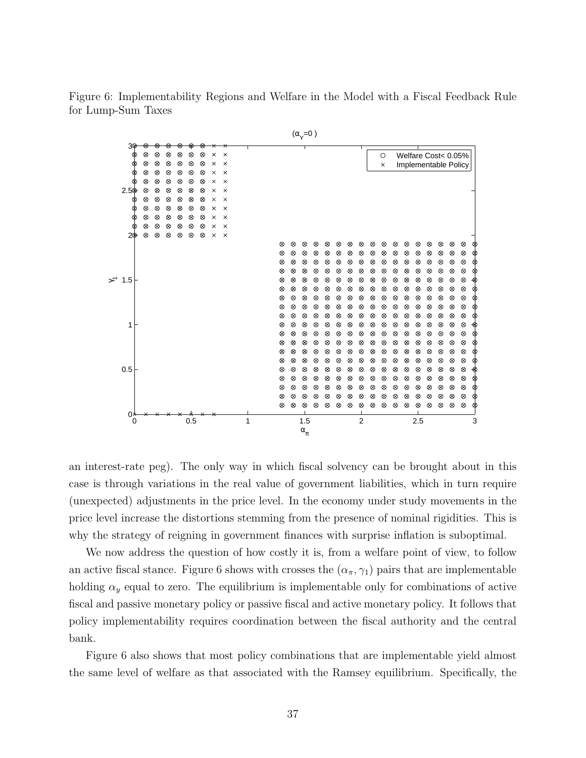



an interest-rate peg). The only way in which fiscal solvency can be brought about in this case is through variations in the real value of government liabilities, which in turn require (unexpected) adjustments in the price level. In the economy under study movements in the price level increase the distortions stemming from the presence of nominal rigidities. This is why the strategy of reigning in government finances with surprise inflation is suboptimal.

We now address the question of how costly it is, from a welfare point of view, to follow an active fiscal stance. Figure 6 shows with crosses the  $(\alpha_{\pi}, \gamma_1)$  pairs that are implementable holding  $\alpha_y$  equal to zero. The equilibrium is implementable only for combinations of active fiscal and passive monetary policy or passive fiscal and active monetary policy. It follows that policy implementability requires coordination between the fiscal authority and the central bank.

Figure 6 also shows that most policy combinations that are implementable yield almost the same level of welfare as that associated with the Ramsey equilibrium. Specifically, the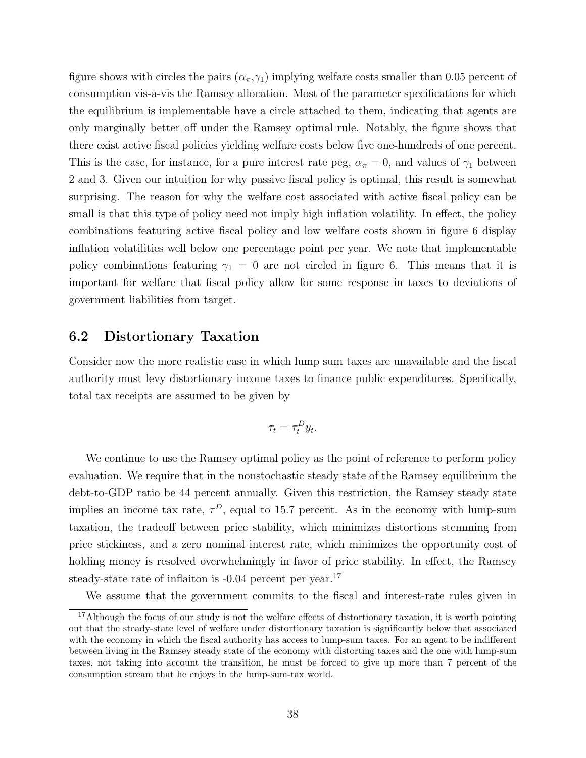figure shows with circles the pairs  $(\alpha_{\pi}, \gamma_1)$  implying welfare costs smaller than 0.05 percent of consumption vis-a-vis the Ramsey allocation. Most of the parameter specifications for which the equilibrium is implementable have a circle attached to them, indicating that agents are only marginally better off under the Ramsey optimal rule. Notably, the figure shows that there exist active fiscal policies yielding welfare costs below five one-hundreds of one percent. This is the case, for instance, for a pure interest rate peg,  $\alpha_{\pi} = 0$ , and values of  $\gamma_1$  between 2 and 3. Given our intuition for why passive fiscal policy is optimal, this result is somewhat surprising. The reason for why the welfare cost associated with active fiscal policy can be small is that this type of policy need not imply high inflation volatility. In effect, the policy combinations featuring active fiscal policy and low welfare costs shown in figure 6 display inflation volatilities well below one percentage point per year. We note that implementable policy combinations featuring  $\gamma_1 = 0$  are not circled in figure 6. This means that it is important for welfare that fiscal policy allow for some response in taxes to deviations of government liabilities from target.

#### **6.2 Distortionary Taxation**

Consider now the more realistic case in which lump sum taxes are unavailable and the fiscal authority must levy distortionary income taxes to finance public expenditures. Specifically, total tax receipts are assumed to be given by

$$
\tau_t = \tau_t^D y_t.
$$

We continue to use the Ramsey optimal policy as the point of reference to perform policy evaluation. We require that in the nonstochastic steady state of the Ramsey equilibrium the debt-to-GDP ratio be 44 percent annually. Given this restriction, the Ramsey steady state implies an income tax rate,  $\tau^D$ , equal to 15.7 percent. As in the economy with lump-sum taxation, the tradeoff between price stability, which minimizes distortions stemming from price stickiness, and a zero nominal interest rate, which minimizes the opportunity cost of holding money is resolved overwhelmingly in favor of price stability. In effect, the Ramsey steady-state rate of inflaiton is -0.04 percent per year.<sup>17</sup>

We assume that the government commits to the fiscal and interest-rate rules given in

<sup>&</sup>lt;sup>17</sup>Although the focus of our study is not the welfare effects of distortionary taxation, it is worth pointing out that the steady-state level of welfare under distortionary taxation is significantly below that associated with the economy in which the fiscal authority has access to lump-sum taxes. For an agent to be indifferent between living in the Ramsey steady state of the economy with distorting taxes and the one with lump-sum taxes, not taking into account the transition, he must be forced to give up more than 7 percent of the consumption stream that he enjoys in the lump-sum-tax world.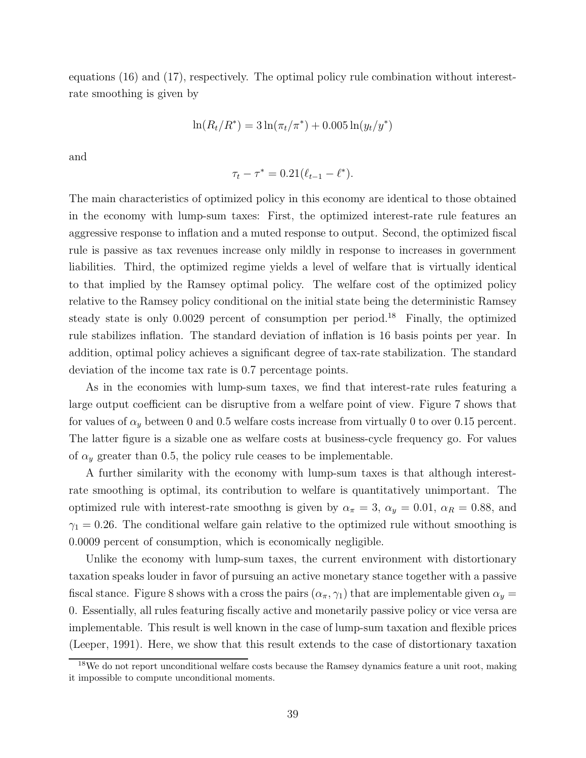equations (16) and (17), respectively. The optimal policy rule combination without interestrate smoothing is given by

$$
\ln(R_t/R^*) = 3\ln(\pi_t/\pi^*) + 0.005\ln(y_t/y^*)
$$

and

$$
\tau_t - \tau^* = 0.21(\ell_{t-1} - \ell^*).
$$

The main characteristics of optimized policy in this economy are identical to those obtained in the economy with lump-sum taxes: First, the optimized interest-rate rule features an aggressive response to inflation and a muted response to output. Second, the optimized fiscal rule is passive as tax revenues increase only mildly in response to increases in government liabilities. Third, the optimized regime yields a level of welfare that is virtually identical to that implied by the Ramsey optimal policy. The welfare cost of the optimized policy relative to the Ramsey policy conditional on the initial state being the deterministic Ramsey steady state is only 0.0029 percent of consumption per period.<sup>18</sup> Finally, the optimized rule stabilizes inflation. The standard deviation of inflation is 16 basis points per year. In addition, optimal policy achieves a significant degree of tax-rate stabilization. The standard deviation of the income tax rate is 0.7 percentage points.

As in the economies with lump-sum taxes, we find that interest-rate rules featuring a large output coefficient can be disruptive from a welfare point of view. Figure 7 shows that for values of  $\alpha_y$  between 0 and 0.5 welfare costs increase from virtually 0 to over 0.15 percent. The latter figure is a sizable one as welfare costs at business-cycle frequency go. For values of  $\alpha_y$  greater than 0.5, the policy rule ceases to be implementable.

A further similarity with the economy with lump-sum taxes is that although interestrate smoothing is optimal, its contribution to welfare is quantitatively unimportant. The optimized rule with interest-rate smoothng is given by  $\alpha_{\pi} = 3$ ,  $\alpha_{y} = 0.01$ ,  $\alpha_{R} = 0.88$ , and  $\gamma_1 = 0.26$ . The conditional welfare gain relative to the optimized rule without smoothing is 0.0009 percent of consumption, which is economically negligible.

Unlike the economy with lump-sum taxes, the current environment with distortionary taxation speaks louder in favor of pursuing an active monetary stance together with a passive fiscal stance. Figure 8 shows with a cross the pairs  $(\alpha_{\pi}, \gamma_1)$  that are implementable given  $\alpha_y =$ 0. Essentially, all rules featuring fiscally active and monetarily passive policy or vice versa are implementable. This result is well known in the case of lump-sum taxation and flexible prices (Leeper, 1991). Here, we show that this result extends to the case of distortionary taxation

<sup>&</sup>lt;sup>18</sup>We do not report unconditional welfare costs because the Ramsey dynamics feature a unit root, making it impossible to compute unconditional moments.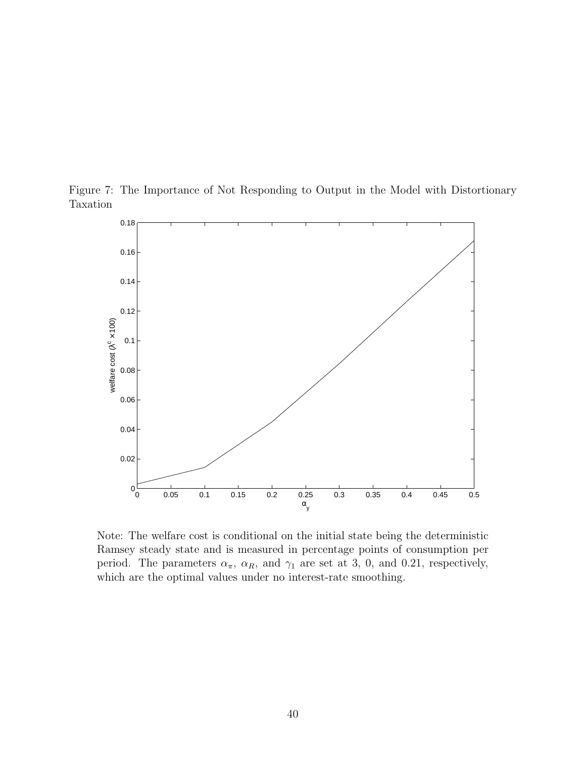

Figure 7: The Importance of Not Responding to Output in the Model with Distortionary Taxation

Note: The welfare cost is conditional on the initial state being the deterministic Ramsey steady state and is measured in percentage points of consumption per period. The parameters  $\alpha_{\pi}$ ,  $\alpha_{R}$ , and  $\gamma_{1}$  are set at 3, 0, and 0.21, respectively, which are the optimal values under no interest-rate smoothing.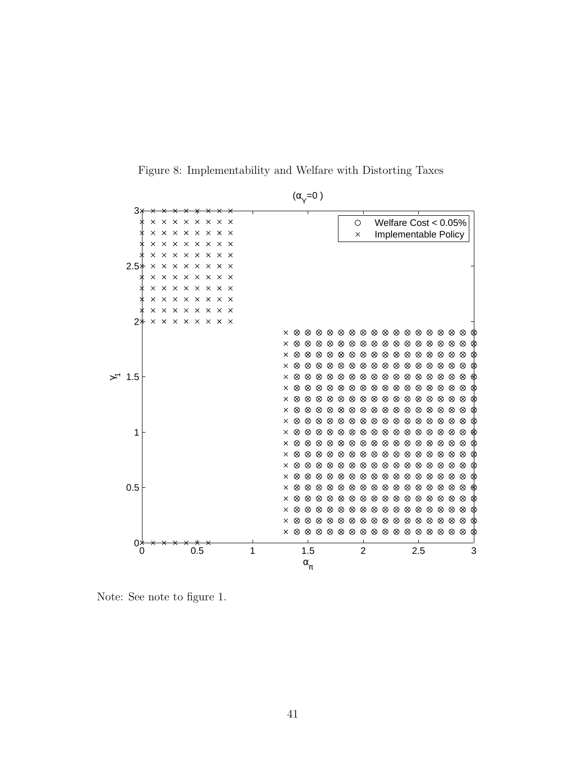

Figure 8: Implementability and Welfare with Distorting Taxes

Note: See note to figure 1.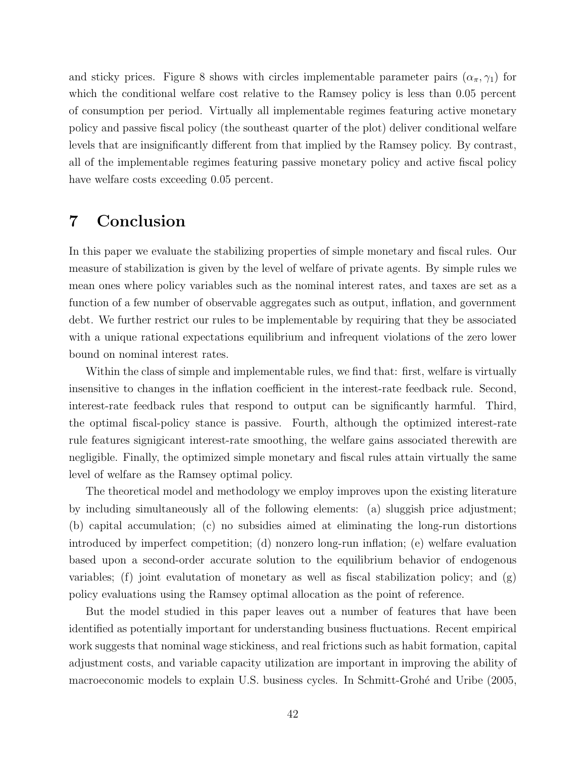and sticky prices. Figure 8 shows with circles implementable parameter pairs  $(\alpha_{\pi}, \gamma_1)$  for which the conditional welfare cost relative to the Ramsey policy is less than 0.05 percent of consumption per period. Virtually all implementable regimes featuring active monetary policy and passive fiscal policy (the southeast quarter of the plot) deliver conditional welfare levels that are insignificantly different from that implied by the Ramsey policy. By contrast, all of the implementable regimes featuring passive monetary policy and active fiscal policy have welfare costs exceeding  $0.05$  percent.

### **7 Conclusion**

In this paper we evaluate the stabilizing properties of simple monetary and fiscal rules. Our measure of stabilization is given by the level of welfare of private agents. By simple rules we mean ones where policy variables such as the nominal interest rates, and taxes are set as a function of a few number of observable aggregates such as output, inflation, and government debt. We further restrict our rules to be implementable by requiring that they be associated with a unique rational expectations equilibrium and infrequent violations of the zero lower bound on nominal interest rates.

Within the class of simple and implementable rules, we find that: first, welfare is virtually insensitive to changes in the inflation coefficient in the interest-rate feedback rule. Second, interest-rate feedback rules that respond to output can be significantly harmful. Third, the optimal fiscal-policy stance is passive. Fourth, although the optimized interest-rate rule features signigicant interest-rate smoothing, the welfare gains associated therewith are negligible. Finally, the optimized simple monetary and fiscal rules attain virtually the same level of welfare as the Ramsey optimal policy.

The theoretical model and methodology we employ improves upon the existing literature by including simultaneously all of the following elements: (a) sluggish price adjustment; (b) capital accumulation; (c) no subsidies aimed at eliminating the long-run distortions introduced by imperfect competition; (d) nonzero long-run inflation; (e) welfare evaluation based upon a second-order accurate solution to the equilibrium behavior of endogenous variables; (f) joint evalutation of monetary as well as fiscal stabilization policy; and (g) policy evaluations using the Ramsey optimal allocation as the point of reference.

But the model studied in this paper leaves out a number of features that have been identified as potentially important for understanding business fluctuations. Recent empirical work suggests that nominal wage stickiness, and real frictions such as habit formation, capital adjustment costs, and variable capacity utilization are important in improving the ability of macroeconomic models to explain U.S. business cycles. In Schmitt-Grohé and Uribe (2005,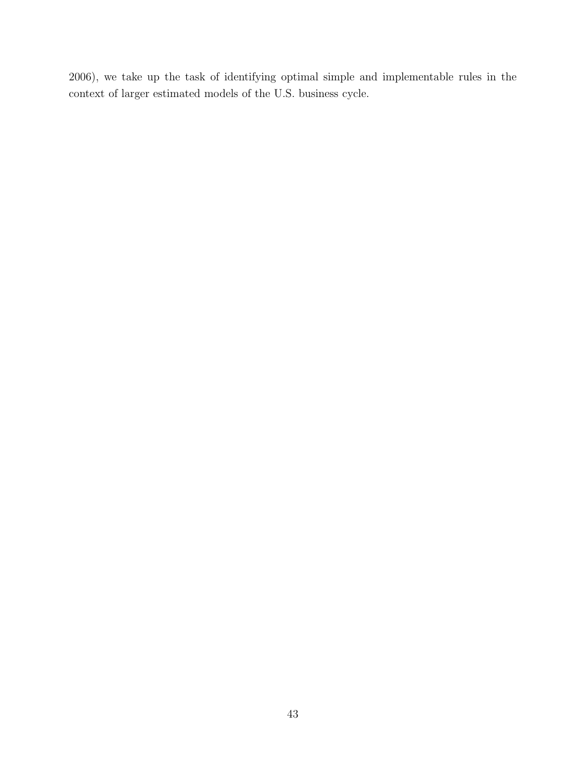2006), we take up the task of identifying optimal simple and implementable rules in the context of larger estimated models of the U.S. business cycle.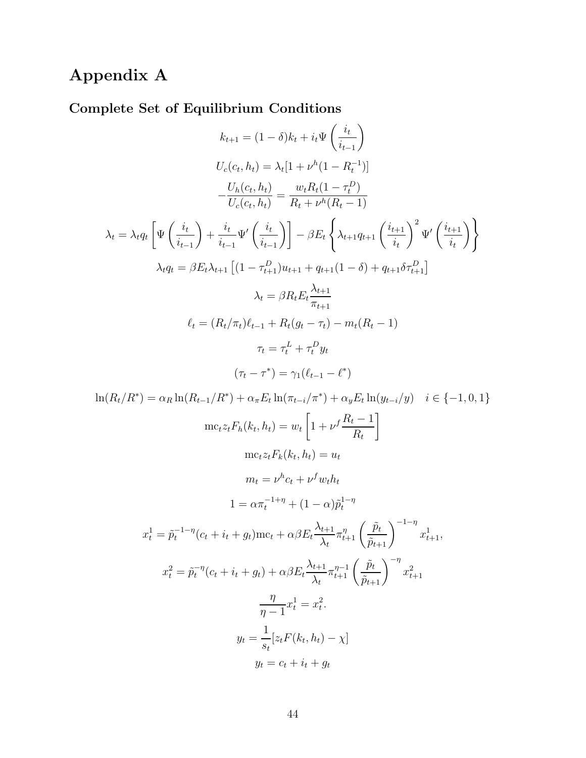# **Appendix A**

**Complete Set of Equilibrium Conditions**

$$
k_{t+1} = (1 - \delta)k_t + i_t \Psi\left(\frac{i_t}{i_{t-1}}\right)
$$
  
\n
$$
U_c(c_t, h_t) = \lambda_t [1 + \nu^h (1 - R_t^{-1})]
$$
  
\n
$$
- \frac{U_h(c_t, h_t)}{U_c(c_t, h_t)} = \frac{w_t R_t (1 - \tau_i^D)}{R_t + \nu^h (R_t - 1)}
$$
  
\n
$$
\lambda_t = \lambda_t q_t \left[\Psi\left(\frac{i_t}{i_{t-1}}\right) + \frac{i_t}{i_{t-1}} \Psi'\left(\frac{i_t}{i_{t-1}}\right)\right] - \beta E_t \left\{\lambda_{t+1} q_{t+1} \left(\frac{i_{t+1}}{i_t}\right)^2 \Psi'\left(\frac{i_{t+1}}{i_t}\right)\right\}
$$
  
\n
$$
\lambda_t q_t = \beta E_t \lambda_{t+1} \left[(1 - \tau_{t+1}^D)u_{t+1} + q_{t+1} (1 - \delta) + q_{t+1} \delta \tau_{t+1}^D\right]
$$
  
\n
$$
\lambda_t = \beta R_t E_t \frac{\lambda_{t+1}}{\pi_{t+1}}
$$
  
\n
$$
\ell_t = (R_t/\pi_t) \ell_{t-1} + R_t (g_t - \tau_t) - m_t (R_t - 1)
$$
  
\n
$$
\tau_t = \tau_t^L + \tau_t^D y_t
$$
  
\n
$$
(\tau_t - \tau^*) = \gamma_1 (\ell_{t-1} - \ell^*)
$$
  
\n
$$
\ln(R_t/R^*) = \alpha_R \ln(R_{t-1}/R^*) + \alpha_\pi E_t \ln(\pi_{t-i}/\pi^*) + \alpha_\Psi E_t \ln(y_{t-i}/y) \quad i \in \{-1, 0, 1\}
$$
  
\n
$$
\max_t \ell_k, h_t) = w_t \left[1 + \nu^f \frac{R_t - 1}{R_t}\right]
$$
  
\n
$$
\max_t \ell_k, h_t) = u_t
$$
  
\n
$$
n_t = \nu^h c_t + \nu^f w_t h_t
$$
  
\n
$$
1 = \alpha \pi_t^{-1+\eta} + (1 - \alpha) \bar{p}_t^{1-\eta}
$$
  
\n
$$
x_t^1 = \bar{p}_t^{-1-\eta} (c_t + i_t +
$$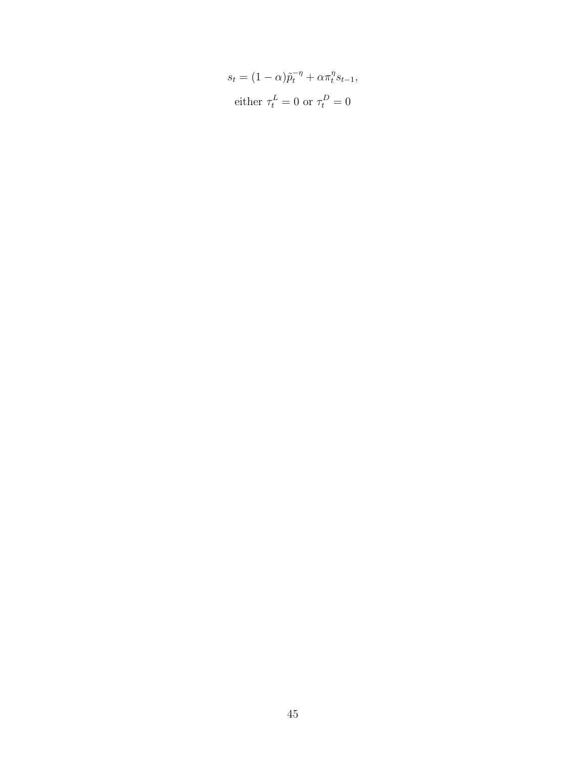$$
s_t = (1 - \alpha)\tilde{p}_t^{-\eta} + \alpha \pi_t^{\eta} s_{t-1},
$$
  
either  $\tau_t^L = 0$  or  $\tau_t^D = 0$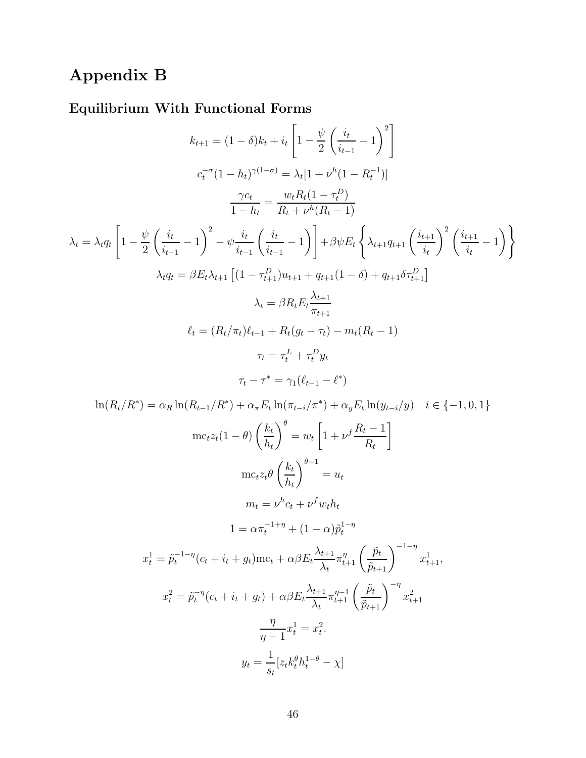# **Appendix B**

# **Equilibrium With Functional Forms**

$$
k_{t+1} = (1 - \delta)k_t + i_t \left[ 1 - \frac{\psi}{2} \left( \frac{i_t}{i_{t-1}} - 1 \right)^2 \right]
$$
  

$$
c_t^{-\sigma} (1 - h_t)^{\gamma(1-\sigma)} = \lambda_t [1 + \nu^h (1 - R_t^{-1})]
$$
  

$$
\frac{\gamma c_t}{1 - h_t} = \frac{w_t R_t (1 - \tau_t^D)}{R_t + \nu^h (R_t - 1)}
$$
  

$$
\lambda_t = \lambda_t q_t \left[ 1 - \frac{\psi}{2} \left( \frac{i_t}{i_{t-1}} - 1 \right)^2 - \psi \frac{i_t}{i_{t-1}} \left( \frac{i_t}{i_{t-1}} - 1 \right) \right] + \beta \psi E_t \left\{ \lambda_{t+1} q_{t+1} \left( \frac{i_{t+1}}{i_t} \right)^2 \left( \frac{i_{t+1}}{i_t} - 1 \right) \right\}
$$
  

$$
\lambda_t q_t = \beta E_t \lambda_{t+1} \left[ (1 - \tau_{t+1}^D) u_{t+1} + q_{t+1} (1 - \delta) + q_{t+1} \delta \tau_{t+1}^D \right]
$$
  

$$
\lambda_t = \beta R_t E_t \frac{\lambda_{t+1}}{\pi_{t+1}}
$$
  

$$
\ell_t = (R_t / \pi_t) \ell_{t-1} + R_t (g_t - \tau_t) - m_t (R_t - 1)
$$
  

$$
\tau_t = \tau_t^L + \tau_t^D y_t
$$
  

$$
\tau_t - \tau^* = \gamma_1 (\ell_{t-1} - \ell^*)
$$

$$
\ln(R_t/R^*) = \alpha_R \ln(R_{t-1}/R^*) + \alpha_{\pi} E_t \ln(\pi_{t-i}/\pi^*) + \alpha_y E_t \ln(y_{t-i}/y) \quad i \in \{-1, 0, 1\}
$$

$$
\text{mc}_t z_t (1 - \theta) \left(\frac{k_t}{h_t}\right)^{\theta} = w_t \left[1 + \nu^f \frac{R_t - 1}{R_t}\right]
$$

$$
\text{mc}_t z_t \theta \left(\frac{k_t}{h_t}\right)^{\theta - 1} = u_t
$$

$$
m_t = \nu^h c_t + \nu^f w_t h_t
$$

$$
1 = \alpha \pi_t^{-1 + \eta} + (1 - \alpha) \tilde{p}_t^{1 - \eta}
$$

$$
x_t^1 = \tilde{p}_t^{-1 - \eta} (c_t + i_t + g_t) \text{mc}_t + \alpha \beta E_t \frac{\lambda_{t+1}}{\lambda_t} \pi_{t+1}^{\eta} \left(\frac{\tilde{p}_t}{\tilde{p}_{t+1}}\right)^{-1 - \eta} x_{t+1}^1,
$$

$$
x_t^2 = \tilde{p}_t^{-\eta} (c_t + i_t + g_t) + \alpha \beta E_t \frac{\lambda_{t+1}}{\lambda_t} \pi_{t+1}^{\eta - 1} \left(\frac{\tilde{p}_t}{\tilde{p}_{t+1}}\right)^{-\eta} x_{t+1}^2
$$

$$
\frac{\eta}{\eta - 1} x_t^1 = x_t^2.
$$

$$
y_t = \frac{1}{s_t} [z_t k_t^{\theta} h_t^{1 - \theta} - \chi]
$$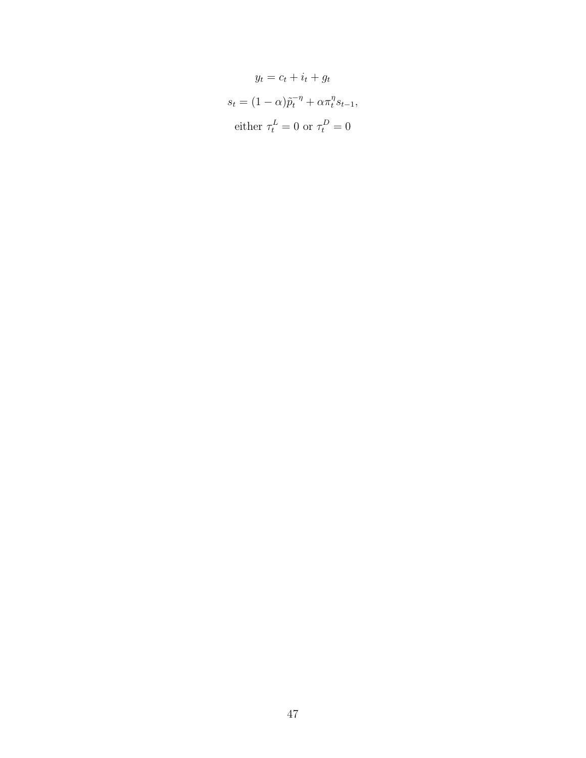$$
y_t = c_t + i_t + g_t
$$

$$
s_t = (1 - \alpha)\tilde{p}_t^{-\eta} + \alpha \pi_t^{\eta} s_{t-1},
$$
either 
$$
\tau_t^L = 0 \text{ or } \tau_t^D = 0
$$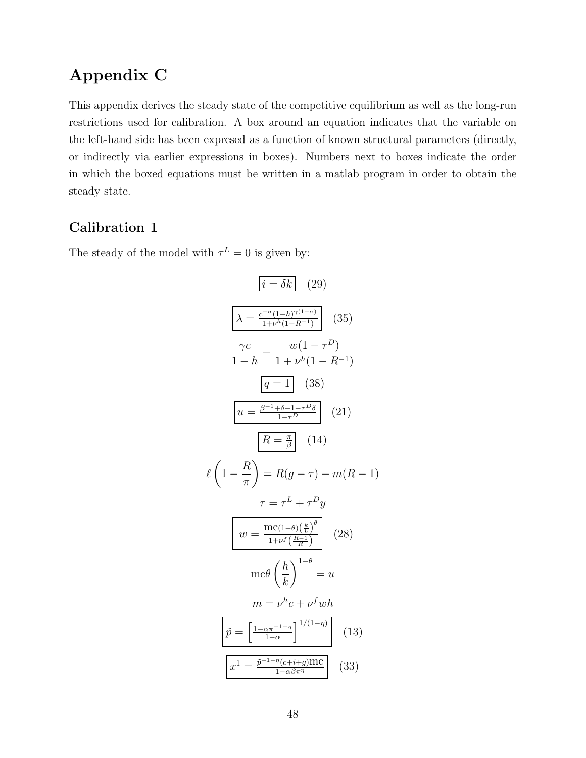## **Appendix C**

This appendix derives the steady state of the competitive equilibrium as well as the long-run restrictions used for calibration. A box around an equation indicates that the variable on the left-hand side has been expresed as a function of known structural parameters (directly, or indirectly via earlier expressions in boxes). Numbers next to boxes indicate the order in which the boxed equations must be written in a matlab program in order to obtain the steady state.

### **Calibration 1**

The steady of the model with  $\tau^L = 0$  is given by:

 $\ell$ 

$$
\frac{i = \delta k \quad (29)}{\lambda = \frac{c^{-\sigma}(1-h)^{\gamma(1-\sigma)}}{1+\nu^h(1-R^{-1})} \quad (35)}
$$

$$
\frac{\gamma c}{1-h} = \frac{w(1-\tau^D)}{1+\nu^h(1-R^{-1})}
$$

$$
\frac{q=1 \quad (38)}{1-\tau^D} \quad (21)
$$

$$
u = \frac{\beta^{-1}+\delta^{-1}-\tau^D\delta}{1-\tau^D} \quad (21)
$$

$$
R = \frac{\pi}{\beta} \quad (14)
$$

$$
\left(1 - \frac{R}{\pi}\right) = R(g - \tau) - m(R - 1)
$$

$$
\tau = \tau^L + \tau^D y
$$

$$
w = \frac{\text{mc}(1-\theta)\left(\frac{k}{h}\right)^{\theta}}{1+\nu^f\left(\frac{R-1}{R}\right)} \quad (28)
$$

$$
\text{mc}\theta\left(\frac{h}{k}\right)^{1-\theta} = u
$$

$$
m = \nu^h c + \nu^f wh
$$

$$
\tilde{p} = \left[\frac{1-\alpha\pi^{-1+\eta}}{1-\alpha}\right]^{1/(1-\eta)} \quad (13)
$$

$$
x^1 = \frac{\tilde{p}^{-1-\eta}(c+i+g)\text{mc}}{1-\alpha\beta\pi^{\eta}} \quad (33)
$$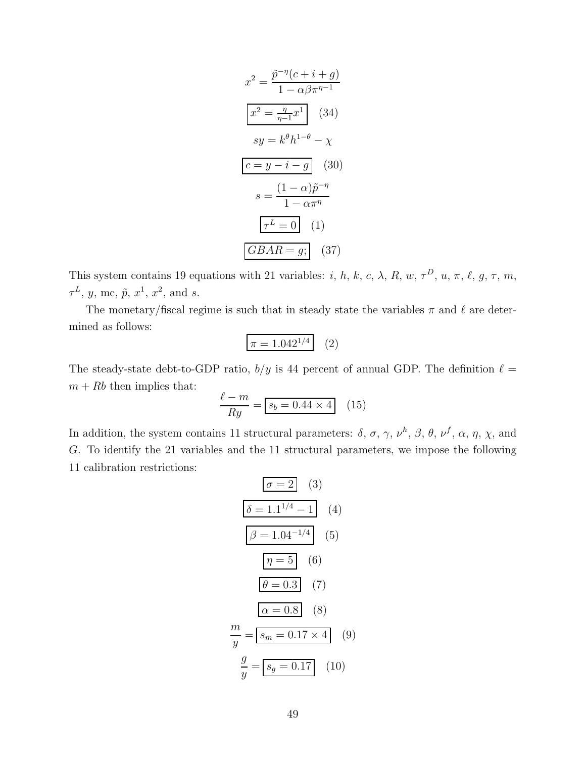$$
x^{2} = \frac{\tilde{p}^{-\eta}(c+i+g)}{1-\alpha\beta\pi^{\eta-1}}
$$

$$
x^{2} = \frac{\eta}{\eta-1}x^{1}
$$
 (34)
$$
sy = k^{\theta}h^{1-\theta} - \chi
$$

$$
c = y - i - g
$$
 (30)
$$
s = \frac{(1-\alpha)\tilde{p}^{-\eta}}{1-\alpha\pi^{\eta}}
$$

$$
\boxed{\tau^{L} = 0}
$$
 (1)
$$
\boxed{GBAR = g;}
$$
 (37)

This system contains 19 equations with 21 variables: *i*, *h*, *k*, *c*,  $\lambda$ , *R*, *w*,  $\tau^D$ , *u*,  $\pi$ ,  $\ell$ ,  $g$ ,  $\tau$ ,  $m$ ,  $\tau^L$ *, y*, mc,  $\tilde{p}$ *, x*<sup>1</sup>*, x*<sup>2</sup>*,* and *s*.

The monetary/fiscal regime is such that in steady state the variables  $\pi$  and  $\ell$  are determined as follows:

$$
\pi = 1.042^{1/4} \qquad (2)
$$

The steady-state debt-to-GDP ratio,  $b/y$  is 44 percent of annual GDP. The definition  $\ell =$  $m + Rb$  then implies that:

$$
\frac{\ell - m}{Ry} = \boxed{s_b = 0.44 \times 4} \quad (15)
$$

In addition, the system contains 11 structural parameters:  $\delta$ ,  $\sigma$ ,  $\gamma$ ,  $\nu^h$ ,  $\beta$ ,  $\theta$ ,  $\nu^f$ ,  $\alpha$ ,  $\eta$ ,  $\chi$ , and *G*. To identify the 21 variables and the 11 structural parameters, we impose the following 11 calibration restrictions:

$$
\sigma = 2 \quad (3)
$$
  
\n
$$
\delta = 1.1^{1/4} - 1 \quad (4)
$$
  
\n
$$
\beta = 1.04^{-1/4} \quad (5)
$$
  
\n
$$
\boxed{\eta = 5} \quad (6)
$$
  
\n
$$
\boxed{\theta = 0.3} \quad (7)
$$
  
\n
$$
\boxed{\alpha = 0.8} \quad (8)
$$
  
\n
$$
\frac{m}{y} = \boxed{s_m = 0.17 \times 4} \quad (9)
$$
  
\n
$$
\frac{g}{y} = \boxed{s_g = 0.17} \quad (10)
$$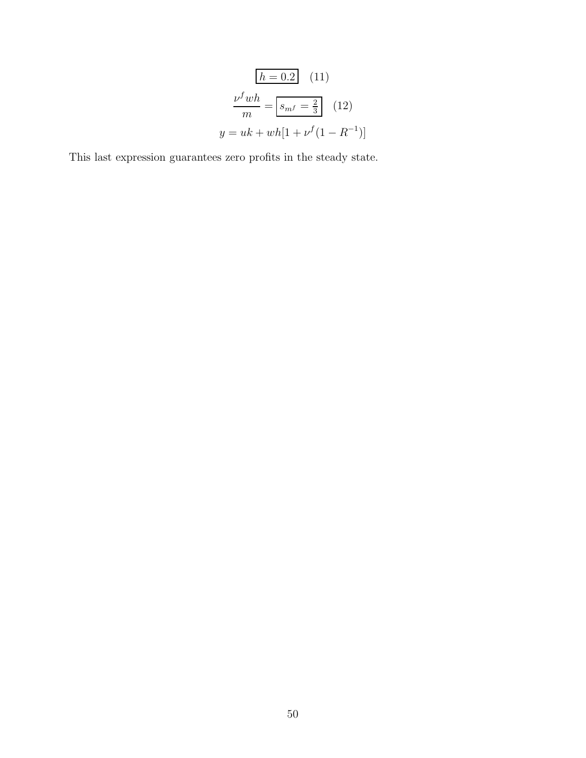$$
\frac{\left[h=0.2\right]}{m} = \frac{1}{8\pi\epsilon} \left(11\right)
$$
\n
$$
\frac{\nu^f w h}{m} = \frac{s_{m}f}{3} = \frac{2}{3} \quad (12)
$$
\n
$$
y = uk + wh[1 + \nu^f(1 - R^{-1})]
$$

This last expression guarantees zero profits in the steady state.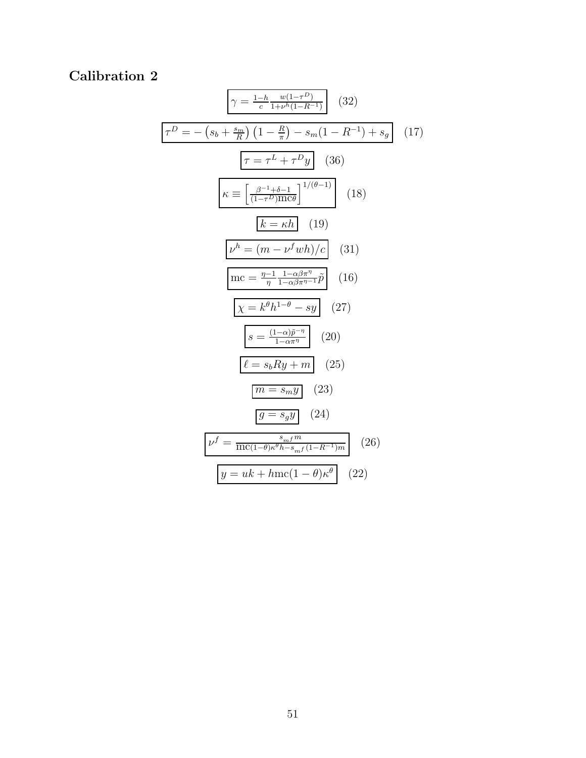## **Calibration 2**

$$
\boxed{\gamma = \frac{1-h}{c} \frac{w(1-\tau^D)}{1+\nu^h(1-R^{-1})} \quad (32)}
$$
\n
$$
\boxed{\tau^D = -(s_b + \frac{s_m}{R}) \left(1 - \frac{R}{\pi}\right) - s_m(1 - R^{-1}) + s_g} \quad (17)
$$
\n
$$
\boxed{\tau = \tau^L + \tau^D y} \quad (36)
$$
\n
$$
\boxed{\kappa \equiv \left[\frac{\beta^{-1} + \delta - 1}{(1-\tau^D)\text{mC}\theta}\right]^{1/(\theta-1)}} \quad (18)
$$
\n
$$
\boxed{k = \kappa h} \quad (19)
$$
\n
$$
\boxed{\nu^h = (m - \nu^f w h)/c} \quad (31)
$$
\n
$$
\boxed{\text{mc} = \frac{\eta - 1}{\eta} \frac{1 - \alpha \beta \pi^{\eta}}{1 - \alpha \beta \pi^{\eta - 1}} \hat{p}} \quad (16)
$$
\n
$$
\boxed{\chi = k^{\theta} h^{1-\theta} - sy} \quad (27)
$$
\n
$$
\boxed{s = \frac{(1-\alpha)\tilde{p}^{-\eta}}{1 - \alpha \pi^{\eta}} \quad (20)}
$$
\n
$$
\boxed{\ell = s_b R y + m} \quad (25)
$$
\n
$$
\boxed{m = s_m y} \quad (23)
$$
\n
$$
\boxed{y = s_g y} \quad (24)
$$
\n
$$
\boxed{\nu^f = \frac{s_m m}{\text{m}(\mu - \theta)\kappa^{\theta} h - s_m f (1 - R^{-1})m}} \quad (26)
$$
\n
$$
\boxed{y = uk + h \text{m}(\mu - \theta)\kappa^{\theta} \quad (22)}
$$

51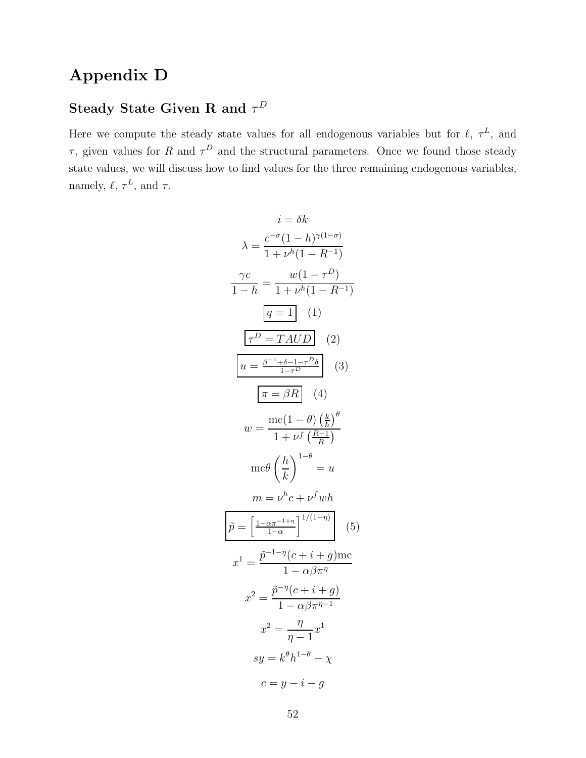## **Appendix D**

## Steady State Given R and  $\tau^D$

Here we compute the steady state values for all endogenous variables but for  $\ell$ ,  $\tau^L$ , and *τ*, given values for *R* and  $\tau^D$  and the structural parameters. Once we found those steady state values, we will discuss how to find values for the three remaining endogenous variables, namely,  $\ell$ ,  $\tau^L$ , and  $\tau$ .

$$
i = \delta k
$$
  
\n
$$
\lambda = \frac{c^{-\sigma}(1-h)^{\gamma(1-\sigma)}}{1+\nu^h(1-R^{-1})}
$$
  
\n
$$
\frac{\gamma c}{1-h} = \frac{w(1-\tau^D)}{1+\nu^h(1-R^{-1})}
$$
  
\n
$$
\boxed{q=1} \quad (1)
$$
  
\n
$$
\boxed{\tau^D = T A U D} \quad (2)
$$
  
\n
$$
u = \frac{\beta^{-1} + \delta - 1 - \tau^D \delta}{1-\tau^D} \quad (3)
$$
  
\n
$$
\boxed{\pi = \beta R} \quad (4)
$$
  
\n
$$
w = \frac{\text{mc}(1-\theta)\left(\frac{k}{h}\right)^{\theta}}{1+\nu^f\left(\frac{R-1}{R}\right)}
$$
  
\n
$$
\text{mc}\theta \left(\frac{h}{k}\right)^{1-\theta} = u
$$
  
\n
$$
m = \nu^h c + \nu^f w h
$$
  
\n
$$
\tilde{p} = \left[\frac{1-\alpha\pi^{-1+\eta}}{1-\alpha}\right]^{1/(1-\eta)} \quad (5)
$$
  
\n
$$
x^1 = \frac{\tilde{p}^{-1-\eta}(c+i+g)\text{mc}}{1-\alpha\beta\pi^{\eta}}
$$
  
\n
$$
x^2 = \frac{\tilde{p}^{-\eta}(c+i+g)}{\eta-1}
$$
  
\n
$$
x^2 = \frac{\eta}{\eta-1}x^1
$$
  
\n
$$
sy = k^{\theta} h^{1-\theta} - \chi
$$
  
\n
$$
c = y - i - g
$$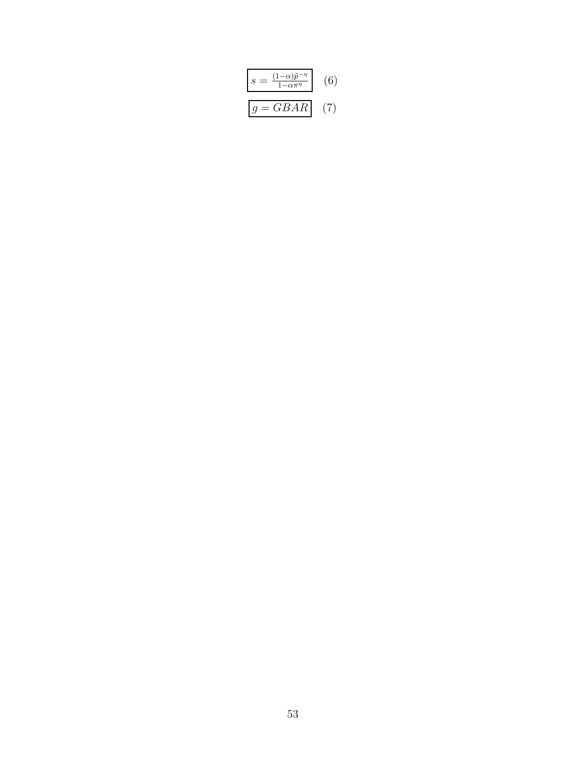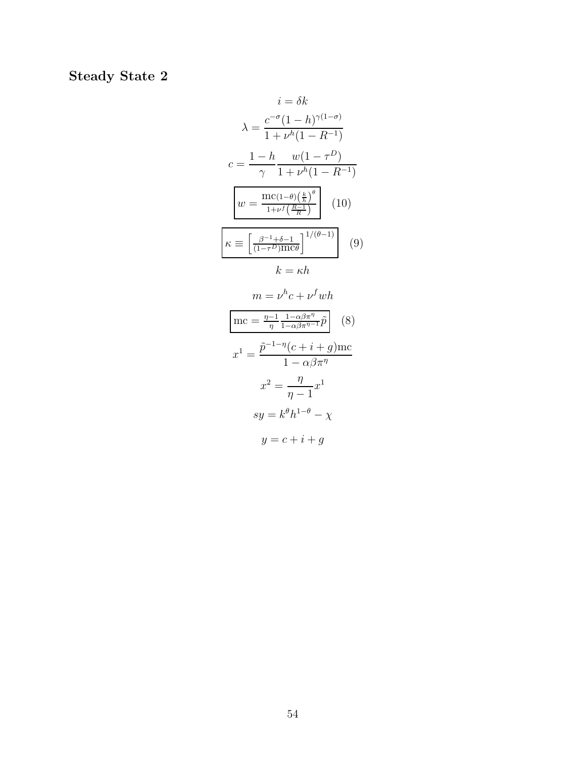**Steady State 2**

$$
i = \delta k
$$

$$
\lambda = \frac{c^{-\sigma}(1-h)^{\gamma(1-\sigma)}}{1+\nu^h(1-R^{-1})}
$$

$$
c = \frac{1-h}{\gamma} \frac{w(1-\tau^D)}{1+\nu^h(1-R^{-1})}
$$

$$
w = \frac{\text{mc}(1-\theta)\left(\frac{k}{h}\right)^{\theta}}{1+\nu^f\left(\frac{R-1}{R}\right)} \quad (10)
$$

$$
\kappa \equiv \left[\frac{\beta^{-1}+\delta-1}{(1-\tau^D)\text{mc}\theta}\right]^{1/(\theta-1)} \quad (9)
$$

$$
k = \kappa h
$$

$$
m = \nu^h c + \nu^f wh
$$

$$
\text{mc} = \frac{\eta}{\eta} \frac{1-\alpha\beta\pi^{\eta}}{1-\alpha\beta\pi^{\eta-1}} \tilde{p} \quad (8)
$$

$$
x^1 = \frac{\tilde{p}^{-1-\eta}(c+i+g)\text{mc}}{1-\alpha\beta\pi^{\eta}}
$$

$$
x^2 = \frac{\eta}{\eta-1} x^1
$$

$$
sy = k^{\theta} h^{1-\theta} - \chi
$$

$$
y = c+i+g
$$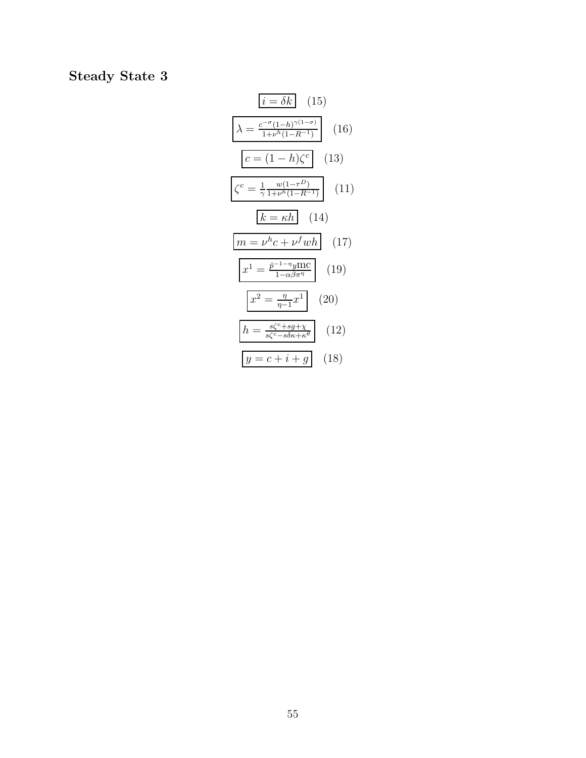# **Steady State 3**

$$
\frac{i = \delta k}{\lambda} \quad (15)
$$
\n
$$
\lambda = \frac{c^{-\sigma} (1 - h)^{\gamma (1 - \sigma)}}{1 + \nu^h (1 - R^{-1})} \quad (16)
$$
\n
$$
c = (1 - h)\zeta^c \quad (13)
$$
\n
$$
\zeta^c = \frac{1}{\gamma} \frac{w(1 - \tau^D)}{1 + \nu^h (1 - R^{-1})} \quad (11)
$$
\n
$$
m = \nu^h c + \nu^f w h \quad (17)
$$
\n
$$
x^1 = \frac{\tilde{\nu}^{1 - \eta} w m c}{1 - \alpha \beta \pi^{\eta}} \quad (19)
$$
\n
$$
x^2 = \frac{\eta}{\eta - 1} x^1 \quad (20)
$$
\n
$$
h = \frac{s\zeta^c + s g + \chi}{s\zeta^c - s \delta \kappa + \kappa^6} \quad (12)
$$
\n
$$
y = c + i + g \quad (18)
$$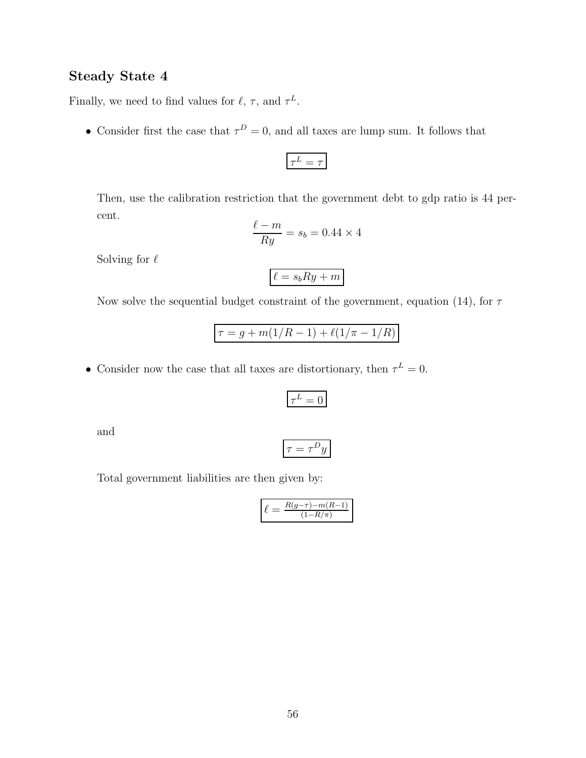### **Steady State 4**

Finally, we need to find values for  $\ell$ ,  $\tau$ , and  $\tau^L$ .

• Consider first the case that  $\tau^D = 0$ , and all taxes are lump sum. It follows that

$$
\tau^L=\tau
$$

Then, use the calibration restriction that the government debt to gdp ratio is 44 percent.

$$
\frac{\ell - m}{Ry} = s_b = 0.44 \times 4
$$

Solving for  $\ell$ 

$$
\ell = s_b R y + m
$$

Now solve the sequential budget constraint of the government, equation (14), for *τ*

$$
\tau = g + m(1/R - 1) + \ell(1/\pi - 1/R)
$$

• Consider now the case that all taxes are distortionary, then  $\tau^L = 0$ .

$$
\tau^L=0
$$

and

$$
\tau=\tau^D y
$$

Total government liabilities are then given by:

$$
\ell = \frac{R(g-\tau)-m(R-1)}{(1-R/\pi)}
$$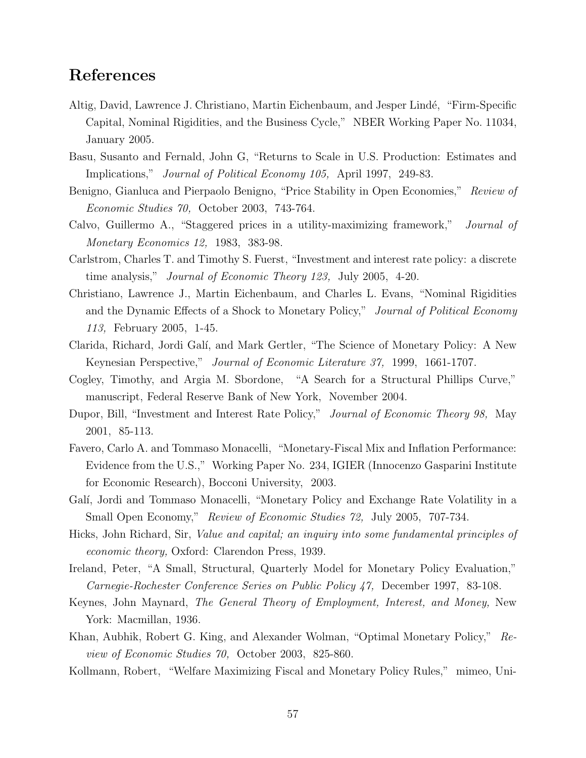### **References**

- Altig, David, Lawrence J. Christiano, Martin Eichenbaum, and Jesper Lind´e, "Firm-Specific Capital, Nominal Rigidities, and the Business Cycle," NBER Working Paper No. 11034, January 2005.
- Basu, Susanto and Fernald, John G, "Returns to Scale in U.S. Production: Estimates and Implications," *Journal of Political Economy 105,* April 1997, 249-83.
- Benigno, Gianluca and Pierpaolo Benigno, "Price Stability in Open Economies," *Review of Economic Studies 70,* October 2003, 743-764.
- Calvo, Guillermo A., "Staggered prices in a utility-maximizing framework," *Journal of Monetary Economics 12,* 1983, 383-98.
- Carlstrom, Charles T. and Timothy S. Fuerst, "Investment and interest rate policy: a discrete time analysis," *Journal of Economic Theory 123,* July 2005, 4-20.
- Christiano, Lawrence J., Martin Eichenbaum, and Charles L. Evans, "Nominal Rigidities and the Dynamic Effects of a Shock to Monetary Policy," *Journal of Political Economy 113,* February 2005, 1-45.
- Clarida, Richard, Jordi Gal´ı, and Mark Gertler, "The Science of Monetary Policy: A New Keynesian Perspective," *Journal of Economic Literature 37,* 1999, 1661-1707.
- Cogley, Timothy, and Argia M. Sbordone, "A Search for a Structural Phillips Curve," manuscript, Federal Reserve Bank of New York, November 2004.
- Dupor, Bill, "Investment and Interest Rate Policy," *Journal of Economic Theory 98,* May 2001, 85-113.
- Favero, Carlo A. and Tommaso Monacelli, "Monetary-Fiscal Mix and Inflation Performance: Evidence from the U.S.," Working Paper No. 234, IGIER (Innocenzo Gasparini Institute for Economic Research), Bocconi University, 2003.
- Galí, Jordi and Tommaso Monacelli, "Monetary Policy and Exchange Rate Volatility in a Small Open Economy," *Review of Economic Studies 72,* July 2005, 707-734.
- Hicks, John Richard, Sir, *Value and capital; an inquiry into some fundamental principles of economic theory,* Oxford: Clarendon Press, 1939.
- Ireland, Peter, "A Small, Structural, Quarterly Model for Monetary Policy Evaluation," *Carnegie-Rochester Conference Series on Public Policy 47,* December 1997, 83-108.
- Keynes, John Maynard, *The General Theory of Employment, Interest, and Money,* New York: Macmillan, 1936.
- Khan, Aubhik, Robert G. King, and Alexander Wolman, "Optimal Monetary Policy," *Review of Economic Studies 70,* October 2003, 825-860.
- Kollmann, Robert, "Welfare Maximizing Fiscal and Monetary Policy Rules," mimeo, Uni-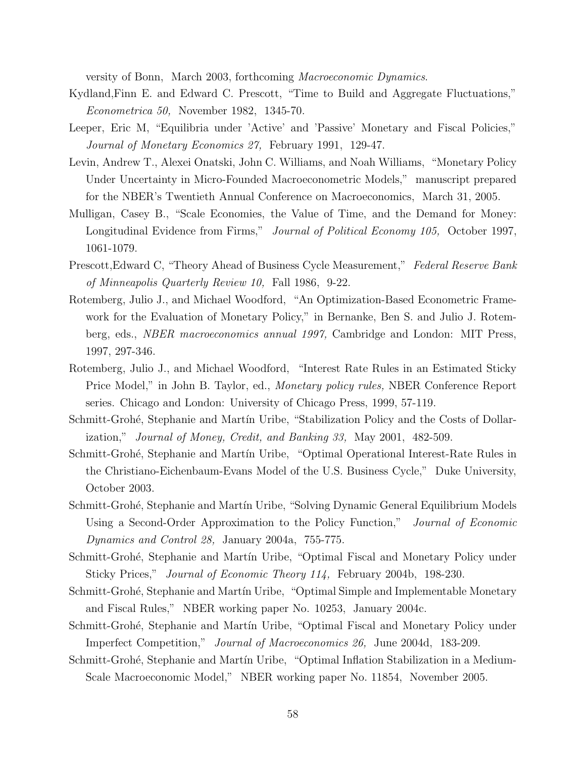versity of Bonn, March 2003, forthcoming *Macroeconomic Dynamics*.

- Kydland,Finn E. and Edward C. Prescott, "Time to Build and Aggregate Fluctuations," *Econometrica 50,* November 1982, 1345-70.
- Leeper, Eric M, "Equilibria under 'Active' and 'Passive' Monetary and Fiscal Policies," *Journal of Monetary Economics 27,* February 1991, 129-47.
- Levin, Andrew T., Alexei Onatski, John C. Williams, and Noah Williams, "Monetary Policy Under Uncertainty in Micro-Founded Macroeconometric Models," manuscript prepared for the NBER's Twentieth Annual Conference on Macroeconomics, March 31, 2005.
- Mulligan, Casey B., "Scale Economies, the Value of Time, and the Demand for Money: Longitudinal Evidence from Firms," *Journal of Political Economy 105,* October 1997, 1061-1079.
- Prescott,Edward C, "Theory Ahead of Business Cycle Measurement," *Federal Reserve Bank of Minneapolis Quarterly Review 10,* Fall 1986, 9-22.
- Rotemberg, Julio J., and Michael Woodford, "An Optimization-Based Econometric Framework for the Evaluation of Monetary Policy," in Bernanke, Ben S. and Julio J. Rotemberg, eds., *NBER macroeconomics annual 1997,* Cambridge and London: MIT Press, 1997, 297-346.
- Rotemberg, Julio J., and Michael Woodford, "Interest Rate Rules in an Estimated Sticky Price Model," in John B. Taylor, ed., *Monetary policy rules,* NBER Conference Report series. Chicago and London: University of Chicago Press, 1999, 57-119.
- Schmitt-Grohé, Stephanie and Martín Uribe, "Stabilization Policy and the Costs of Dollarization," *Journal of Money, Credit, and Banking 33,* May 2001, 482-509.
- Schmitt-Grohé, Stephanie and Martín Uribe, "Optimal Operational Interest-Rate Rules in the Christiano-Eichenbaum-Evans Model of the U.S. Business Cycle," Duke University, October 2003.
- Schmitt-Grohé, Stephanie and Martín Uribe, "Solving Dynamic General Equilibrium Models Using a Second-Order Approximation to the Policy Function," *Journal of Economic Dynamics and Control 28,* January 2004a, 755-775.
- Schmitt-Grohé, Stephanie and Martín Uribe, "Optimal Fiscal and Monetary Policy under Sticky Prices," *Journal of Economic Theory 114,* February 2004b, 198-230.
- Schmitt-Grohé, Stephanie and Martín Uribe, "Optimal Simple and Implementable Monetary and Fiscal Rules," NBER working paper No. 10253, January 2004c.
- Schmitt-Grohé, Stephanie and Martín Uribe, "Optimal Fiscal and Monetary Policy under Imperfect Competition," *Journal of Macroeconomics 26,* June 2004d, 183-209.
- Schmitt-Grohé, Stephanie and Martín Uribe, "Optimal Inflation Stabilization in a Medium-Scale Macroeconomic Model," NBER working paper No. 11854, November 2005.